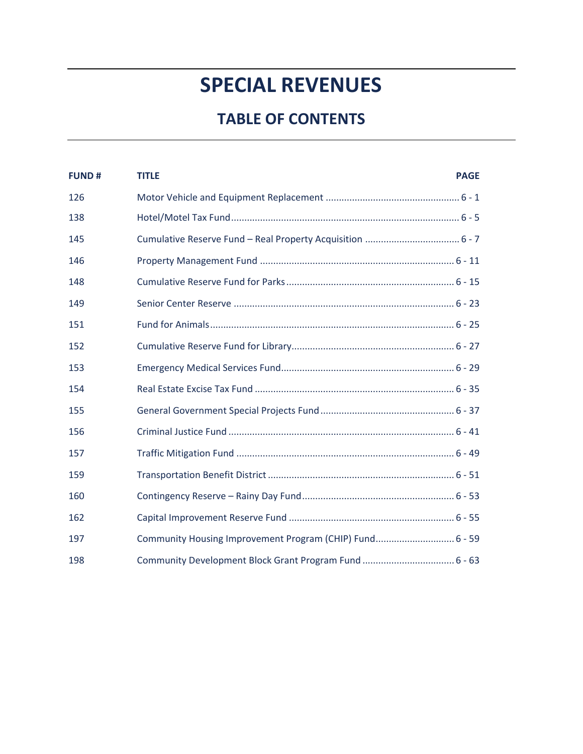# **SPECIAL REVENUES**

# **TABLE OF CONTENTS**

| <b>FUND#</b> | <b>TITLE</b>                                             | <b>PAGE</b> |
|--------------|----------------------------------------------------------|-------------|
| 126          |                                                          |             |
| 138          |                                                          |             |
| 145          |                                                          |             |
| 146          |                                                          |             |
| 148          |                                                          |             |
| 149          |                                                          |             |
| 151          |                                                          |             |
| 152          |                                                          |             |
| 153          |                                                          |             |
| 154          |                                                          |             |
| 155          |                                                          |             |
| 156          |                                                          |             |
| 157          |                                                          |             |
| 159          |                                                          |             |
| 160          |                                                          |             |
| 162          |                                                          |             |
| 197          | Community Housing Improvement Program (CHIP) Fund 6 - 59 |             |
| 198          |                                                          |             |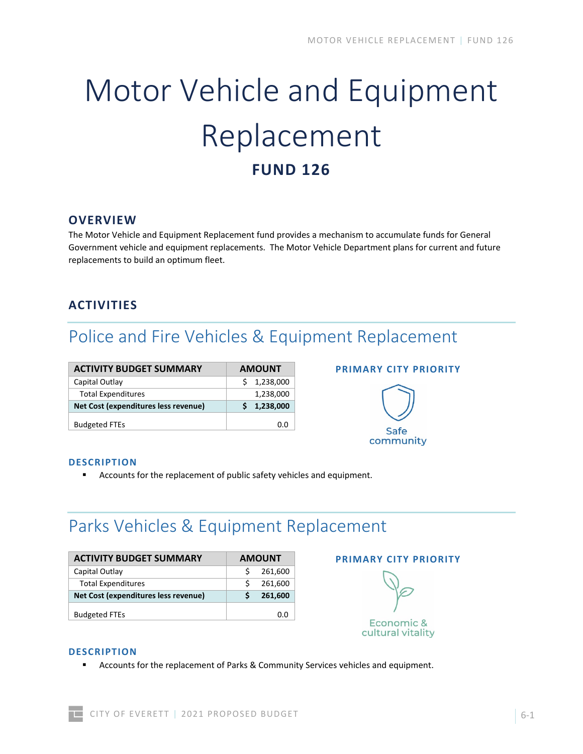# Motor Vehicle and Equipment Replacement **FUND 126**

### **OVERVIEW**

The Motor Vehicle and Equipment Replacement fund provides a mechanism to accumulate funds for General Government vehicle and equipment replacements. The Motor Vehicle Department plans for current and future replacements to build an optimum fleet.

# **ACTIVITIES**

# Police and Fire Vehicles & Equipment Replacement

| <b>ACTIVITY BUDGET SUMMARY</b>       | <b>AMOUNT</b> |
|--------------------------------------|---------------|
| Capital Outlay                       | \$1,238,000   |
| <b>Total Expenditures</b>            | 1,238,000     |
| Net Cost (expenditures less revenue) | 1,238,000     |
| <b>Budgeted FTEs</b>                 | ი ი           |

### **PRIMARY CITY PRIORITY**



### **DESCRIPTION**

Accounts for the replacement of public safety vehicles and equipment.

# Parks Vehicles & Equipment Replacement

| <b>ACTIVITY BUDGET SUMMARY</b>       |   | <b>AMOUNT</b> |
|--------------------------------------|---|---------------|
| Capital Outlay                       | S | 261,600       |
| <b>Total Expenditures</b>            | S | 261,600       |
| Net Cost (expenditures less revenue) |   | 261,600       |
| <b>Budgeted FTEs</b>                 |   | 0 O           |

### **PRIMARY CITY PRIORITY**



#### **DESCRIPTION**

Accounts for the replacement of Parks & Community Services vehicles and equipment.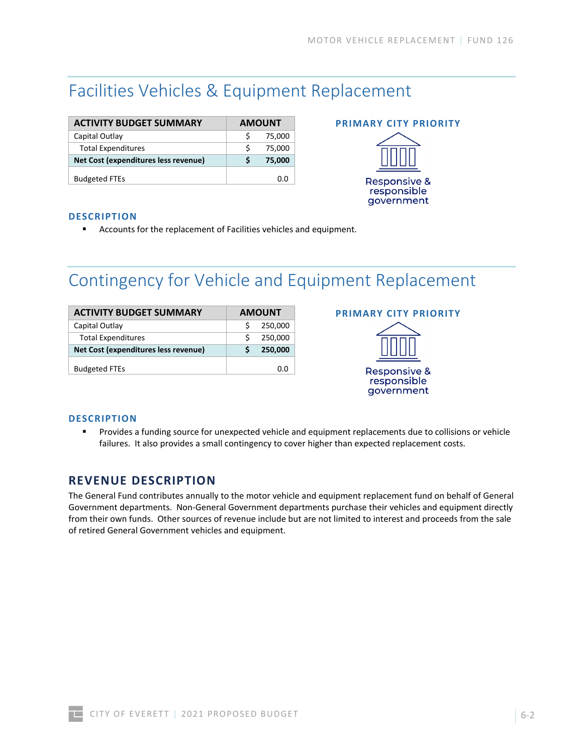# Facilities Vehicles & Equipment Replacement

| <b>ACTIVITY BUDGET SUMMARY</b>       |   | <b>AMOUNT</b> |
|--------------------------------------|---|---------------|
| Capital Outlay                       | S | 75,000        |
| <b>Total Expenditures</b>            | Ś | 75,000        |
| Net Cost (expenditures less revenue) | S | 75,000        |
| <b>Budgeted FTEs</b>                 |   | ი ი           |



### **DESCRIPTION**

Accounts for the replacement of Facilities vehicles and equipment.

# Contingency for Vehicle and Equipment Replacement

| <b>ACTIVITY BUDGET SUMMARY</b>       |   | <b>AMOUNT</b> |
|--------------------------------------|---|---------------|
| Capital Outlay                       | S | 250,000       |
| <b>Total Expenditures</b>            |   | 250,000       |
| Net Cost (expenditures less revenue) |   | 250,000       |
| <b>Budgeted FTEs</b>                 |   |               |
|                                      |   |               |

# **PRIMARY CITY PRIORITY**



### **DESCRIPTION**

**Provides a funding source for unexpected vehicle and equipment replacements due to collisions or vehicle** failures. It also provides a small contingency to cover higher than expected replacement costs.

### **REVENUE DESCRIPTION**

The General Fund contributes annually to the motor vehicle and equipment replacement fund on behalf of General Government departments. Non-General Government departments purchase their vehicles and equipment directly from their own funds. Other sources of revenue include but are not limited to interest and proceeds from the sale of retired General Government vehicles and equipment.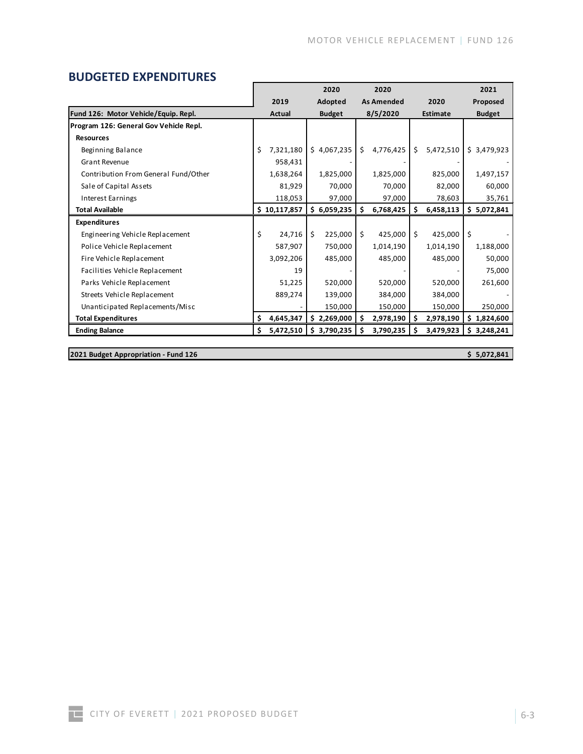### **BUDGETED EXPENDITURES**

|                                        |    |              |    | 2020          |    | 2020              |    |                 | 2021             |
|----------------------------------------|----|--------------|----|---------------|----|-------------------|----|-----------------|------------------|
|                                        |    | 2019         |    | Adopted       |    | <b>As Amended</b> |    | 2020            | Proposed         |
| Fund 126: Motor Vehicle/Equip. Repl.   |    | Actual       |    | <b>Budget</b> |    | 8/5/2020          |    | <b>Estimate</b> | <b>Budget</b>    |
| Program 126: General Gov Vehicle Repl. |    |              |    |               |    |                   |    |                 |                  |
| <b>Resources</b>                       |    |              |    |               |    |                   |    |                 |                  |
| Beginning Balance                      | Ś. | 7,321,180    |    | \$4,067,235   | Ś. | 4,776,425         | Ś. | 5,472,510       | \$3,479,923      |
| <b>Grant Revenue</b>                   |    | 958,431      |    |               |    |                   |    |                 |                  |
| Contribution From General Fund/Other   |    | 1,638,264    |    | 1,825,000     |    | 1,825,000         |    | 825,000         | 1,497,157        |
| Sale of Capital Assets                 |    | 81,929       |    | 70,000        |    | 70,000            |    | 82,000          | 60,000           |
| Interest Earnings                      |    | 118,053      |    | 97,000        |    | 97,000            |    | 78,603          | 35,761           |
| <b>Total Available</b>                 |    | \$10,117,857 |    | \$6,059,235   | \$ | 6,768,425         | \$ | 6,458,113       | \$5,072,841      |
| <b>Expenditures</b>                    |    |              |    |               |    |                   |    |                 |                  |
| Engineering Vehicle Replacement        | \$ | 24,716       | Ś. | 225,000       | Ś  | 425,000           | Ś. | 425,000         | Ś.               |
| Police Vehicle Replacement             |    | 587,907      |    | 750,000       |    | 1,014,190         |    | 1,014,190       | 1,188,000        |
| Fire Vehicle Replacement               |    | 3,092,206    |    | 485,000       |    | 485,000           |    | 485,000         | 50,000           |
| Facilities Vehicle Replacement         |    | 19           |    |               |    |                   |    |                 | 75,000           |
| Parks Vehicle Replacement              |    | 51,225       |    | 520,000       |    | 520,000           |    | 520,000         | 261,600          |
| Streets Vehicle Replacement            |    | 889,274      |    | 139,000       |    | 384,000           |    | 384,000         |                  |
| Unanticipated Replacements/Misc        |    |              |    | 150,000       |    | 150,000           |    | 150,000         | 250,000          |
| <b>Total Expenditures</b>              | \$ | 4,645,347    |    | \$2,269,000   | \$ | 2,978,190         | \$ | 2,978,190       | \$.<br>1,824,600 |
| <b>Ending Balance</b>                  | Ś. | 5,472,510    |    | \$3,790,235   | Ś  | 3,790,235         | S  | 3,479,923       | 3,248,241<br>\$. |

**2021 Budget Appropriation - Fund 126 \$ 5,072,841**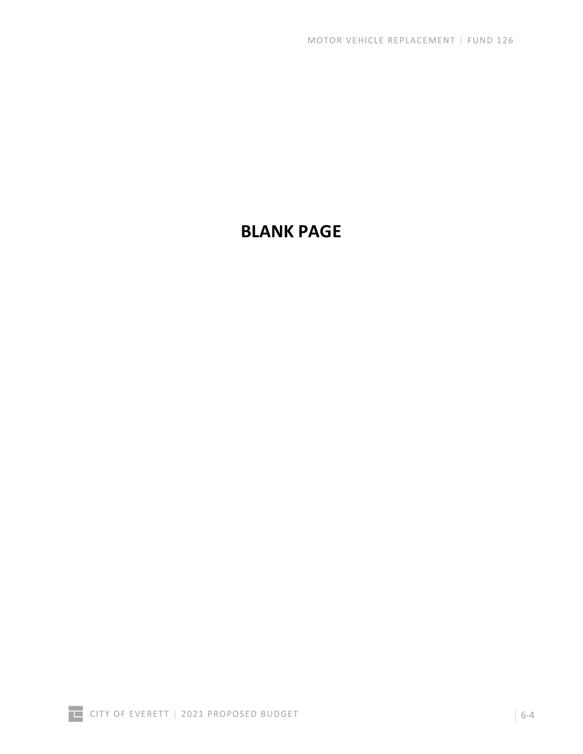# **BLANK PAGE**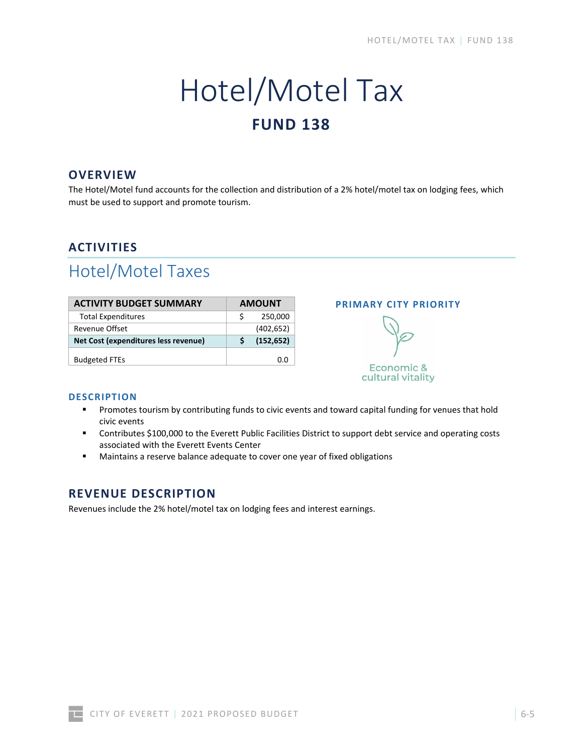# Hotel/Motel Tax **FUND 138**

### **OVERVIEW**

The Hotel/Motel fund accounts for the collection and distribution of a 2% hotel/motel tax on lodging fees, which must be used to support and promote tourism.

### **ACTIVITIES**

# Hotel/Motel Taxes

| <b>ACTIVITY BUDGET SUMMARY</b>       |   | <b>AMOUNT</b> |
|--------------------------------------|---|---------------|
| <b>Total Expenditures</b>            | Ś | 250,000       |
| <b>Revenue Offset</b>                |   | (402, 652)    |
| Net Cost (expenditures less revenue) |   | (152, 652)    |
| <b>Budgeted FTEs</b>                 |   | n.n           |

#### **PRIMARY CITY PRIORITY**



### **DESCRIPTION**

- Promotes tourism by contributing funds to civic events and toward capital funding for venues that hold civic events
- Contributes \$100,000 to the Everett Public Facilities District to support debt service and operating costs associated with the Everett Events Center
- Maintains a reserve balance adequate to cover one year of fixed obligations

### **REVENUE DESCRIPTION**

Revenues include the 2% hotel/motel tax on lodging fees and interest earnings.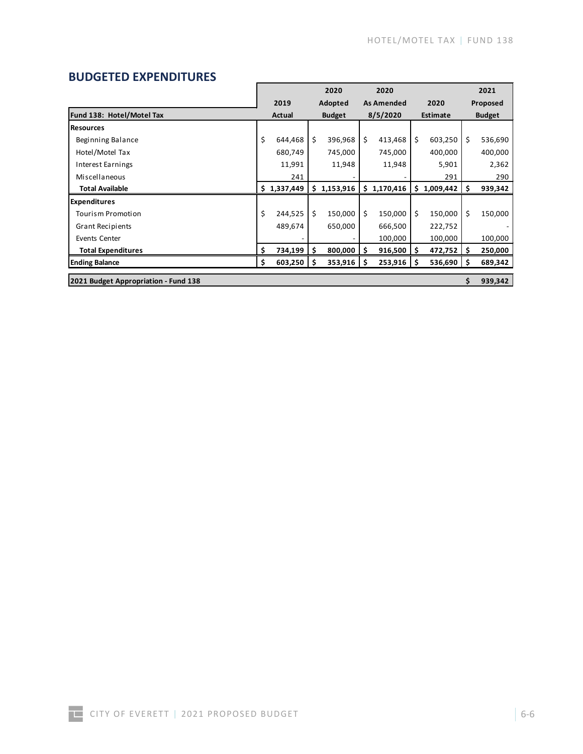## **BUDGETED EXPENDITURES**

|                                      |               |    | 2020          |    | 2020                       |                     |                 |    | 2021          |
|--------------------------------------|---------------|----|---------------|----|----------------------------|---------------------|-----------------|----|---------------|
|                                      | 2019          |    | Adopted       |    | As Amended                 |                     | 2020            |    | Proposed      |
| Fund 138: Hotel/Motel Tax            | <b>Actual</b> |    | <b>Budget</b> |    | 8/5/2020                   |                     | <b>Estimate</b> |    | <b>Budget</b> |
| <b>Resources</b>                     |               |    |               |    |                            |                     |                 |    |               |
| Beginning Balance                    | \$<br>644,468 | \$ | 396,968       | \$ | 413,468                    | \$                  | 603,250         | \$ | 536,690       |
| Hotel/Motel Tax                      | 680,749       |    | 745,000       |    | 745,000                    |                     | 400,000         |    | 400,000       |
| Interest Earnings                    | 11,991        |    | 11,948        |    | 11,948                     |                     | 5,901           |    | 2,362         |
| Miscellaneous                        | 241           |    |               |    |                            |                     | 291             |    | 290           |
| <b>Total Available</b>               | \$1,337,449   | Ś. |               |    | $1,153,916$   \$ 1,170,416 | $\ddot{\mathsf{s}}$ | 1,009,442       | S  | 939,342       |
| <b>Expenditures</b>                  |               |    |               |    |                            |                     |                 |    |               |
| Tourism Promotion                    | \$<br>244,525 | \$ | 150,000       | \$ | 150,000                    | \$                  | 150,000         | Ś. | 150,000       |
| <b>Grant Recipients</b>              | 489,674       |    | 650,000       |    | 666,500                    |                     | 222,752         |    |               |
| Events Center                        |               |    |               |    | 100,000                    |                     | 100,000         |    | 100,000       |
| <b>Total Expenditures</b>            | \$<br>734,199 | \$ | 800,000       | Ŝ  | 916,500                    | Ŝ.                  | 472,752         | Ś  | 250,000       |
| <b>Ending Balance</b>                | \$<br>603,250 | \$ | 353,916       | \$ | 253,916                    | \$                  | 536,690         | \$ | 689,342       |
| 2021 Budget Appropriation - Fund 138 |               |    |               |    |                            |                     |                 | \$ | 939,342       |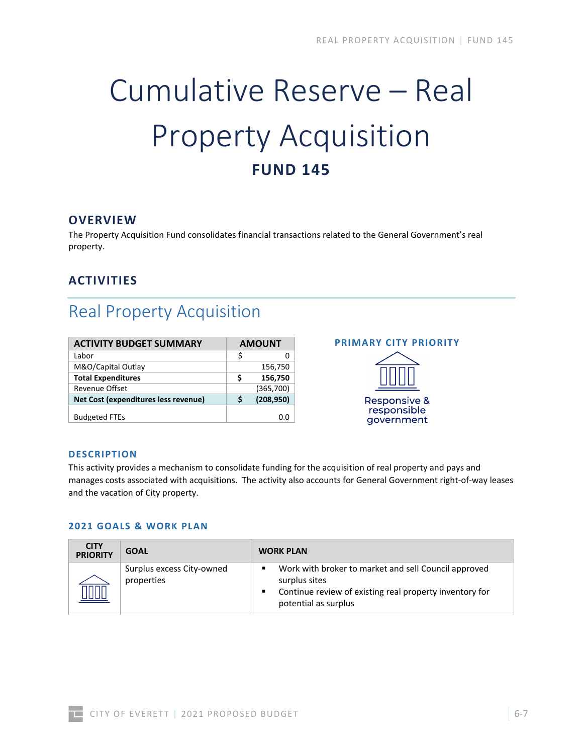# Cumulative Reserve – Real Property Acquisition **FUND 145**

### **OVERVIEW**

The Property Acquisition Fund consolidates financial transactions related to the General Government's real property.

# **ACTIVITIES**

# Real Property Acquisition

| <b>ACTIVITY BUDGET SUMMARY</b>       |    | <b>AMOUNT</b> |
|--------------------------------------|----|---------------|
| Labor                                | Ś  |               |
| M&O/Capital Outlay                   |    | 156,750       |
| <b>Total Expenditures</b>            | S  | 156,750       |
| <b>Revenue Offset</b>                |    | (365,700)     |
| Net Cost (expenditures less revenue) | \$ | (208, 950)    |
|                                      |    |               |
| <b>Budgeted FTEs</b>                 |    | 00            |

### **PRIMARY CITY PRIORITY**



### **DESCRIPTION**

This activity provides a mechanism to consolidate funding for the acquisition of real property and pays and manages costs associated with acquisitions. The activity also accounts for General Government right-of-way leases and the vacation of City property.

### **2021 GOALS & WORK PLAN**

| <b>CITY</b><br><b>PRIORITY</b> | <b>GOAL</b>                             | <b>WORK PLAN</b>                                                                                                                                         |  |  |  |  |
|--------------------------------|-----------------------------------------|----------------------------------------------------------------------------------------------------------------------------------------------------------|--|--|--|--|
|                                | Surplus excess City-owned<br>properties | Work with broker to market and sell Council approved<br>surplus sites<br>Continue review of existing real property inventory for<br>potential as surplus |  |  |  |  |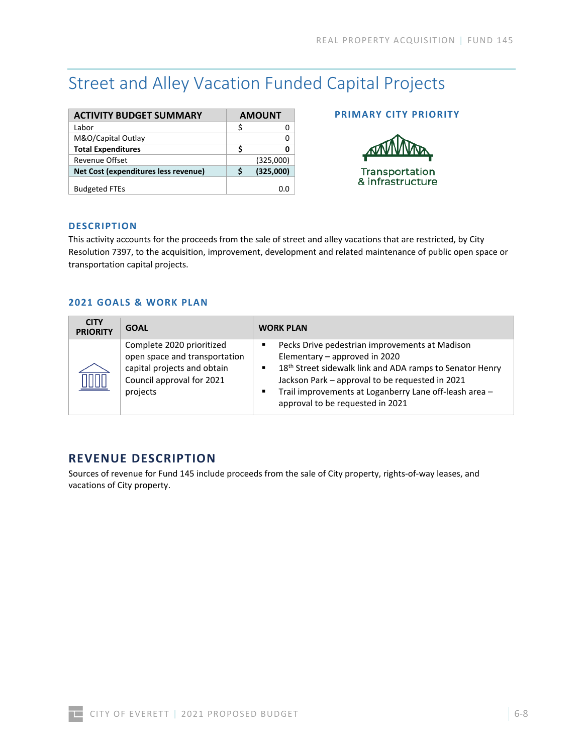# Street and Alley Vacation Funded Capital Projects

| <b>ACTIVITY BUDGET SUMMARY</b>       |   | <b>AMOUNT</b> |
|--------------------------------------|---|---------------|
| Labor                                | ς |               |
| M&O/Capital Outlay                   |   |               |
| <b>Total Expenditures</b>            |   |               |
| <b>Revenue Offset</b>                |   | (325,000)     |
| Net Cost (expenditures less revenue) |   | (325,000)     |
| <b>Budgeted FTEs</b>                 |   |               |

### **PRIMARY CITY PRIORITY**



### **DESCRIPTION**

This activity accounts for the proceeds from the sale of street and alley vacations that are restricted, by City Resolution 7397, to the acquisition, improvement, development and related maintenance of public open space or transportation capital projects.

### **2021 GOALS & WORK PLAN**

| <b>CITY</b><br><b>PRIORITY</b> | <b>GOAL</b>                                                                                                                        | <b>WORK PLAN</b>                                                                                                                                                                                                                                                                                                           |
|--------------------------------|------------------------------------------------------------------------------------------------------------------------------------|----------------------------------------------------------------------------------------------------------------------------------------------------------------------------------------------------------------------------------------------------------------------------------------------------------------------------|
|                                | Complete 2020 prioritized<br>open space and transportation<br>capital projects and obtain<br>Council approval for 2021<br>projects | Pecks Drive pedestrian improvements at Madison<br>Elementary - approved in 2020<br>18 <sup>th</sup> Street sidewalk link and ADA ramps to Senator Henry<br>Jackson Park - approval to be requested in 2021<br>Trail improvements at Loganberry Lane off-leash area -<br>$\blacksquare$<br>approval to be requested in 2021 |

### **REVENUE DESCRIPTION**

Sources of revenue for Fund 145 include proceeds from the sale of City property, rights-of-way leases, and vacations of City property.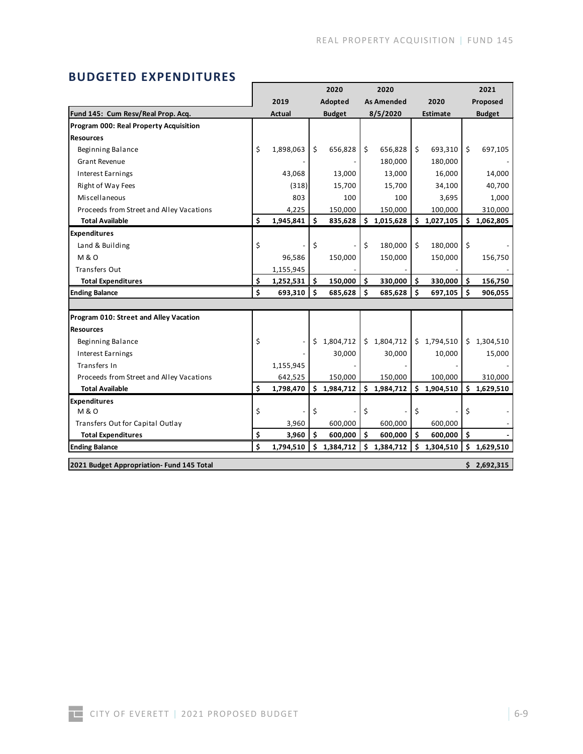# **BUDGETED EXPENDITURES**

|                                           |    |           |     | 2020          |    | 2020              |                 |             |               | 2021        |
|-------------------------------------------|----|-----------|-----|---------------|----|-------------------|-----------------|-------------|---------------|-------------|
|                                           |    | 2019      |     | Adopted       |    | <b>As Amended</b> |                 | 2020        |               | Proposed    |
| Fund 145: Cum Resv/Real Prop. Acq.        |    | Actual    |     | <b>Budget</b> |    | 8/5/2020          | <b>Estimate</b> |             | <b>Budget</b> |             |
| Program 000: Real Property Acquisition    |    |           |     |               |    |                   |                 |             |               |             |
| <b>Resources</b>                          |    |           |     |               |    |                   |                 |             |               |             |
| Beginning Balance                         | \$ | 1,898,063 | \$  | 656,828       | \$ | 656,828           | Ŝ.              | 693,310     | \$            | 697,105     |
| <b>Grant Revenue</b>                      |    |           |     |               |    | 180,000           |                 | 180,000     |               |             |
| <b>Interest Earnings</b>                  |    | 43,068    |     | 13,000        |    | 13,000            |                 | 16,000      |               | 14,000      |
| Right of Way Fees                         |    | (318)     |     | 15,700        |    | 15,700            |                 | 34,100      |               | 40,700      |
| Miscellaneous                             |    | 803       |     | 100           |    | 100               |                 | 3,695       |               | 1,000       |
| Proceeds from Street and Alley Vacations  |    | 4,225     |     | 150,000       |    | 150,000           |                 | 100,000     |               | 310,000     |
| <b>Total Available</b>                    | \$ | 1,945,841 | Ś.  | 835,628       | Ś  | 1,015,628         | Ś               | 1,027,105   | \$            | 1,062,805   |
| <b>Expenditures</b>                       |    |           |     |               |    |                   |                 |             |               |             |
| Land & Building                           | \$ |           | \$  |               | \$ | 180,000           | \$              | 180,000     | \$            |             |
| <b>M&amp;O</b>                            |    | 96,586    |     | 150,000       |    | 150,000           |                 | 150,000     |               | 156,750     |
| <b>Transfers Out</b>                      |    | 1,155,945 |     |               |    |                   |                 |             |               |             |
| <b>Total Expenditures</b>                 | \$ | 1,252,531 | \$. | 150,000       | \$ | 330,000           | Ś.              | 330,000     | Ś             | 156,750     |
| <b>Ending Balance</b>                     | Ś  | 693,310   | \$. | 685,628       | \$ | 685,628           | Ŝ.              | 697,105     | \$            | 906,055     |
|                                           |    |           |     |               |    |                   |                 |             |               |             |
| Program 010: Street and Alley Vacation    |    |           |     |               |    |                   |                 |             |               |             |
| <b>Resources</b>                          |    |           |     |               |    |                   |                 |             |               |             |
| Beginning Balance                         | \$ |           | Ś.  | 1,804,712     |    | \$1,804,712       |                 | \$1,794,510 |               | \$1,304,510 |
| <b>Interest Earnings</b>                  |    |           |     | 30,000        |    | 30,000            |                 | 10,000      |               | 15,000      |
| Transfers In                              |    | 1,155,945 |     |               |    |                   |                 |             |               |             |
| Proceeds from Street and Alley Vacations  |    | 642,525   |     | 150,000       |    | 150,000           |                 | 100,000     |               | 310,000     |
| <b>Total Available</b>                    | Ś  | 1,798,470 | Ś   | 1,984,712     | \$ | 1,984,712         | Ś               | 1,904,510   | \$            | 1,629,510   |
| <b>Expenditures</b>                       |    |           |     |               |    |                   |                 |             |               |             |
| <b>M &amp; O</b>                          | \$ |           | \$  |               | \$ |                   | \$              |             | \$            |             |
| Transfers Out for Capital Outlay          |    | 3,960     |     | 600,000       |    | 600,000           |                 | 600,000     |               |             |
| <b>Total Expenditures</b>                 | \$ | 3,960     | \$  | 600,000       | \$ | 600,000           | -\$             | 600,000     | \$            |             |
| <b>Ending Balance</b>                     | \$ | 1,794,510 | Ś   | 1,384,712     | \$ | 1,384,712         | \$              | 1,304,510   | \$            | 1,629,510   |
| 2021 Budget Appropriation- Fund 145 Total |    |           |     |               |    |                   |                 |             |               | \$2,692,315 |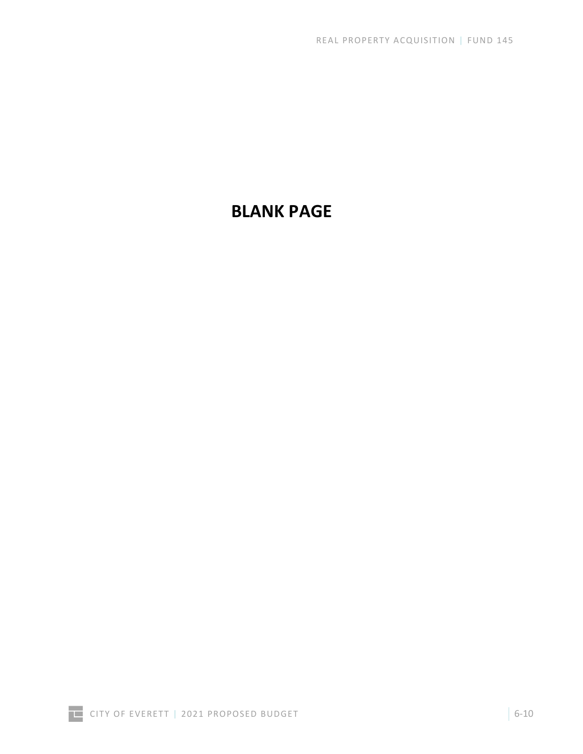# **BLANK PAGE**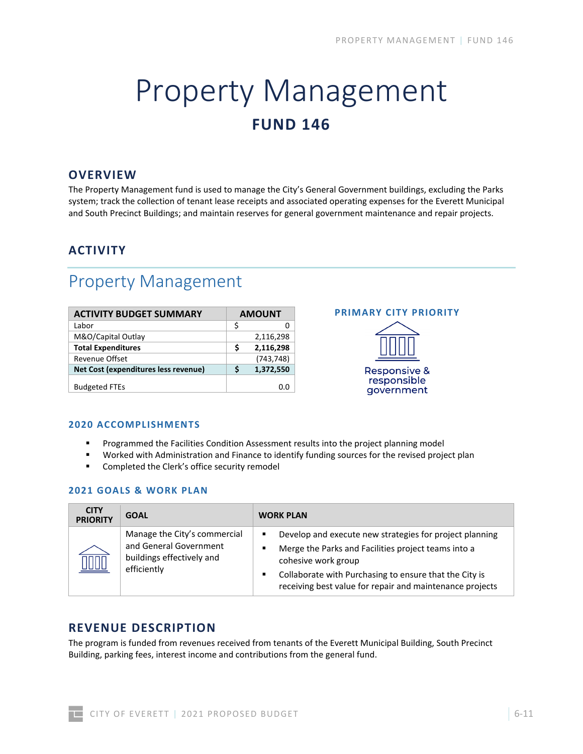# Property Management **FUND 146**

### **OVERVIEW**

The Property Management fund is used to manage the City's General Government buildings, excluding the Parks system; track the collection of tenant lease receipts and associated operating expenses for the Everett Municipal and South Precinct Buildings; and maintain reserves for general government maintenance and repair projects.

## **ACTIVITY**

# Property Management

| <b>ACTIVITY BUDGET SUMMARY</b>       |    | <b>AMOUNT</b> |  |  |  |
|--------------------------------------|----|---------------|--|--|--|
| Labor                                | ς  |               |  |  |  |
| M&O/Capital Outlay                   |    | 2,116,298     |  |  |  |
| <b>Total Expenditures</b>            | \$ | 2,116,298     |  |  |  |
| <b>Revenue Offset</b>                |    | (743, 748)    |  |  |  |
| Net Cost (expenditures less revenue) | S  | 1,372,550     |  |  |  |
|                                      |    |               |  |  |  |
| <b>Budgeted FTEs</b>                 |    | n n           |  |  |  |

# **PRIMARY CITY PRIORITY**

**Responsive &** responsible government

### **2020 ACCOMPLISHMENTS**

- **Programmed the Facilities Condition Assessment results into the project planning model**
- Worked with Administration and Finance to identify funding sources for the revised project plan
- **EXECOMPLETED COMPLETED COMPLETED** Completed the Clerk's office security remodel

### **2021 GOALS & WORK PLAN**

| <b>CITY</b><br><b>PRIORITY</b> | <b>GOAL</b>                                                                                        | <b>WORK PLAN</b>                                                                                                                                                                                                                                                 |
|--------------------------------|----------------------------------------------------------------------------------------------------|------------------------------------------------------------------------------------------------------------------------------------------------------------------------------------------------------------------------------------------------------------------|
|                                | Manage the City's commercial<br>and General Government<br>buildings effectively and<br>efficiently | Develop and execute new strategies for project planning<br>٠<br>Merge the Parks and Facilities project teams into a<br>cohesive work group<br>Collaborate with Purchasing to ensure that the City is<br>receiving best value for repair and maintenance projects |

### **REVENUE DESCRIPTION**

The program is funded from revenues received from tenants of the Everett Municipal Building, South Precinct Building, parking fees, interest income and contributions from the general fund.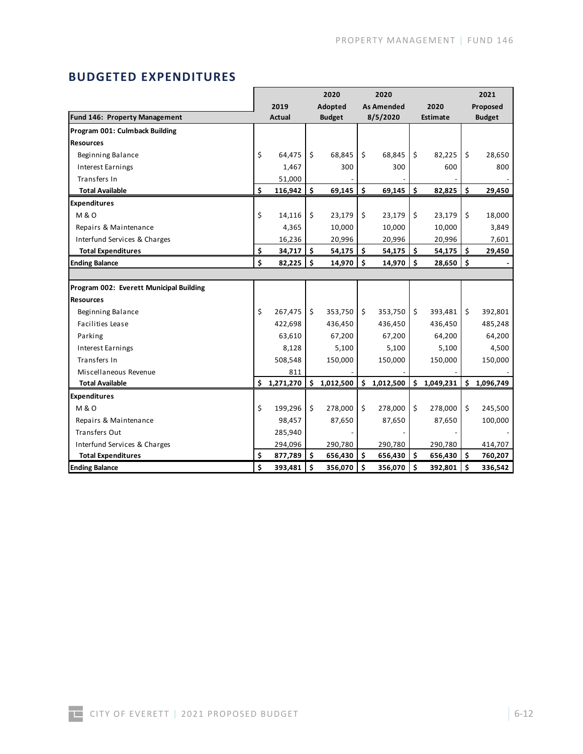# **BUDGETED EXPENDITURES**

|                                         |     |               |     | 2020          |                     | 2020              |          |             |               | 2021      |
|-----------------------------------------|-----|---------------|-----|---------------|---------------------|-------------------|----------|-------------|---------------|-----------|
|                                         |     | 2019          |     | Adopted       |                     | <b>As Amended</b> | 2020     |             |               | Proposed  |
| Fund 146: Property Management           |     | <b>Actual</b> |     | <b>Budget</b> |                     | 8/5/2020          | Estimate |             | <b>Budget</b> |           |
| Program 001: Culmback Building          |     |               |     |               |                     |                   |          |             |               |           |
| <b>Resources</b>                        |     |               |     |               |                     |                   |          |             |               |           |
| Beginning Balance                       | \$  | 64,475        | \$  | 68,845        | \$                  | 68,845            | \$       | 82,225      | \$            | 28,650    |
| <b>Interest Earnings</b>                |     | 1,467         |     | 300           |                     | 300               |          | 600         |               | 800       |
| Transfers In                            |     | 51,000        |     |               |                     |                   |          |             |               |           |
| <b>Total Available</b>                  | \$  | 116,942       | \$  | 69,145        | $\ddot{\mathsf{s}}$ | 69,145            | \$       | 82,825      | \$            | 29,450    |
| <b>Expenditures</b>                     |     |               |     |               |                     |                   |          |             |               |           |
| <b>M&amp;O</b>                          | \$  | 14,116        | \$  | 23,179        | \$                  | 23,179            | \$       | 23,179      | Ś.            | 18,000    |
| Repairs & Maintenance                   |     | 4,365         |     | 10,000        |                     | 10,000            |          | 10,000      |               | 3,849     |
| Interfund Services & Charges            |     | 16,236        |     | 20,996        |                     | 20,996            |          | 20,996      |               | 7,601     |
| <b>Total Expenditures</b>               | \$  | $34,717$ \$   |     | 54,175        | -Ś                  | 54,175            | Ś.       | $54,175$ \$ |               | 29,450    |
| <b>Ending Balance</b>                   | \$  | 82,225        | \$. | 14,970        | -\$                 | 14,970            | -\$      | 28,650      | \$            |           |
|                                         |     |               |     |               |                     |                   |          |             |               |           |
| Program 002: Everett Municipal Building |     |               |     |               |                     |                   |          |             |               |           |
| <b>Resources</b>                        |     |               |     |               |                     |                   |          |             |               |           |
| Beginning Balance                       | \$  | 267,475       | Ś.  | 353,750       | \$                  | 353,750           | Ŝ.       | 393,481     | Ś.            | 392,801   |
| <b>Facilities Lease</b>                 |     | 422,698       |     | 436,450       |                     | 436,450           |          | 436,450     |               | 485,248   |
| Parking                                 |     | 63,610        |     | 67,200        |                     | 67,200            |          | 64,200      |               | 64,200    |
| Interest Earnings                       |     | 8,128         |     | 5,100         |                     | 5,100             |          | 5,100       |               | 4,500     |
| Transfers In                            |     | 508,548       |     | 150,000       |                     | 150,000           |          | 150,000     |               | 150,000   |
| Miscellaneous Revenue                   |     | 811           |     |               |                     |                   |          |             |               |           |
| <b>Total Available</b>                  | \$. | 1,271,270     | \$  | 1,012,500     | \$                  | 1,012,500         |          | \$1,049,231 | \$            | 1,096,749 |
| <b>Expenditures</b>                     |     |               |     |               |                     |                   |          |             |               |           |
| <b>M&amp;O</b>                          | \$  | 199,296       | Ś.  | 278,000       | Ŝ.                  | 278,000           | \$       | 278,000     | Ś.            | 245,500   |
| Repairs & Maintenance                   |     | 98,457        |     | 87,650        |                     | 87,650            |          | 87,650      |               | 100,000   |
| <b>Transfers Out</b>                    |     | 285,940       |     |               |                     |                   |          |             |               |           |
| Interfund Services & Charges            |     | 294,096       |     | 290,780       |                     | 290,780           |          | 290,780     |               | 414,707   |
| <b>Total Expenditures</b>               | \$  | 877,789       | \$. | 656,430       | \$.                 | 656,430           | \$.      | 656,430     | \$.           | 760,207   |
| <b>Ending Balance</b>                   | \$  | 393,481       | \$  | 356,070       | \$                  | 356,070           | \$       | 392,801     | \$            | 336,542   |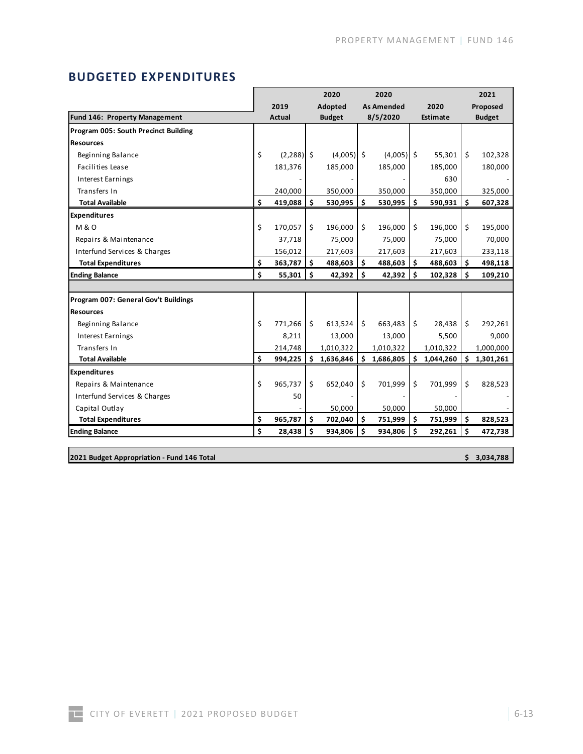### **BUDGETED EXPENDITURES**

|                                      |     |               |     | 2020          |     | 2020              |     |                 |               | 2021      |
|--------------------------------------|-----|---------------|-----|---------------|-----|-------------------|-----|-----------------|---------------|-----------|
|                                      |     | 2019          |     | Adopted       |     | <b>As Amended</b> |     | 2020            |               | Proposed  |
| <b>Fund 146: Property Management</b> |     | <b>Actual</b> |     | <b>Budget</b> |     | 8/5/2020          |     | <b>Estimate</b> | <b>Budget</b> |           |
| Program 005: South Precinct Building |     |               |     |               |     |                   |     |                 |               |           |
| <b>Resources</b>                     |     |               |     |               |     |                   |     |                 |               |           |
| Beginning Balance                    | \$  | $(2,288)$ \$  |     | $(4,005)$ \$  |     | $(4,005)$ \$      |     | 55,301          | l \$          | 102,328   |
| Facilities Lease                     |     | 181,376       |     | 185,000       |     | 185,000           |     | 185,000         |               | 180,000   |
| <b>Interest Earnings</b>             |     |               |     |               |     |                   |     | 630             |               |           |
| Transfers In                         |     | 240,000       |     | 350,000       |     | 350,000           |     | 350,000         |               | 325,000   |
| <b>Total Available</b>               | \$  | 419,088       | \$  | 530,995       | \$  | 530,995           | \$. | 590,931         | l \$          | 607,328   |
| <b>Expenditures</b>                  |     |               |     |               |     |                   |     |                 |               |           |
| <b>M&amp;O</b>                       | \$  | 170.057       | Ś.  | 196.000       | \$  | 196.000           | Ś.  | 196,000         | Ŝ.            | 195,000   |
| Repairs & Maintenance                |     | 37,718        |     | 75,000        |     | 75,000            |     | 75,000          |               | 70,000    |
| Interfund Services & Charges         |     | 156,012       |     | 217,603       |     | 217,603           |     | 217,603         |               | 233,118   |
| <b>Total Expenditures</b>            | \$  | 363,787       | \$. | 488,603       | \$. | 488,603           | \$. | 488,603         | ١s            | 498,118   |
| <b>Ending Balance</b>                | \$  | 55,301        | Ś   | 42,392        | -\$ | 42,392            | Ŝ.  | $102,328$ \$    |               | 109,210   |
|                                      |     |               |     |               |     |                   |     |                 |               |           |
| Program 007: General Gov't Buildings |     |               |     |               |     |                   |     |                 |               |           |
| <b>Resources</b>                     |     |               |     |               |     |                   |     |                 |               |           |
| <b>Beginning Balance</b>             | Ś   | 771.266       | Ś.  | 613,524       | Ś.  | 663.483           | \$  | 28,438          | Ŝ.            | 292,261   |
| Interest Earnings                    |     | 8,211         |     | 13,000        |     | 13,000            |     | 5,500           |               | 9,000     |
| Transfers In                         |     | 214,748       |     | 1,010,322     |     | 1,010,322         |     | 1,010,322       |               | 1,000,000 |
| <b>Total Available</b>               | \$. | $994,225$ \$  |     | 1,636,846     | \$  | 1,686,805         |     | \$1,044,260     | -Ś            | 1,301,261 |
| <b>Expenditures</b>                  |     |               |     |               |     |                   |     |                 |               |           |
| Repairs & Maintenance                | \$  | 965.737       | Ś.  | 652,040       | \$  | 701,999           | \$  | 701,999         | Ŝ.            | 828,523   |
| Interfund Services & Charges         |     | 50            |     |               |     |                   |     |                 |               |           |
| Capital Outlay                       |     |               |     | 50,000        |     | 50,000            |     | 50,000          |               |           |
| <b>Total Expenditures</b>            | \$  | 965,787       | \$  | 702,040       | .\$ | 751,999           | \$  | 751,999         | ۱\$           | 828,523   |
| <b>Ending Balance</b>                | \$  | 28,438        | Ś   | 934,806       | Ś.  | 934,806           | \$  | 292,261         | Ś.            | 472,738   |

**2021 Budget Appropriation - Fund 146 Total \$ 3,034,788**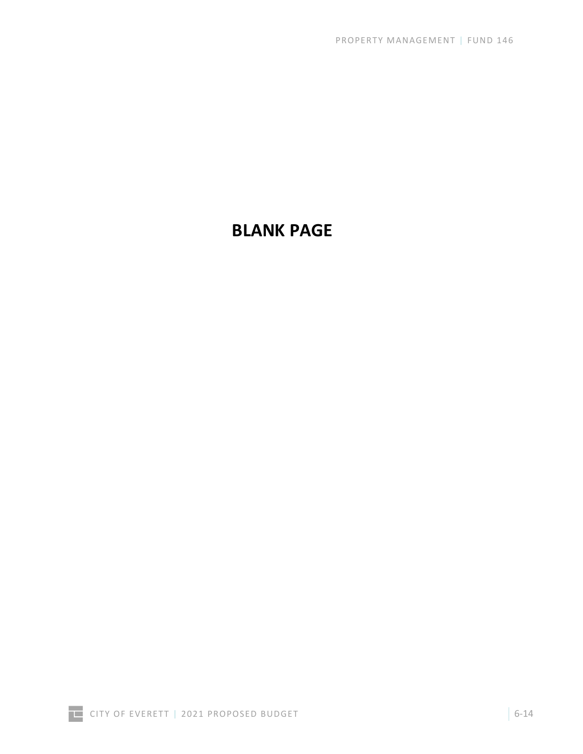# **BLANK PAGE**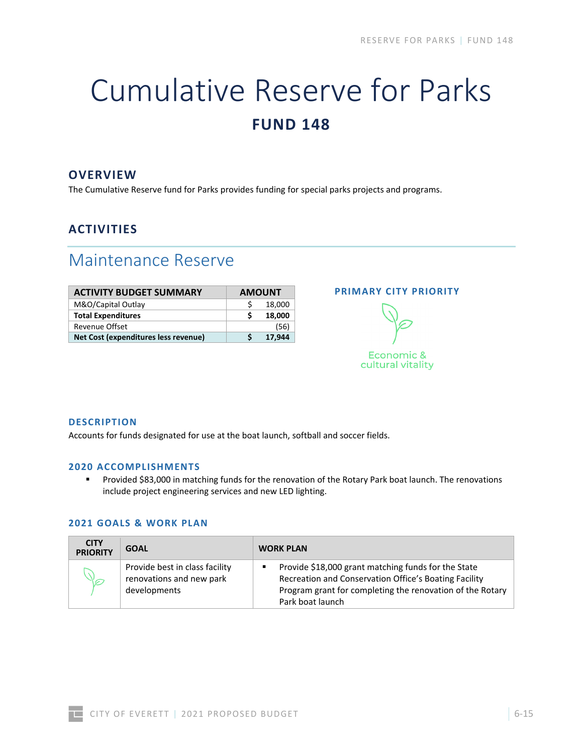# Cumulative Reserve for Parks **FUND 148**

### **OVERVIEW**

The Cumulative Reserve fund for Parks provides funding for special parks projects and programs.

## **ACTIVITIES**

# Maintenance Reserve

| <b>ACTIVITY BUDGET SUMMARY</b>       | <b>AMOUNT</b> |        |  |  |
|--------------------------------------|---------------|--------|--|--|
| M&O/Capital Outlay                   |               | 18,000 |  |  |
| <b>Total Expenditures</b>            |               | 18,000 |  |  |
| <b>Revenue Offset</b>                |               | (56)   |  |  |
| Net Cost (expenditures less revenue) |               | 17.944 |  |  |

### **PRIMARY CITY PRIORITY**



#### **DESCRIPTION**

Accounts for funds designated for use at the boat launch, softball and soccer fields.

#### **2020 ACCOMPLISHMENTS**

**Provided \$83,000 in matching funds for the renovation of the Rotary Park boat launch. The renovations** include project engineering services and new LED lighting.

### **2021 GOALS & WORK PLAN**

| <b>CITY</b><br><b>PRIORITY</b> | <b>GOAL</b>                                                                | <b>WORK PLAN</b>                                                                                                                                                                              |
|--------------------------------|----------------------------------------------------------------------------|-----------------------------------------------------------------------------------------------------------------------------------------------------------------------------------------------|
| ΫΘ                             | Provide best in class facility<br>renovations and new park<br>developments | Provide \$18,000 grant matching funds for the State<br>Recreation and Conservation Office's Boating Facility<br>Program grant for completing the renovation of the Rotary<br>Park boat launch |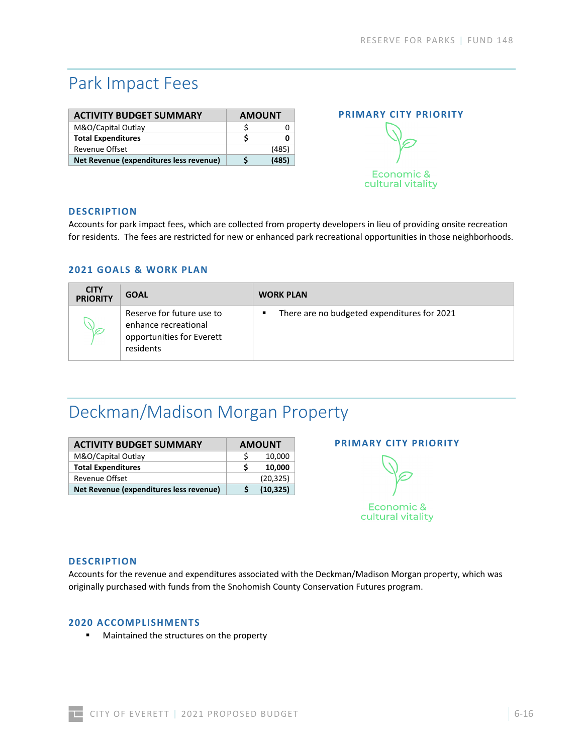# Park Impact Fees

| <b>ACTIVITY BUDGET SUMMARY</b>          | <b>AMOUNT</b> |       |  |  |
|-----------------------------------------|---------------|-------|--|--|
| M&O/Capital Outlay                      |               |       |  |  |
| <b>Total Expenditures</b>               |               |       |  |  |
| Revenue Offset                          |               | (485) |  |  |
| Net Revenue (expenditures less revenue) |               | (485) |  |  |

# **PRIMARY CITY PRIORITY** Economic & cultural vitality

#### **DESCRIPTION**

Accounts for park impact fees, which are collected from property developers in lieu of providing onsite recreation for residents. The fees are restricted for new or enhanced park recreational opportunities in those neighborhoods.

### **2021 GOALS & WORK PLAN**

| <b>CITY</b><br><b>PRIORITY</b> | <b>GOAL</b>                                                                                 | <b>WORK PLAN</b>                            |
|--------------------------------|---------------------------------------------------------------------------------------------|---------------------------------------------|
|                                | Reserve for future use to<br>enhance recreational<br>opportunities for Everett<br>residents | There are no budgeted expenditures for 2021 |

# Deckman/Madison Morgan Property

| <b>ACTIVITY BUDGET SUMMARY</b>          |   | <b>AMOUNT</b> |
|-----------------------------------------|---|---------------|
| M&O/Capital Outlay                      |   | 10.000        |
| <b>Total Expenditures</b>               | S | 10.000        |
| <b>Revenue Offset</b>                   |   | (20, 325)     |
| Net Revenue (expenditures less revenue) |   | (10, 325)     |

### **PRIMARY CITY PRIORITY**



### **DESCRIPTION**

Accounts for the revenue and expenditures associated with the Deckman/Madison Morgan property, which was originally purchased with funds from the Snohomish County Conservation Futures program.

### **2020 ACCOMPLISHMENTS**

**Maintained the structures on the property**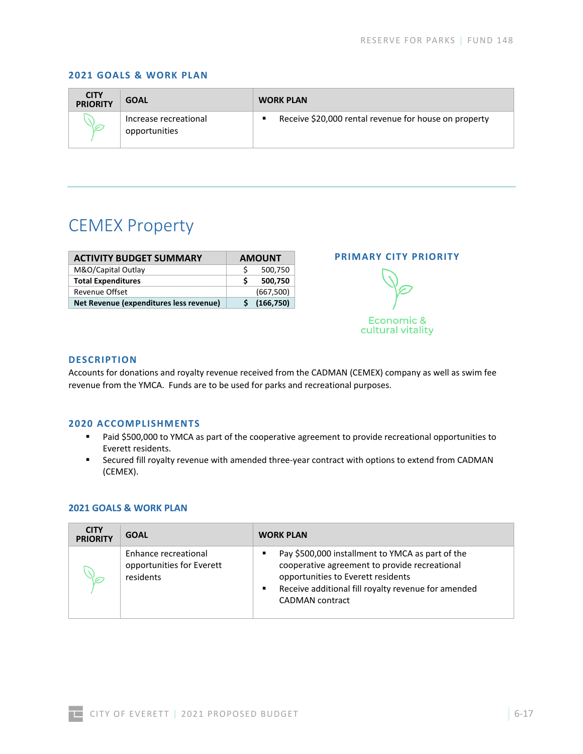### **2021 GOALS & WORK PLAN**

| <b>CITY<br/>PRIORITY</b> | <b>GOAL</b>                            | <b>WORK PLAN</b>                                      |  |  |  |  |
|--------------------------|----------------------------------------|-------------------------------------------------------|--|--|--|--|
|                          | Increase recreational<br>opportunities | Receive \$20,000 rental revenue for house on property |  |  |  |  |

# CEMEX Property

| <b>ACTIVITY BUDGET SUMMARY</b>          | <b>AMOUNT</b> |
|-----------------------------------------|---------------|
| M&O/Capital Outlay                      | 500,750       |
| <b>Total Expenditures</b>               | 500,750       |
| <b>Revenue Offset</b>                   | (667, 500)    |
| Net Revenue (expenditures less revenue) | (166, 750)    |



#### **DESCRIPTION**

Accounts for donations and royalty revenue received from the CADMAN (CEMEX) company as well as swim fee revenue from the YMCA. Funds are to be used for parks and recreational purposes.

#### **2020 ACCOMPLISHMENTS**

- Paid \$500,000 to YMCA as part of the cooperative agreement to provide recreational opportunities to Everett residents.
- Secured fill royalty revenue with amended three-year contract with options to extend from CADMAN (CEMEX).

#### **2021 GOALS & WORK PLAN**

| <b>CITY</b><br><b>PRIORITY</b> | <b>GOAL</b>                                                    | <b>WORK PLAN</b>                                                                                                                                                                                                         |
|--------------------------------|----------------------------------------------------------------|--------------------------------------------------------------------------------------------------------------------------------------------------------------------------------------------------------------------------|
|                                | Enhance recreational<br>opportunities for Everett<br>residents | Pay \$500,000 installment to YMCA as part of the<br>cooperative agreement to provide recreational<br>opportunities to Everett residents<br>Receive additional fill royalty revenue for amended<br><b>CADMAN</b> contract |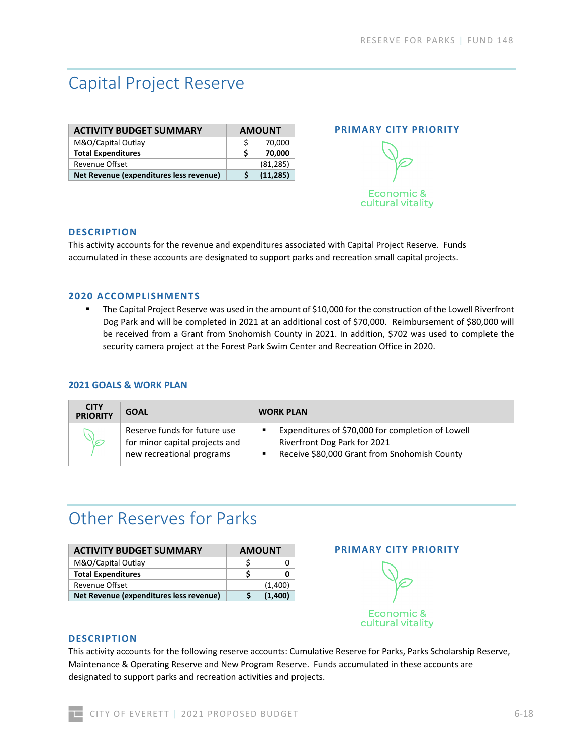# Capital Project Reserve

| <b>ACTIVITY BUDGET SUMMARY</b>          | <b>AMOUNT</b> |
|-----------------------------------------|---------------|
| M&O/Capital Outlay                      | 70.000        |
| <b>Total Expenditures</b>               | 70.000        |
| <b>Revenue Offset</b>                   | (81, 285)     |
| Net Revenue (expenditures less revenue) | (11, 285)     |



### **DESCRIPTION**

This activity accounts for the revenue and expenditures associated with Capital Project Reserve. Funds accumulated in these accounts are designated to support parks and recreation small capital projects.

#### **2020 ACCOMPLISHMENTS**

 The Capital Project Reserve was used in the amount of \$10,000 for the construction of the Lowell Riverfront Dog Park and will be completed in 2021 at an additional cost of \$70,000. Reimbursement of \$80,000 will be received from a Grant from Snohomish County in 2021. In addition, \$702 was used to complete the security camera project at the Forest Park Swim Center and Recreation Office in 2020.

#### **2021 GOALS & WORK PLAN**

| <b>CITY<br/>PRIORITY</b> | <b>GOAL</b>                                                                                 | <b>WORK PLAN</b>                                                                                                                                    |
|--------------------------|---------------------------------------------------------------------------------------------|-----------------------------------------------------------------------------------------------------------------------------------------------------|
|                          | Reserve funds for future use<br>for minor capital projects and<br>new recreational programs | Expenditures of \$70,000 for completion of Lowell<br>$\blacksquare$<br>Riverfront Dog Park for 2021<br>Receive \$80,000 Grant from Snohomish County |

# Other Reserves for Parks

| <b>ACTIVITY BUDGET SUMMARY</b>          | <b>AMOUNT</b> |
|-----------------------------------------|---------------|
| M&O/Capital Outlay                      |               |
| <b>Total Expenditures</b>               |               |
| Revenue Offset                          | (1,400)       |
| Net Revenue (expenditures less revenue) | (1,400)       |

#### **PRIMARY CITY PRIORITY**



#### **DESCRIPTION**

This activity accounts for the following reserve accounts: Cumulative Reserve for Parks, Parks Scholarship Reserve, Maintenance & Operating Reserve and New Program Reserve. Funds accumulated in these accounts are designated to support parks and recreation activities and projects.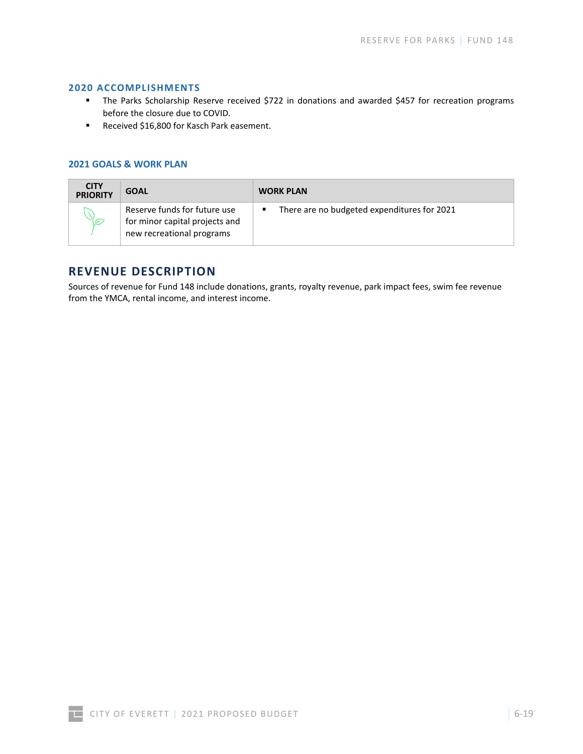#### **2020 ACCOMPLISHMENTS**

- **The Parks Scholarship Reserve received \$722 in donations and awarded \$457 for recreation programs** before the closure due to COVID.
- Received \$16,800 for Kasch Park easement.

### **2021 GOALS & WORK PLAN**

| <b>CITY</b><br><b>PRIORITY</b> | <b>GOAL</b>                                                                                 | <b>WORK PLAN</b>                                 |  |  |  |  |
|--------------------------------|---------------------------------------------------------------------------------------------|--------------------------------------------------|--|--|--|--|
|                                | Reserve funds for future use<br>for minor capital projects and<br>new recreational programs | There are no budgeted expenditures for 2021<br>٠ |  |  |  |  |

### **REVENUE DESCRIPTION**

Sources of revenue for Fund 148 include donations, grants, royalty revenue, park impact fees, swim fee revenue from the YMCA, rental income, and interest income.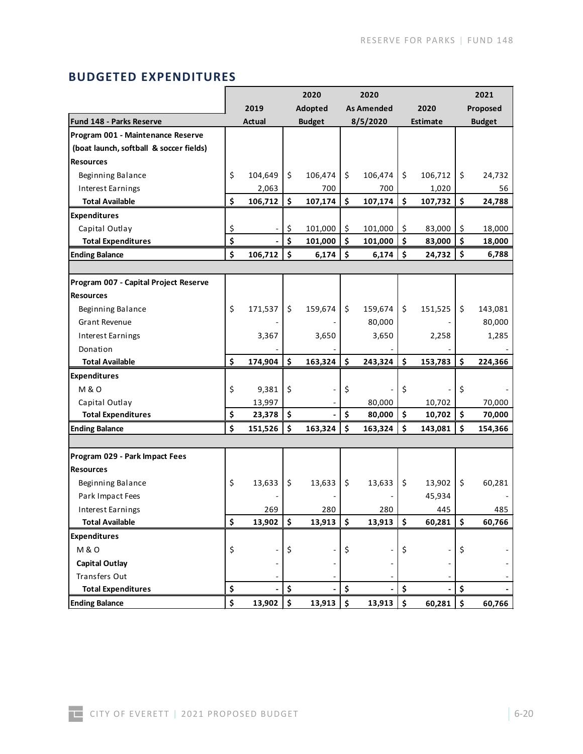## **BUDGETED EXPENDITURES**

|                                         |               |                           | 2020          |                     | 2020              |                     |          |                           | 2021          |
|-----------------------------------------|---------------|---------------------------|---------------|---------------------|-------------------|---------------------|----------|---------------------------|---------------|
|                                         | 2019          |                           | Adopted       |                     | <b>As Amended</b> |                     | 2020     |                           | Proposed      |
| Fund 148 - Parks Reserve                | Actual        |                           | <b>Budget</b> |                     | 8/5/2020          |                     | Estimate |                           | <b>Budget</b> |
| Program 001 - Maintenance Reserve       |               |                           |               |                     |                   |                     |          |                           |               |
| (boat launch, softball & soccer fields) |               |                           |               |                     |                   |                     |          |                           |               |
| <b>Resources</b>                        |               |                           |               |                     |                   |                     |          |                           |               |
| Beginning Balance                       | \$<br>104,649 | \$                        | 106,474       | \$                  | 106,474           | \$                  | 106,712  | \$                        | 24,732        |
| <b>Interest Earnings</b>                | 2,063         |                           | 700           |                     | 700               |                     | 1,020    |                           | 56            |
| <b>Total Available</b>                  | \$<br>106,712 | \$                        | 107,174       | \$                  | 107,174           | \$                  | 107,732  | \$                        | 24,788        |
| <b>Expenditures</b>                     |               |                           |               |                     |                   |                     |          |                           |               |
| Capital Outlay                          | \$            | \$                        | 101,000       | \$                  | 101,000           | \$                  | 83,000   | \$                        | 18,000        |
| <b>Total Expenditures</b>               | \$            | \$                        | 101,000       | \$                  | 101,000           | \$                  | 83,000   | \$                        | 18,000        |
| <b>Ending Balance</b>                   | \$<br>106,712 | \$                        | 6,174         | Ŝ.                  | 6,174             | Ŝ.                  | 24,732   | $\ddot{\bm{\zeta}}$       | 6,788         |
|                                         |               |                           |               |                     |                   |                     |          |                           |               |
| Program 007 - Capital Project Reserve   |               |                           |               |                     |                   |                     |          |                           |               |
| <b>Resources</b>                        |               |                           |               |                     |                   |                     |          |                           |               |
| Beginning Balance                       | \$<br>171,537 | \$                        | 159,674       | \$                  | 159,674           | \$                  | 151,525  | \$                        | 143,081       |
| <b>Grant Revenue</b>                    |               |                           |               |                     | 80,000            |                     |          |                           | 80,000        |
| Interest Earnings                       | 3,367         |                           | 3,650         |                     | 3,650             |                     | 2,258    |                           | 1,285         |
| Donation                                |               |                           |               |                     |                   |                     |          |                           |               |
| <b>Total Available</b>                  | \$<br>174,904 | \$                        | 163,324       | \$                  | 243,324           | \$                  | 153,783  | \$                        | 224,366       |
| <b>Expenditures</b>                     |               |                           |               |                     |                   |                     |          |                           |               |
| <b>M&amp;O</b>                          | \$<br>9,381   | \$                        |               | \$                  |                   | \$                  |          | \$                        |               |
| Capital Outlay                          | 13,997        |                           |               |                     | 80,000            |                     | 10,702   |                           | 70,000        |
| <b>Total Expenditures</b>               | \$<br>23,378  | \$                        |               | Ś.                  | 80,000            | \$                  | 10,702   | \$                        | 70,000        |
| <b>Ending Balance</b>                   | \$<br>151,526 | \$                        | 163,324       | Ś.                  | 163,324           | Ś                   | 143,081  | \$                        | 154,366       |
|                                         |               |                           |               |                     |                   |                     |          |                           |               |
| Program 029 - Park Impact Fees          |               |                           |               |                     |                   |                     |          |                           |               |
| <b>Resources</b>                        |               |                           |               |                     |                   |                     |          |                           |               |
| Beginning Balance                       | \$<br>13,633  | \$                        | 13,633        | \$                  | 13,633            | \$                  | 13,902   | \$                        | 60,281        |
| Park Impact Fees                        |               |                           |               |                     |                   |                     | 45,934   |                           |               |
| Interest Earnings                       | 269           |                           | 280           |                     | 280               |                     | 445      |                           | 485           |
| <b>Total Available</b>                  | \$<br>13,902  | \$                        | 13,913        | l \$                | 13,913            | $\ddot{\bm{\zeta}}$ | 60,281   | $\ddot{\bm{\zeta}}$       | 60,766        |
| <b>Expenditures</b>                     |               |                           |               |                     |                   |                     |          |                           |               |
| <b>M &amp; O</b>                        | \$            | \$                        |               | \$                  |                   | \$                  |          | \$                        |               |
| <b>Capital Outlay</b>                   |               |                           |               |                     |                   |                     |          |                           |               |
| Transfers Out                           |               |                           |               |                     |                   |                     |          |                           |               |
| <b>Total Expenditures</b>               | \$            | \$                        |               | \$                  |                   | \$                  |          | \$                        |               |
| <b>Ending Balance</b>                   | \$<br>13,902  | $\boldsymbol{\mathsf{S}}$ | 13,913        | $\ddot{\bm{\zeta}}$ | 13,913            | $\ddot{\bm{\zeta}}$ | 60,281   | $\boldsymbol{\mathsf{S}}$ | 60,766        |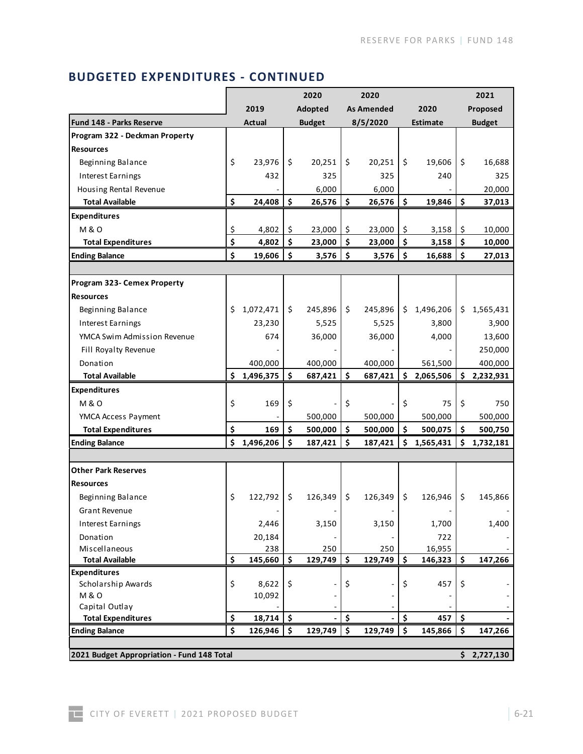## **2020 2020 2021 2019 Adopted As Amended 2020 Proposed Fund 148 - Parks Reserve Actual Budget 8/5/2020 Estimate Budget Program 322 - Deckman Property Resources** Beginning Balance  $\begin{vmatrix} 5 & 23,976 & 5 \\ 2 & 23,976 & 20,251 & 5 \\ 2 & 2 & 20,251 & 5 \end{vmatrix}$   $\begin{vmatrix} 5 & 19,606 & 5 \\ 19,606 & 5 & 16,688 \\ 19,606 & 5 & 16,688 \end{vmatrix}$  Interest Earnings 432 325 325 240 325 Housing Rental Revenue | Cassetted Lines | Cassetted Contract | Cassetted Contract Lines | 20,000 | Cassetted C  **Total Available \$ 24,408 \$ 26,576 \$ 26,576 \$ 19,846 \$ 37,013 Expenditures** M & O \$ 4,802 \$ 23,000 \$ 23,000 \$ 3,158 \$ 10,000  **Total Expenditures \$ 4,802 \$ 23,000 \$ 23,000 \$ 3,158 \$ 10,000 Ending Balance \$ 19,606 \$ 3,576 \$ 3,576 \$ 16,688 \$ 27,013 Program 323- Cemex Property Resources** Beginning Balance  $\begin{vmatrix} 5 & 1,072,471 & 5 & 245,896 & 5 & 245,896 & 5 & 1,496,206 & 5 & 1,565,431 \end{vmatrix}$ Interest Earnings 23,230 5,525 5,525 3,800 3,900 YMCA Swim Admission Revenue  $\begin{vmatrix} 674 & 36,000 & 36,000 \end{vmatrix}$  4,000  $\begin{vmatrix} 4,000 & 13,600 \end{vmatrix}$ Fill Royalty Revenue  $\begin{array}{ccc} - & - & - \end{array}$  Donation 400,000 400,000 400,000 561,500 400,000  **Total Available \$ 1,496,375 \$ 687,421 \$ 687,421 \$ 2,065,506 \$ 2,232,931 Expenditures** M & O | \$ 169 | \$ - | \$ - | \$ 75 | \$ 750 YMCA Access Payment 1980 10000 10000 500,000 500,000 500,000 500,000 500,000 500,000  **Total Expenditures \$ 169 \$ 500,000 \$ 500,000 \$ 500,075 \$ 500,750 Ending Balance \$ 1,496,206 \$ 187,421 \$ 187,421 \$ 1,565,431 \$ 1,732,181 Other Park Reserves Resources** Beginning Balance  $\begin{vmatrix} 5 & 122,792 & 5 & 126,349 & 5 & 126,349 & 5 & 126,946 & 5 & 145,866 \end{vmatrix}$  Grant Revenue - - - - - Interest Earnings 2,446 3,150 3,150 1,700 1,400 - المستشر التي تصور التي تصور التي تصور التي تصور التي تصور التي تصور التي تصور التي تصور التي تصور التي تصور<br>التي تصور التي تصور التي تصور التي تصور التي تصور التي تصور التي تصور التي تصور التي تصور التي تصور التي تصور Miscellaneous 238 250 250 16,955 -  **Total Available \$ 145,660 \$ 129,749 \$ 129,749 \$ 146,323 \$ 147,266 Expenditures** Scholarship Awards  $\begin{vmatrix} 5 & 8,622 & 5 & -15 & -15 \\ 5 & -15 & -15 & -15 \end{vmatrix}$  M & O 10,092 - - - - Capital Outlay  **Total Expenditures \$ 18,714 \$ - \$ - \$ 457 \$ - Ending Balance \$ 126,946 \$ 129,749 \$ 129,749 \$ 145,866 \$ 147,266**

### **BUDGETED EXPENDITURES - CONTINUED**

**2021 Budget Appropriation - Fund 148 Total \$ 2,727,130**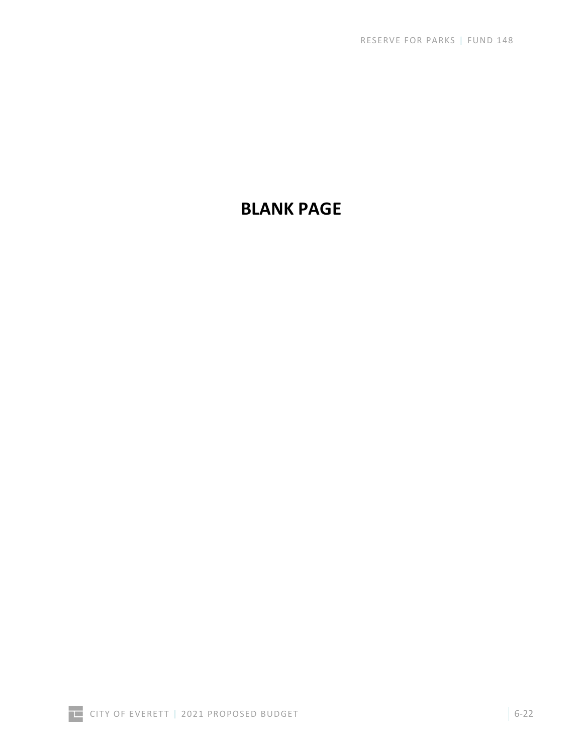# **BLANK PAGE**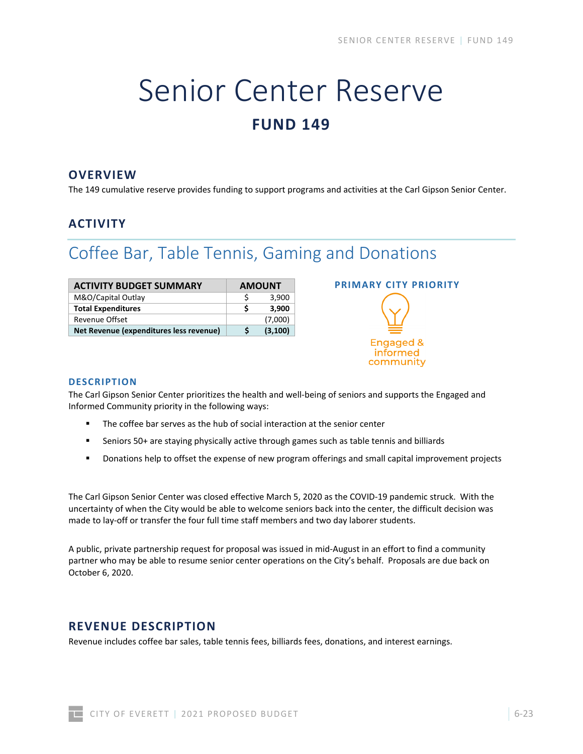# Senior Center Reserve **FUND 149**

### **OVERVIEW**

The 149 cumulative reserve provides funding to support programs and activities at the Carl Gipson Senior Center.

### **ACTIVITY**

# Coffee Bar, Table Tennis, Gaming and Donations

| <b>ACTIVITY BUDGET SUMMARY</b>          |   | <b>AMOUNT</b> |
|-----------------------------------------|---|---------------|
| M&O/Capital Outlay                      |   | 3.900         |
| <b>Total Expenditures</b>               | S | 3.900         |
| <b>Revenue Offset</b>                   |   | (7,000)       |
| Net Revenue (expenditures less revenue) |   | (3, 100)      |



### **DESCRIPTION**

The Carl Gipson Senior Center prioritizes the health and well-being of seniors and supports the Engaged and Informed Community priority in the following ways:

- The coffee bar serves as the hub of social interaction at the senior center
- Seniors 50+ are staying physically active through games such as table tennis and billiards
- **Donations help to offset the expense of new program offerings and small capital improvement projects**

The Carl Gipson Senior Center was closed effective March 5, 2020 as the COVID-19 pandemic struck. With the uncertainty of when the City would be able to welcome seniors back into the center, the difficult decision was made to lay-off or transfer the four full time staff members and two day laborer students.

A public, private partnership request for proposal was issued in mid-August in an effort to find a community partner who may be able to resume senior center operations on the City's behalf. Proposals are due back on October 6, 2020.

### **REVENUE DESCRIPTION**

Revenue includes coffee bar sales, table tennis fees, billiards fees, donations, and interest earnings.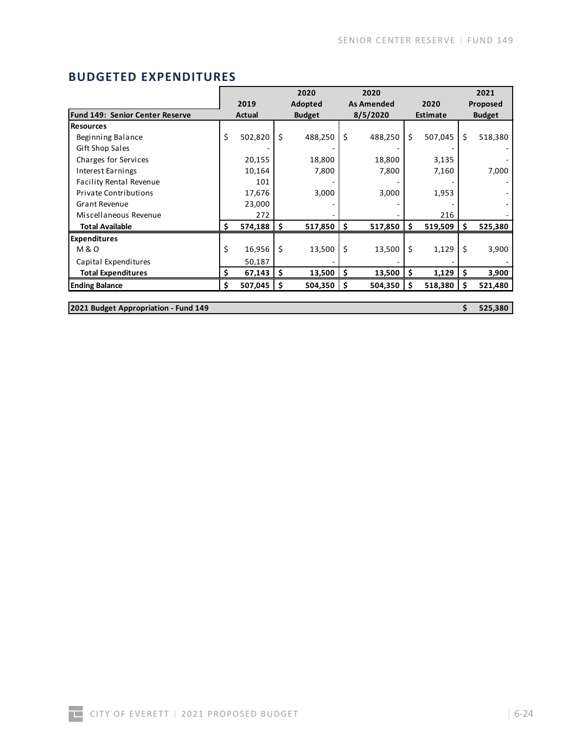|                                        |               |     | 2020          |          | 2020       |          |         |               | 2021     |  |
|----------------------------------------|---------------|-----|---------------|----------|------------|----------|---------|---------------|----------|--|
|                                        | 2019          |     | Adopted       |          | As Amended |          | 2020    |               | Proposed |  |
| <b>Fund 149: Senior Center Reserve</b> | Actual        |     | <b>Budget</b> | 8/5/2020 |            | Estimate |         | <b>Budget</b> |          |  |
| <b>Resources</b>                       |               |     |               |          |            |          |         |               |          |  |
| Beginning Balance                      | \$<br>502,820 | Ŝ.  | 488,250       | \$       | 488,250    | Ś        | 507,045 | \$            | 518,380  |  |
| Gift Shop Sales                        |               |     |               |          |            |          |         |               |          |  |
| Charges for Services                   | 20,155        |     | 18,800        |          | 18,800     |          | 3,135   |               |          |  |
| Interest Earnings                      | 10,164        |     | 7,800         |          | 7,800      |          | 7,160   |               | 7,000    |  |
| <b>Facility Rental Revenue</b>         | 101           |     |               |          |            |          |         |               |          |  |
| <b>Private Contributions</b>           | 17,676        |     | 3,000         |          | 3,000      |          | 1,953   |               |          |  |
| <b>Grant Revenue</b>                   | 23,000        |     |               |          |            |          |         |               |          |  |
| Miscellaneous Revenue                  | 272           |     |               |          |            |          | 216     |               |          |  |
| <b>Total Available</b>                 | \$<br>574,188 | -\$ | 517,850       | \$       | 517,850    | \$       | 519,509 | \$            | 525,380  |  |
| <b>Expenditures</b>                    |               |     |               |          |            |          |         |               |          |  |
| <b>M&amp;O</b>                         | \$<br>16,956  | S.  | 13,500        | \$       | 13,500     | \$       | 1,129   | Ŝ.            | 3,900    |  |
| Capital Expenditures                   | 50,187        |     |               |          |            |          |         |               |          |  |
| <b>Total Expenditures</b>              | \$<br>67,143  | Ŝ.  | 13,500        | \$       | 13,500     | \$.      | 1,129   | -\$           | 3,900    |  |
| <b>Ending Balance</b>                  | \$<br>507,045 | Ŝ   | 504,350       | .\$      | 504,350    | \$       | 518,380 | \$            | 521,480  |  |

### **BUDGETED EXPENDITURES**

**2021 Budget Appropriation - Fund 149 \$ 525,380**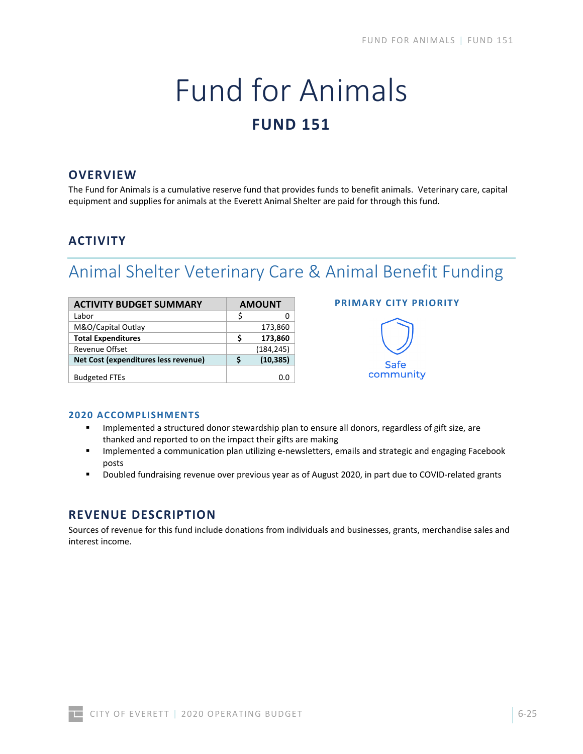# Fund for Animals **FUND 151**

### **OVERVIEW**

The Fund for Animals is a cumulative reserve fund that provides funds to benefit animals. Veterinary care, capital equipment and supplies for animals at the Everett Animal Shelter are paid for through this fund.

### **ACTIVITY**

# Animal Shelter Veterinary Care & Animal Benefit Funding

| <b>ACTIVITY BUDGET SUMMARY</b>       | <b>AMOUNT</b> |            |  |  |  |
|--------------------------------------|---------------|------------|--|--|--|
| Labor                                | Ś             |            |  |  |  |
| M&O/Capital Outlay                   |               | 173,860    |  |  |  |
| <b>Total Expenditures</b>            | S             | 173,860    |  |  |  |
| Revenue Offset                       |               | (184, 245) |  |  |  |
| Net Cost (expenditures less revenue) |               | (10, 385)  |  |  |  |
|                                      |               |            |  |  |  |
| <b>Budgeted FTEs</b>                 |               |            |  |  |  |

### **PRIMARY CITY PRIORITY**



### **2020 ACCOMPLISHMENTS**

- **Implemented a structured donor stewardship plan to ensure all donors, regardless of gift size, are** thanked and reported to on the impact their gifts are making
- **Implemented a communication plan utilizing e-newsletters, emails and strategic and engaging Facebook** posts
- Doubled fundraising revenue over previous year as of August 2020, in part due to COVID-related grants

### **REVENUE DESCRIPTION**

Sources of revenue for this fund include donations from individuals and businesses, grants, merchandise sales and interest income.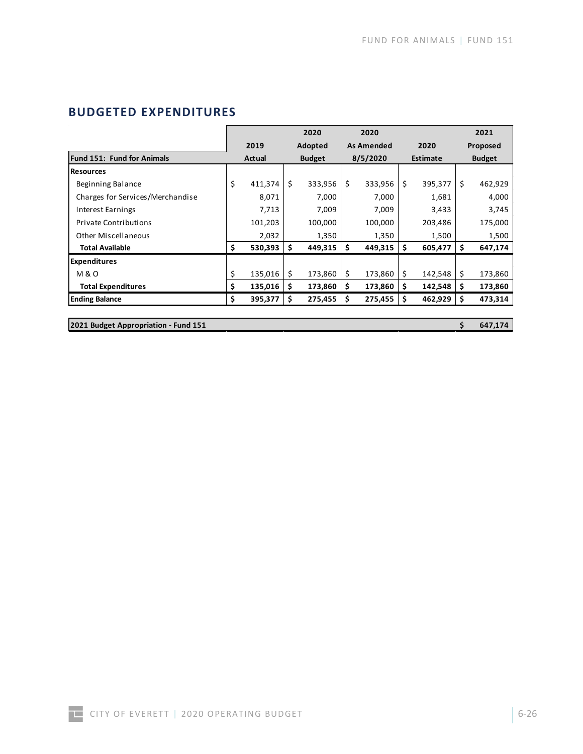| <b>BUDGETED EXPENDITURES</b> |  |  |
|------------------------------|--|--|
|------------------------------|--|--|

|                                  |    |         |    | 2020          |     | 2020              |                 |    | 2021          |
|----------------------------------|----|---------|----|---------------|-----|-------------------|-----------------|----|---------------|
|                                  |    | 2019    |    | Adopted       |     | <b>As Amended</b> | 2020            |    | Proposed      |
| Fund 151: Fund for Animals       |    | Actual  |    | <b>Budget</b> |     | 8/5/2020          | <b>Estimate</b> |    | <b>Budget</b> |
| Resources                        |    |         |    |               |     |                   |                 |    |               |
| Beginning Balance                | \$ | 411,374 | \$ | 333,956       | Ś.  | 333,956           | \$<br>395,377   | Ś. | 462,929       |
| Charges for Services/Merchandise |    | 8,071   |    | 7,000         |     | 7,000             | 1,681           |    | 4,000         |
| Interest Earnings                |    | 7,713   |    | 7,009         |     | 7,009             | 3,433           |    | 3,745         |
| <b>Private Contributions</b>     |    | 101,203 |    | 100,000       |     | 100,000           | 203,486         |    | 175,000       |
| Other Miscellaneous              |    | 2,032   |    | 1,350         |     | 1,350             | 1,500           |    | 1,500         |
| <b>Total Available</b>           | \$ | 530,393 | \$ | 449,315       | S   | 449,315           | \$<br>605,477   | \$ | 647,174       |
| <b>Expenditures</b>              |    |         |    |               |     |                   |                 |    |               |
| <b>M&amp;O</b>                   | \$ | 135,016 | \$ | 173,860       | Ś.  | 173,860           | \$<br>142,548   | \$ | 173,860       |
| <b>Total Expenditures</b>        |    | 135,016 | Ś  | 173,860       | Ś.  | 173,860           | \$<br>142,548   | \$ | 173,860       |
| <b>Ending Balance</b>            | s  | 395,377 | Ś  | 275,455       | \$. | 275,455           | \$<br>462,929   | \$ | 473,314       |

**2021 Budget Appropriation - Fund 151 \$ 647,174**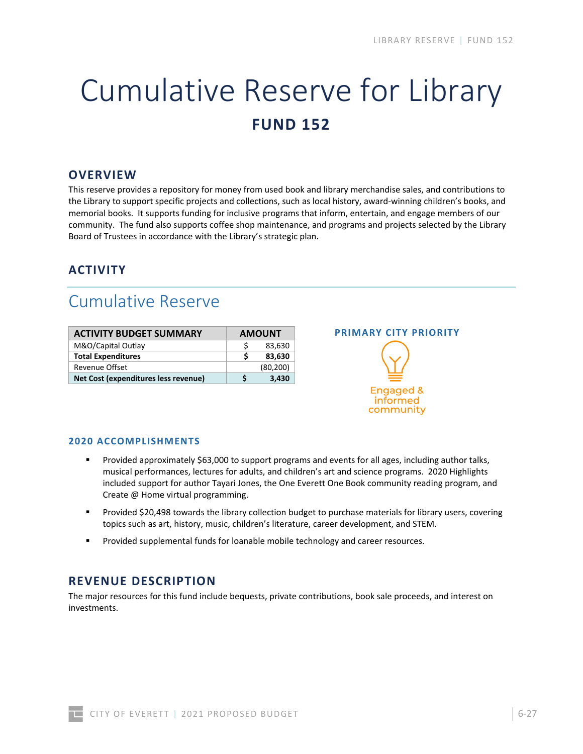# Cumulative Reserve for Library **FUND 152**

### **OVERVIEW**

This reserve provides a repository for money from used book and library merchandise sales, and contributions to the Library to support specific projects and collections, such as local history, award-winning children's books, and memorial books. It supports funding for inclusive programs that inform, entertain, and engage members of our community. The fund also supports coffee shop maintenance, and programs and projects selected by the Library Board of Trustees in accordance with the Library's strategic plan.

## **ACTIVITY**

# Cumulative Reserve

| <b>ACTIVITY BUDGET SUMMARY</b>       |   | <b>AMOUNT</b> |
|--------------------------------------|---|---------------|
| M&O/Capital Outlay                   |   | 83,630        |
| <b>Total Expenditures</b>            | S | 83,630        |
| <b>Revenue Offset</b>                |   | (80, 200)     |
| Net Cost (expenditures less revenue) | S | 3.430         |

# **PRIMARY CITY PRIORITY**Engaged & informed community

### **2020 ACCOMPLISHMENTS**

- **Provided approximately \$63,000 to support programs and events for all ages, including author talks,** musical performances, lectures for adults, and children's art and science programs. 2020 Highlights included support for author Tayari Jones, the One Everett One Book community reading program, and Create @ Home virtual programming.
- **Provided \$20,498 towards the library collection budget to purchase materials for library users, covering** topics such as art, history, music, children's literature, career development, and STEM.
- Provided supplemental funds for loanable mobile technology and career resources.

### **REVENUE DESCRIPTION**

The major resources for this fund include bequests, private contributions, book sale proceeds, and interest on investments.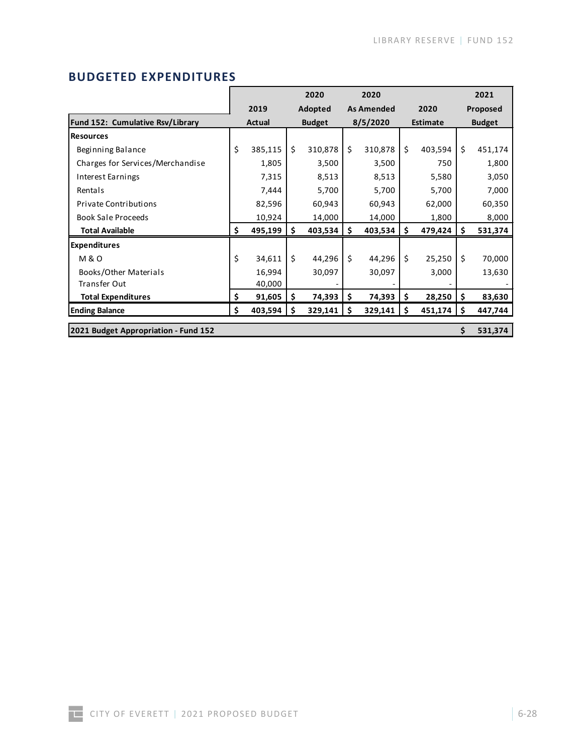|                                      |               | 2020          | 2020              |    |                 | 2021          |
|--------------------------------------|---------------|---------------|-------------------|----|-----------------|---------------|
|                                      | 2019          | Adopted       | <b>As Amended</b> |    | 2020            | Proposed      |
| Fund 152: Cumulative Rsv/Library     | Actual        | <b>Budget</b> | 8/5/2020          |    | <b>Estimate</b> | <b>Budget</b> |
| <b>Resources</b>                     |               |               |                   |    |                 |               |
| Beginning Balance                    | \$<br>385,115 | \$<br>310,878 | \$<br>310,878     | Ś. | 403,594         | \$<br>451,174 |
| Charges for Services/Merchandise     | 1,805         | 3,500         | 3,500             |    | 750             | 1,800         |
| Interest Earnings                    | 7,315         | 8,513         | 8,513             |    | 5,580           | 3,050         |
| Rentals                              | 7,444         | 5,700         | 5,700             |    | 5,700           | 7,000         |
| <b>Private Contributions</b>         | 82,596        | 60,943        | 60,943            |    | 62,000          | 60,350        |
| <b>Book Sale Proceeds</b>            | 10,924        | 14,000        | 14,000            |    | 1,800           | 8,000         |
| <b>Total Available</b>               | \$<br>495,199 | \$<br>403,534 | \$<br>403,534     | Ś. | 479,424         | \$<br>531,374 |
| <b>Expenditures</b>                  |               |               |                   |    |                 |               |
| <b>M&amp;O</b>                       | \$<br>34,611  | \$<br>44,296  | \$<br>44,296      | Ś. | 25,250          | \$<br>70,000  |
| Books/Other Materials                | 16,994        | 30,097        | 30,097            |    | 3,000           | 13,630        |
| <b>Transfer Out</b>                  | 40,000        |               |                   |    |                 |               |
| <b>Total Expenditures</b>            | \$<br>91,605  | \$<br>74,393  | \$<br>74,393      | \$ | 28,250          | \$<br>83,630  |
| <b>Ending Balance</b>                | \$<br>403,594 | \$<br>329,141 | \$<br>329,141     | \$ | 451,174         | \$<br>447,744 |
|                                      |               |               |                   |    |                 |               |
| 2021 Budget Appropriation - Fund 152 |               |               |                   |    |                 | \$<br>531,374 |

### **BUDGETED EXPENDITURES**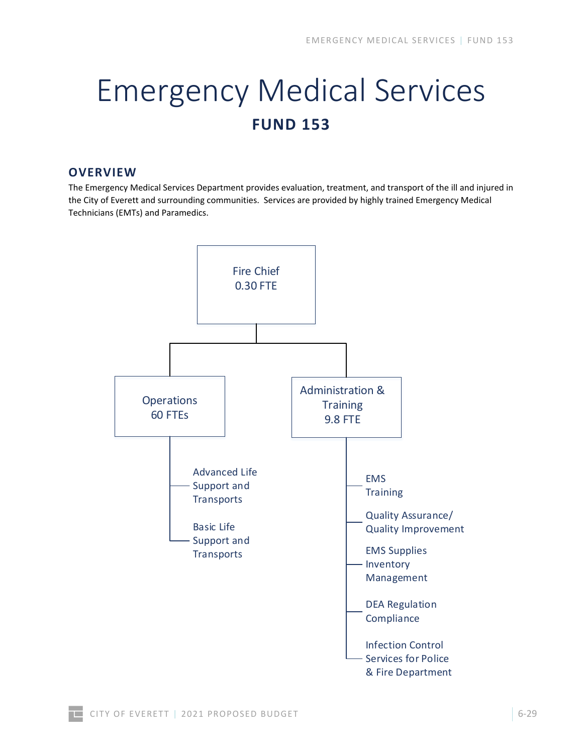# Emergency Medical Services **FUND 153**

### **OVERVIEW**

The Emergency Medical Services Department provides evaluation, treatment, and transport of the ill and injured in the City of Everett and surrounding communities. Services are provided by highly trained Emergency Medical Technicians (EMTs) and Paramedics.

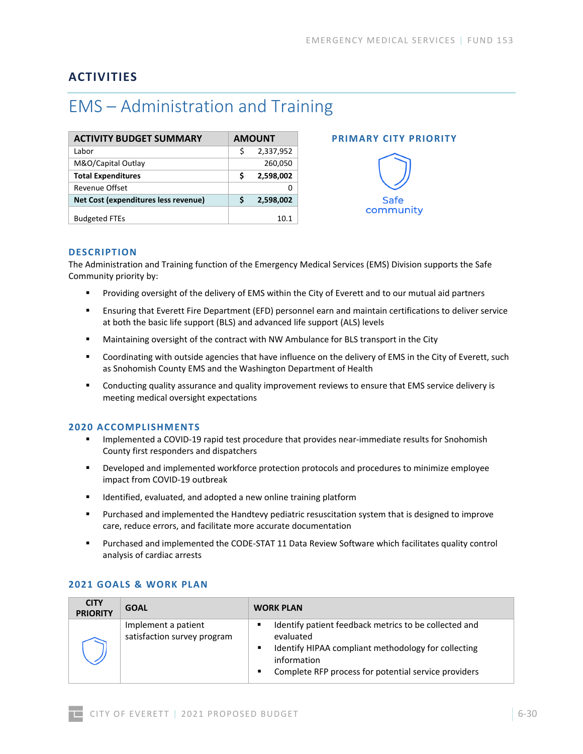## **ACTIVITIES**

# EMS – Administration and Training

| <b>ACTIVITY BUDGET SUMMARY</b>       | <b>AMOUNT</b>  | <b>PRIMARY CITY PRIORITY</b> |
|--------------------------------------|----------------|------------------------------|
| Labor                                | 2,337,952      |                              |
| M&O/Capital Outlay                   | 260,050        |                              |
| <b>Total Expenditures</b>            | 2,598,002<br>S |                              |
| <b>Revenue Offset</b>                |                |                              |
| Net Cost (expenditures less revenue) | 2,598,002      | <b>Safe</b>                  |
| <b>Budgeted FTEs</b>                 | 10.1           | community                    |

### **DESCRIPTION**

The Administration and Training function of the Emergency Medical Services (EMS) Division supports the Safe Community priority by:

- Providing oversight of the delivery of EMS within the City of Everett and to our mutual aid partners
- Ensuring that Everett Fire Department (EFD) personnel earn and maintain certifications to deliver service at both the basic life support (BLS) and advanced life support (ALS) levels
- **Maintaining oversight of the contract with NW Ambulance for BLS transport in the City**
- **Coordinating with outside agencies that have influence on the delivery of EMS in the City of Everett, such 4** as Snohomish County EMS and the Washington Department of Health
- **Conducting quality assurance and quality improvement reviews to ensure that EMS service delivery is** meeting medical oversight expectations

### **2020 ACCOMPLISHMENTS**

- **IMPLEM** 10 COVID-19 rapid test procedure that provides near-immediate results for Snohomish County first responders and dispatchers
- Developed and implemented workforce protection protocols and procedures to minimize employee impact from COVID-19 outbreak
- **IDENTIFIEL 11** Identified, evaluated, and adopted a new online training platform
- Purchased and implemented the Handtevy pediatric resuscitation system that is designed to improve care, reduce errors, and facilitate more accurate documentation
- Purchased and implemented the CODE-STAT 11 Data Review Software which facilitates quality control analysis of cardiac arrests

### **2021 GOALS & WORK PLAN**

| <b>CITY</b><br><b>PRIORITY</b> | <b>GOAL</b>                                        | <b>WORK PLAN</b>                                                                                                                                                                                 |  |  |  |
|--------------------------------|----------------------------------------------------|--------------------------------------------------------------------------------------------------------------------------------------------------------------------------------------------------|--|--|--|
|                                | Implement a patient<br>satisfaction survey program | Identify patient feedback metrics to be collected and<br>evaluated<br>Identify HIPAA compliant methodology for collecting<br>information<br>Complete RFP process for potential service providers |  |  |  |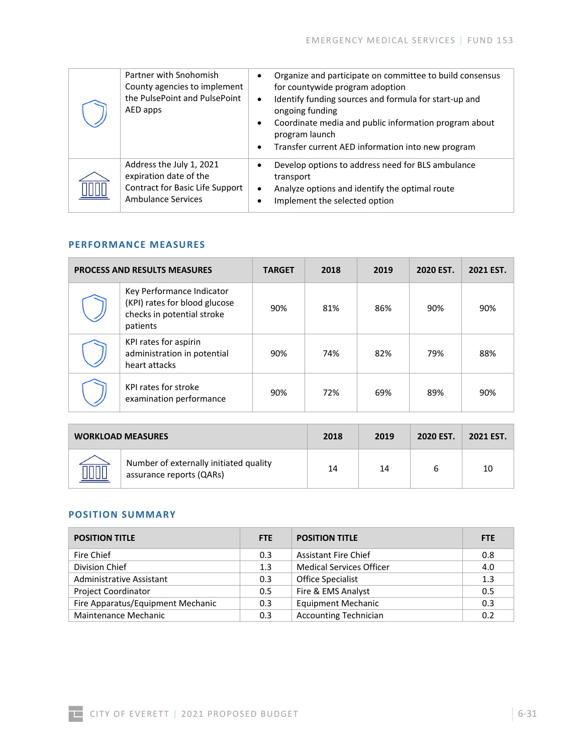|  | Partner with Snohomish<br>County agencies to implement<br>the PulsePoint and PulsePoint<br>AED apps                | $\bullet$<br>$\bullet$<br>$\bullet$<br>$\bullet$ | Organize and participate on committee to build consensus<br>for countywide program adoption<br>Identify funding sources and formula for start-up and<br>ongoing funding<br>Coordinate media and public information program about<br>program launch<br>Transfer current AED information into new program |
|--|--------------------------------------------------------------------------------------------------------------------|--------------------------------------------------|---------------------------------------------------------------------------------------------------------------------------------------------------------------------------------------------------------------------------------------------------------------------------------------------------------|
|  | Address the July 1, 2021<br>expiration date of the<br>Contract for Basic Life Support<br><b>Ambulance Services</b> | $\bullet$<br>$\bullet$<br>$\bullet$              | Develop options to address need for BLS ambulance<br>transport<br>Analyze options and identify the optimal route<br>Implement the selected option                                                                                                                                                       |

### **PERFORMANCE MEASURES**

| <b>PROCESS AND RESULTS MEASURES</b> |                                                                                                      | TARGET | 2018 | 2019 | 2020 EST. | 2021 EST. |
|-------------------------------------|------------------------------------------------------------------------------------------------------|--------|------|------|-----------|-----------|
|                                     | Key Performance Indicator<br>(KPI) rates for blood glucose<br>checks in potential stroke<br>patients | 90%    | 81%  | 86%  | 90%       | 90%       |
|                                     | KPI rates for aspirin<br>administration in potential<br>heart attacks                                | 90%    | 74%  | 82%  | 79%       | 88%       |
|                                     | KPI rates for stroke<br>examination performance                                                      | 90%    | 72%  | 69%  | 89%       | 90%       |

| <b>WORKLOAD MEASURES</b> |                                                                    | 2018 | 2019 | 2020 EST. | 2021 EST. |
|--------------------------|--------------------------------------------------------------------|------|------|-----------|-----------|
| <b>STATISTICS</b>        | Number of externally initiated quality<br>assurance reports (QARs) | 14   | 14   | 6         | 10        |

### **POSITION SUMMARY**

| <b>POSITION TITLE</b>             | <b>FTE</b> | <b>POSITION TITLE</b>           | <b>FTE</b> |
|-----------------------------------|------------|---------------------------------|------------|
| Fire Chief                        | 0.3        | <b>Assistant Fire Chief</b>     | 0.8        |
| Division Chief                    | 1.3        | <b>Medical Services Officer</b> | 4.0        |
| Administrative Assistant          | 0.3        | <b>Office Specialist</b>        | 1.3        |
| Project Coordinator               | 0.5        | Fire & EMS Analyst              | 0.5        |
| Fire Apparatus/Equipment Mechanic | 0.3        | <b>Equipment Mechanic</b>       | 0.3        |
| Maintenance Mechanic              | 0.3        | <b>Accounting Technician</b>    | 0.2        |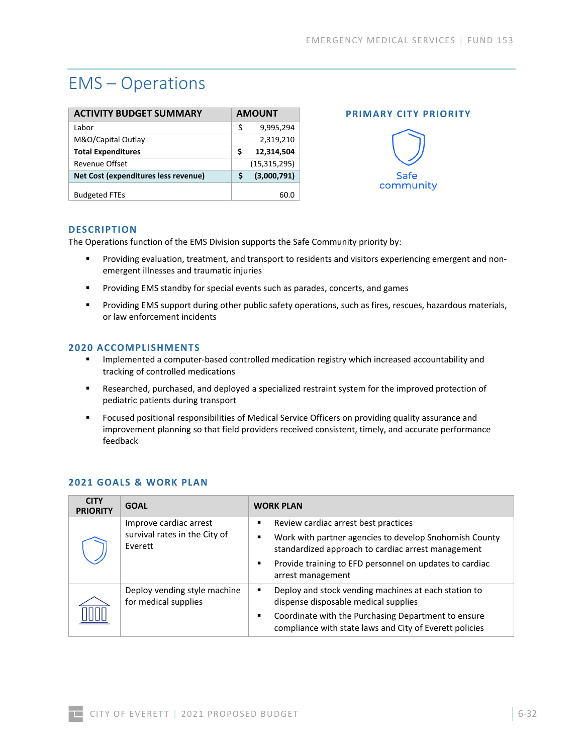# EMS – Operations

| <b>ACTIVITY BUDGET SUMMARY</b>       |    | <b>AMOUNT</b>  |
|--------------------------------------|----|----------------|
| Labor                                | \$ | 9,995,294      |
| M&O/Capital Outlay                   |    | 2,319,210      |
| <b>Total Expenditures</b>            | Ś  | 12,314,504     |
| <b>Revenue Offset</b>                |    | (15, 315, 295) |
| Net Cost (expenditures less revenue) | Ś  | (3,000,791)    |
| <b>Budgeted FTEs</b>                 |    | 60 N           |

#### **PRIMARY CITY PRIORITY**



#### **DESCRIPTION**

The Operations function of the EMS Division supports the Safe Community priority by:

- **Providing evaluation, treatment, and transport to residents and visitors experiencing emergent and non**emergent illnesses and traumatic injuries
- **Providing EMS standby for special events such as parades, concerts, and games**
- **Providing EMS support during other public safety operations, such as fires, rescues, hazardous materials,** or law enforcement incidents

### **2020 ACCOMPLISHMENTS**

- **Implemented a computer-based controlled medication registry which increased accountability and** tracking of controlled medications
- Researched, purchased, and deployed a specialized restraint system for the improved protection of pediatric patients during transport
- **FIGULT 1** Focused positional responsibilities of Medical Service Officers on providing quality assurance and improvement planning so that field providers received consistent, timely, and accurate performance feedback

| <b>CITY</b><br><b>PRIORITY</b> | <b>GOAL</b>                                          | <b>WORK PLAN</b>                                                                                                  |
|--------------------------------|------------------------------------------------------|-------------------------------------------------------------------------------------------------------------------|
|                                | Improve cardiac arrest                               | Review cardiac arrest best practices                                                                              |
|                                | survival rates in the City of<br>Everett             | Work with partner agencies to develop Snohomish County<br>٠<br>standardized approach to cardiac arrest management |
|                                |                                                      | Provide training to EFD personnel on updates to cardiac<br>٠<br>arrest management                                 |
|                                | Deploy vending style machine<br>for medical supplies | Deploy and stock vending machines at each station to<br>٠<br>dispense disposable medical supplies                 |
|                                |                                                      | Coordinate with the Purchasing Department to ensure<br>compliance with state laws and City of Everett policies    |

#### **2021 GOALS & WORK PLAN**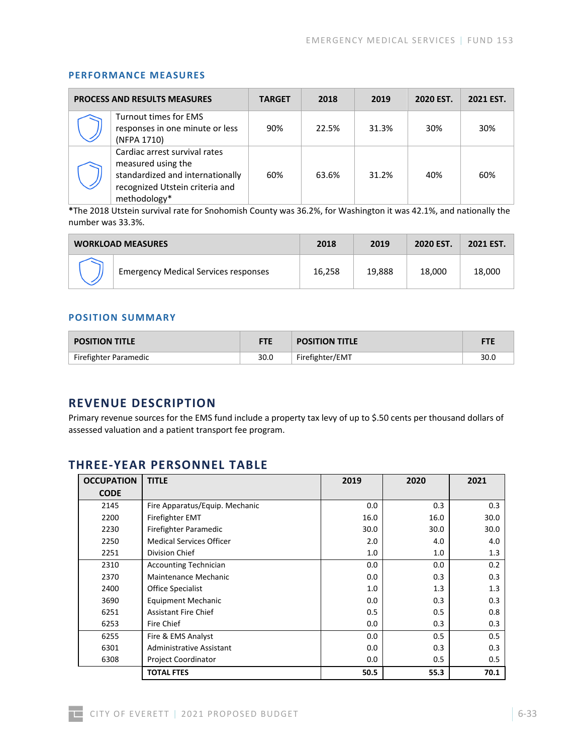### **PERFORMANCE MEASURES**

| <b>PROCESS AND RESULTS MEASURES</b>                                                                                                        | <b>TARGET</b> | 2018  | 2019  | 2020 EST. | 2021 EST. |
|--------------------------------------------------------------------------------------------------------------------------------------------|---------------|-------|-------|-----------|-----------|
| Turnout times for EMS<br>responses in one minute or less<br>(NFPA 1710)                                                                    | 90%           | 22.5% | 31.3% | 30%       | 30%       |
| Cardiac arrest survival rates<br>measured using the<br>standardized and internationally<br>recognized Utstein criteria and<br>methodology* | 60%           | 63.6% | 31.2% | 40%       | 60%       |

**\***The 2018 Utstein survival rate for Snohomish County was 36.2%, for Washington it was 42.1%, and nationally the number was 33.3%.

| <b>WORKLOAD MEASURES</b> |                                             | 2018   | 2019   | 2020 EST. | <b>2021 EST.</b> |
|--------------------------|---------------------------------------------|--------|--------|-----------|------------------|
|                          | <b>Emergency Medical Services responses</b> | 16,258 | 19,888 | 18,000    | 18,000           |

### **POSITION SUMMARY**

| <b>POSITION TITLE</b> | <b>FTE</b> | <b>POSITION TITLE</b> | <b>FTE</b> |
|-----------------------|------------|-----------------------|------------|
| Firefighter Paramedic | 30.0       | Firefighter/EMT       | 30.0       |

### **REVENUE DESCRIPTION**

Primary revenue sources for the EMS fund include a property tax levy of up to \$.50 cents per thousand dollars of assessed valuation and a patient transport fee program.

# **THREE-YEAR PERSONNEL TABLE**

| <b>OCCUPATION</b> | <b>TITLE</b>                    |      | 2020 | 2021 |
|-------------------|---------------------------------|------|------|------|
| <b>CODE</b>       |                                 |      |      |      |
| 2145              | Fire Apparatus/Equip. Mechanic  | 0.0  | 0.3  | 0.3  |
| 2200              | Firefighter EMT                 | 16.0 | 16.0 | 30.0 |
| 2230              | Firefighter Paramedic           | 30.0 | 30.0 | 30.0 |
| 2250              | <b>Medical Services Officer</b> | 2.0  | 4.0  | 4.0  |
| 2251              | Division Chief                  | 1.0  | 1.0  | 1.3  |
| 2310              | <b>Accounting Technician</b>    | 0.0  | 0.0  | 0.2  |
| 2370              | Maintenance Mechanic            | 0.0  | 0.3  | 0.3  |
| 2400              | Office Specialist               | 1.0  | 1.3  | 1.3  |
| 3690              | <b>Equipment Mechanic</b>       | 0.0  | 0.3  | 0.3  |
| 6251              | <b>Assistant Fire Chief</b>     | 0.5  | 0.5  | 0.8  |
| 6253              | Fire Chief                      | 0.0  | 0.3  | 0.3  |
| 6255              | Fire & EMS Analyst              | 0.0  | 0.5  | 0.5  |
| 6301              | <b>Administrative Assistant</b> | 0.0  | 0.3  | 0.3  |
| 6308              | <b>Project Coordinator</b>      | 0.0  | 0.5  | 0.5  |
|                   | <b>TOTAL FTES</b>               | 50.5 | 55.3 | 70.1 |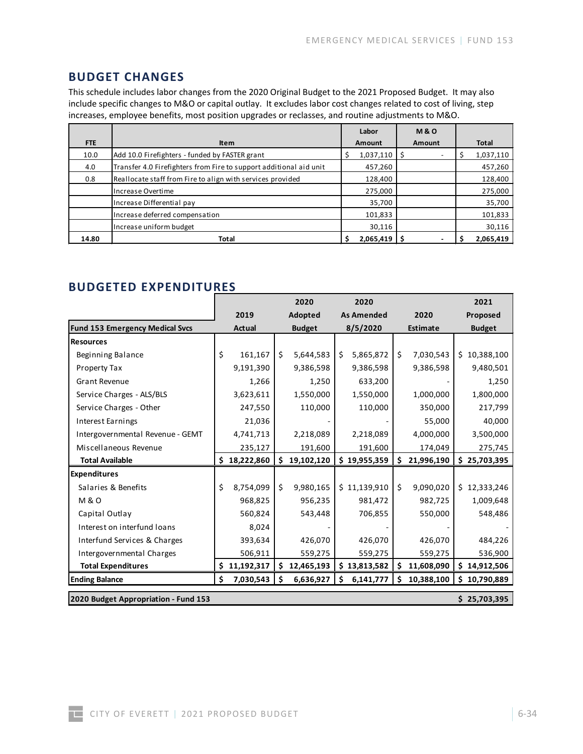## **BUDGET CHANGES**

This schedule includes labor changes from the 2020 Original Budget to the 2021 Proposed Budget. It may also include specific changes to M&O or capital outlay. It excludes labor cost changes related to cost of living, step increases, employee benefits, most position upgrades or reclasses, and routine adjustments to M&O.

|       |                                                                    | Labor            |        | <b>M&amp;O</b> |           |
|-------|--------------------------------------------------------------------|------------------|--------|----------------|-----------|
| FTE.  | <b>Item</b>                                                        | <b>Amount</b>    | Amount |                | Total     |
| 10.0  | Add 10.0 Firefighters - funded by FASTER grant                     | $1,037,110$   \$ |        |                | 1,037,110 |
| 4.0   | Transfer 4.0 Firefighters from Fire to support additional aid unit | 457,260          |        |                | 457,260   |
| 0.8   | Reallocate staff from Fire to align with services provided         | 128,400          |        |                | 128,400   |
|       | Increase Overtime                                                  | 275,000          |        |                | 275,000   |
|       | Increase Differential pay                                          | 35,700           |        |                | 35,700    |
|       | Increase deferred compensation                                     | 101,833          |        |                | 101,833   |
|       | Increase uniform budget                                            | 30,116           |        |                | 30,116    |
| 14.80 | Total                                                              | $2,065,419$   \$ |        |                | 2,065,419 |

## **BUDGETED EXPENDITURES**

|                                        |                  |    | 2020          | 2020              |     |                 |    | 2021          |
|----------------------------------------|------------------|----|---------------|-------------------|-----|-----------------|----|---------------|
|                                        | 2019             |    | Adopted       | <b>As Amended</b> |     | 2020            |    | Proposed      |
| <b>Fund 153 Emergency Medical Svcs</b> | Actual           |    | <b>Budget</b> | 8/5/2020          |     | <b>Estimate</b> |    | <b>Budget</b> |
| <b>Resources</b>                       |                  |    |               |                   |     |                 |    |               |
| Beginning Balance                      | \$<br>161,167    | \$ | 5,644,583     | \$<br>5,865,872   | \$  | 7,030,543       |    | \$10,388,100  |
| Property Tax                           | 9,191,390        |    | 9,386,598     | 9,386,598         |     | 9,386,598       |    | 9,480,501     |
| <b>Grant Revenue</b>                   | 1,266            |    | 1,250         | 633,200           |     |                 |    | 1,250         |
| Service Charges - ALS/BLS              | 3,623,611        |    | 1,550,000     | 1,550,000         |     | 1,000,000       |    | 1,800,000     |
| Service Charges - Other                | 247,550          |    | 110,000       | 110,000           |     | 350,000         |    | 217,799       |
| <b>Interest Earnings</b>               | 21,036           |    |               |                   |     | 55,000          |    | 40,000        |
| Intergovernmental Revenue - GEMT       | 4,741,713        |    | 2,218,089     | 2,218,089         |     | 4,000,000       |    | 3,500,000     |
| Miscellaneous Revenue                  | 235,127          |    | 191,600       | 191,600           |     | 174,049         |    | 275,745       |
| <b>Total Available</b>                 | \$<br>18,222,860 | Ś  | 19,102,120    | \$19,955,359      | Ś   | 21,996,190      | Ś  | 25,703,395    |
| <b>Expenditures</b>                    |                  |    |               |                   |     |                 |    |               |
| Salaries & Benefits                    | \$<br>8,754,099  | \$ | 9,980,165     | \$11,139,910      | \$  | 9,090,020       |    | \$12,333,246  |
| <b>M&amp;O</b>                         | 968,825          |    | 956,235       | 981,472           |     | 982,725         |    | 1,009,648     |
| Capital Outlay                         | 560,824          |    | 543,448       | 706,855           |     | 550,000         |    | 548,486       |
| Interest on interfund loans            | 8,024            |    |               |                   |     |                 |    |               |
| Interfund Services & Charges           | 393,634          |    | 426,070       | 426,070           |     | 426,070         |    | 484,226       |
| Intergovernmental Charges              | 506,911          |    | 559,275       | 559,275           |     | 559,275         |    | 536,900       |
| <b>Total Expenditures</b>              | \$<br>11,192,317 | Ś  | 12,465,193    | \$13,813,582      | \$. | 11,608,090      | \$ | 14,912,506    |
| <b>Ending Balance</b>                  | \$<br>7,030,543  | \$ | 6,636,927     | \$<br>6,141,777   | \$  | 10,388,100      |    | \$10,790,889  |
| 2020 Budget Appropriation - Fund 153   |                  |    |               |                   |     |                 |    | \$25,703,395  |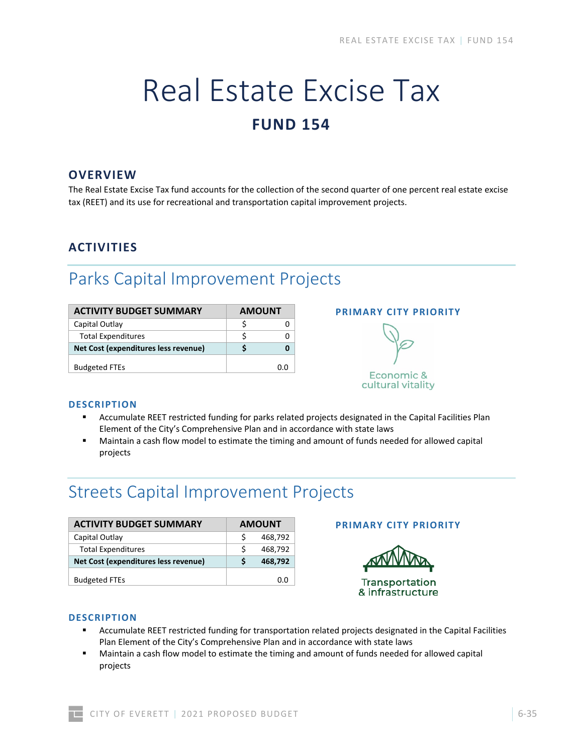# Real Estate Excise Tax **FUND 154**

### **OVERVIEW**

The Real Estate Excise Tax fund accounts for the collection of the second quarter of one percent real estate excise tax (REET) and its use for recreational and transportation capital improvement projects.

## **ACTIVITIES**

# Parks Capital Improvement Projects

| <b>ACTIVITY BUDGET SUMMARY</b>       | <b>AMOUNT</b> |  |
|--------------------------------------|---------------|--|
| Capital Outlay                       |               |  |
| <b>Total Expenditures</b>            |               |  |
| Net Cost (expenditures less revenue) |               |  |
| <b>Budgeted FTEs</b>                 |               |  |

**PRIMARY CITY PRIORITY**



### **DESCRIPTION**

- Accumulate REET restricted funding for parks related projects designated in the Capital Facilities Plan Element of the City's Comprehensive Plan and in accordance with state laws
- Maintain a cash flow model to estimate the timing and amount of funds needed for allowed capital projects

# Streets Capital Improvement Projects

| <b>ACTIVITY BUDGET SUMMARY</b>       |   | <b>AMOUNT</b> |
|--------------------------------------|---|---------------|
| Capital Outlay                       | S | 468,792       |
| <b>Total Expenditures</b>            | S | 468,792       |
| Net Cost (expenditures less revenue) |   | 468,792       |
| <b>Budgeted FTEs</b>                 |   | ი ი           |

### **PRIMARY CITY PRIORITY**



### **DESCRIPTION**

- Accumulate REET restricted funding for transportation related projects designated in the Capital Facilities Plan Element of the City's Comprehensive Plan and in accordance with state laws
- Maintain a cash flow model to estimate the timing and amount of funds needed for allowed capital projects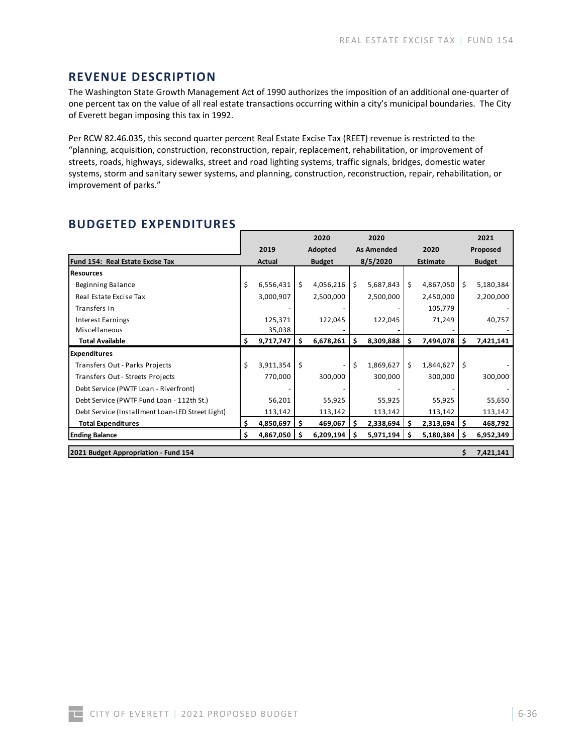### **REVENUE DESCRIPTION**

The Washington State Growth Management Act of 1990 authorizes the imposition of an additional one-quarter of one percent tax on the value of all real estate transactions occurring within a city's municipal boundaries. The City of Everett began imposing this tax in 1992.

Per RCW 82.46.035, this second quarter percent Real Estate Excise Tax (REET) revenue is restricted to the "planning, acquisition, construction, reconstruction, repair, replacement, rehabilitation, or improvement of streets, roads, highways, sidewalks, street and road lighting systems, traffic signals, bridges, domestic water systems, storm and sanitary sewer systems, and planning, construction, reconstruction, repair, rehabilitation, or improvement of parks."

|                                                  |                 |    | 2020          |    | 2020              |     |                  |     | 2021          |
|--------------------------------------------------|-----------------|----|---------------|----|-------------------|-----|------------------|-----|---------------|
|                                                  | 2019            |    | Adopted       |    | <b>As Amended</b> |     | 2020             |     | Proposed      |
| Fund 154: Real Estate Excise Tax                 | Actual          |    | <b>Budget</b> |    | 8/5/2020          |     | Estimate         |     | <b>Budget</b> |
| <b>Resources</b>                                 |                 |    |               |    |                   |     |                  |     |               |
| Beginning Balance                                | \$<br>6,556,431 | Ś. | 4,056,216     | \$ | 5,687,843         | Ś.  | 4,867,050        | Ś.  | 5,180,384     |
| Real Estate Excise Tax                           | 3,000,907       |    | 2,500,000     |    | 2,500,000         |     | 2,450,000        |     | 2,200,000     |
| Transfers In                                     |                 |    |               |    |                   |     | 105,779          |     |               |
| <b>Interest Earnings</b>                         | 125,371         |    | 122,045       |    | 122,045           |     | 71,249           |     | 40,757        |
| Miscellaneous                                    | 35,038          |    |               |    |                   |     |                  |     |               |
| <b>Total Available</b>                           | \$<br>9,717,747 | S  | 6,678,261     | \$ | 8,309,888         | \$  | 7,494,078        | \$  | 7,421,141     |
| <b>Expenditures</b>                              |                 |    |               |    |                   |     |                  |     |               |
| Transfers Out - Parks Projects                   | \$<br>3,911,354 | \$ |               | \$ | 1,869,627         | Ś.  | 1,844,627        | \$  |               |
| Transfers Out - Streets Projects                 | 770,000         |    | 300,000       |    | 300,000           |     | 300,000          |     | 300,000       |
| Debt Service (PWTF Loan - Riverfront)            |                 |    |               |    |                   |     |                  |     |               |
| Debt Service (PWTF Fund Loan - 112th St.)        | 56,201          |    | 55,925        |    | 55,925            |     | 55,925           |     | 55,650        |
| Debt Service (Installment Loan-LED Street Light) | 113,142         |    | 113,142       |    | 113,142           |     | 113,142          |     | 113,142       |
| <b>Total Expenditures</b>                        | \$<br>4,850,697 | S  | 469,067       | s  | 2,338,694         | \$. | $2,313,694$   \$ |     | 468,792       |
| <b>Ending Balance</b>                            | \$<br>4,867,050 | s  | 6,209,194     | Ś  | 5,971,194         | \$  | 5,180,384        | -\$ | 6,952,349     |
| 2021 Budget Appropriation - Fund 154             |                 |    |               |    |                   |     |                  | \$  | 7,421,141     |

### **BUDGETED EXPENDITURES**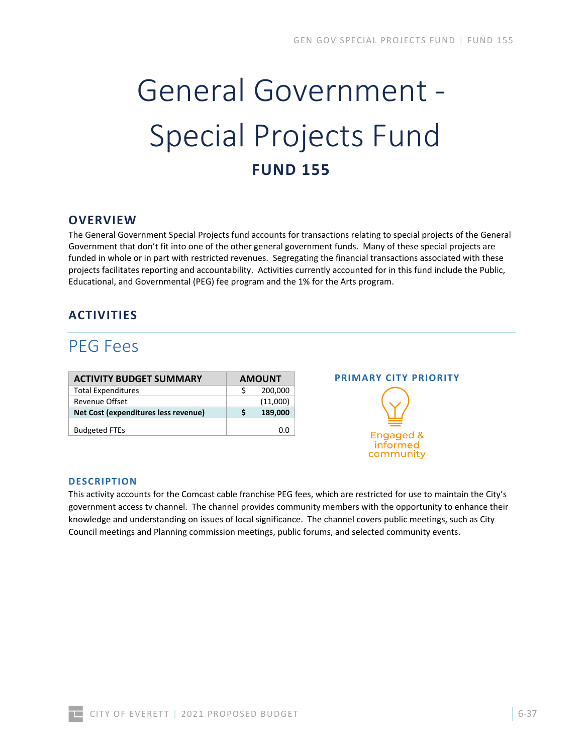# General Government - Special Projects Fund **FUND 155**

### **OVERVIEW**

The General Government Special Projects fund accounts for transactions relating to special projects of the General Government that don't fit into one of the other general government funds. Many of these special projects are funded in whole or in part with restricted revenues. Segregating the financial transactions associated with these projects facilitates reporting and accountability. Activities currently accounted for in this fund include the Public, Educational, and Governmental (PEG) fee program and the 1% for the Arts program.

## **ACTIVITIES**

# PEG Fees

| <b>ACTIVITY BUDGET SUMMARY</b>       |   | <b>AMOUNT</b> |
|--------------------------------------|---|---------------|
| <b>Total Expenditures</b>            | S | 200,000       |
| <b>Revenue Offset</b>                |   | (11,000)      |
| Net Cost (expenditures less revenue) | S | 189,000       |
| <b>Budgeted FTEs</b>                 |   |               |



### **DESCRIPTION**

This activity accounts for the Comcast cable franchise PEG fees, which are restricted for use to maintain the City's government access tv channel. The channel provides community members with the opportunity to enhance their knowledge and understanding on issues of local significance. The channel covers public meetings, such as City Council meetings and Planning commission meetings, public forums, and selected community events.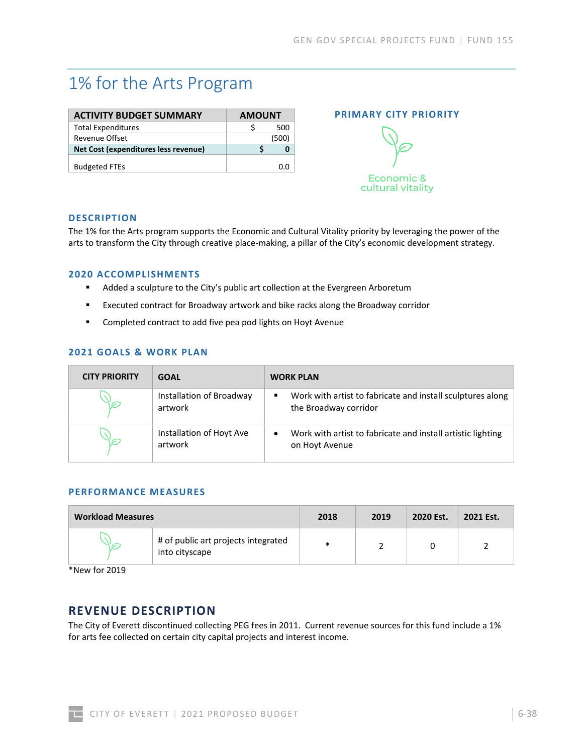# 1% for the Arts Program

| <b>ACTIVITY BUDGET SUMMARY</b>       | <b>AMOUNT</b> |       |
|--------------------------------------|---------------|-------|
| <b>Total Expenditures</b>            |               | 500   |
| Revenue Offset                       |               | (500) |
| Net Cost (expenditures less revenue) |               |       |
| <b>Budgeted FTEs</b>                 |               |       |

#### **PRIMARY CITY PRIORITY**



#### **DESCRIPTION**

The 1% for the Arts program supports the Economic and Cultural Vitality priority by leveraging the power of the arts to transform the City through creative place-making, a pillar of the City's economic development strategy.

#### **2020 ACCOMPLISHMENTS**

- Added a sculpture to the City's public art collection at the Evergreen Arboretum
- **EXECUTED CONSTROOT EXAMOGLY ATTLE FORDITY CONTROOT FOR A FIGURE THE EXECUTED** EXECUTED FIGURE EXAMOTED FIGURE EXAMOTED
- **EXECOMPLETED COMPLETED ADDETED THE COMPLETED COMPLETED**

### **2021 GOALS & WORK PLAN**

| <b>CITY PRIORITY</b> | <b>GOAL</b>                         | <b>WORK PLAN</b>                                                                           |
|----------------------|-------------------------------------|--------------------------------------------------------------------------------------------|
|                      | Installation of Broadway<br>artwork | Work with artist to fabricate and install sculptures along<br>٠<br>the Broadway corridor   |
|                      | Installation of Hoyt Ave<br>artwork | Work with artist to fabricate and install artistic lighting<br>$\bullet$<br>on Hoyt Avenue |

### **PERFORMANCE MEASURES**

| <b>Workload Measures</b> | 2018                                                  | 2019 | 2020 Est. | 2021 Est. |  |
|--------------------------|-------------------------------------------------------|------|-----------|-----------|--|
|                          | # of public art projects integrated<br>into cityscape | *    |           |           |  |

\*New for 2019

### **REVENUE DESCRIPTION**

The City of Everett discontinued collecting PEG fees in 2011. Current revenue sources for this fund include a 1% for arts fee collected on certain city capital projects and interest income.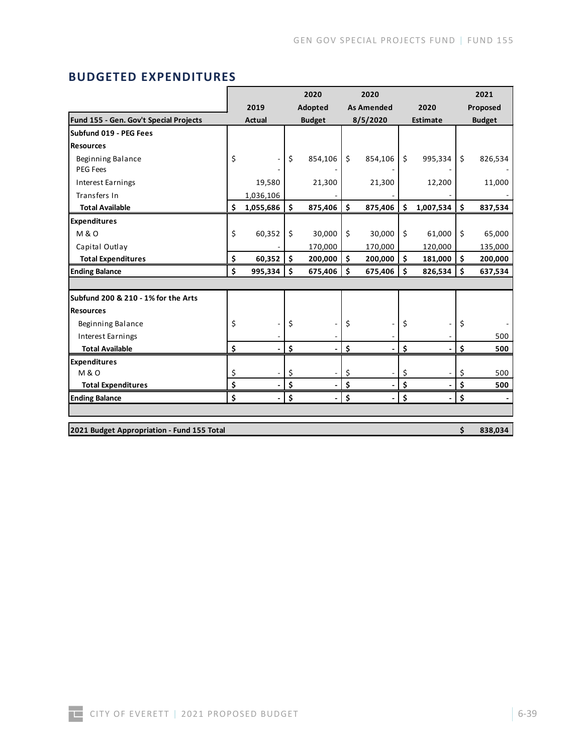## **BUDGETED EXPENDITURES**

|                                            |    |                |    | 2020          |    | 2020                     |     |                 |               | 2021     |
|--------------------------------------------|----|----------------|----|---------------|----|--------------------------|-----|-----------------|---------------|----------|
|                                            |    | 2019           |    | Adopted       |    | <b>As Amended</b>        |     | 2020            |               | Proposed |
| Fund 155 - Gen. Gov't Special Projects     |    | <b>Actual</b>  |    | <b>Budget</b> |    | 8/5/2020                 |     | <b>Estimate</b> | <b>Budget</b> |          |
| Subfund 019 - PEG Fees                     |    |                |    |               |    |                          |     |                 |               |          |
| <b>Resources</b>                           |    |                |    |               |    |                          |     |                 |               |          |
| <b>Beginning Balance</b>                   | \$ |                | \$ | 854,106       | Ś. | 854,106                  | \$  | 995,334         | \$            | 826,534  |
| <b>PEG Fees</b>                            |    |                |    |               |    |                          |     |                 |               |          |
| <b>Interest Earnings</b>                   |    | 19,580         |    | 21,300        |    | 21,300                   |     | 12,200          |               | 11,000   |
| Transfers In                               |    | 1,036,106      |    |               |    |                          |     |                 |               |          |
| <b>Total Available</b>                     | Ś. | 1,055,686      | \$ | 875,406       | \$ | 875,406                  | Ś.  | 1,007,534       | \$            | 837,534  |
| <b>Expenditures</b>                        |    |                |    |               |    |                          |     |                 |               |          |
| <b>M&amp;O</b>                             | \$ | 60,352         | \$ | 30,000        | Ś. | 30,000                   | \$  | 61,000          | \$            | 65,000   |
| Capital Outlay                             |    |                |    | 170,000       |    | 170,000                  |     | 120,000         |               | 135,000  |
| <b>Total Expenditures</b>                  | \$ | 60,352         | Ś. | 200,000       | \$ | 200,000                  | \$. | 181,000         | \$            | 200,000  |
| <b>Ending Balance</b>                      | \$ | 995,334        | \$ | 675,406       | Ś. | 675,406                  | \$  | 826,534         | \$            | 637,534  |
|                                            |    |                |    |               |    |                          |     |                 |               |          |
| Subfund 200 & 210 - 1% for the Arts        |    |                |    |               |    |                          |     |                 |               |          |
| <b>Resources</b>                           |    |                |    |               |    |                          |     |                 |               |          |
| Beginning Balance                          | \$ |                | \$ |               | \$ | $\overline{\phantom{0}}$ | \$  |                 | \$            |          |
| <b>Interest Earnings</b>                   |    |                |    |               |    |                          |     |                 |               | 500      |
| <b>Total Available</b>                     | \$ |                | \$ |               | \$ | $\blacksquare$           | \$  |                 | \$            | 500      |
| <b>Expenditures</b>                        |    |                |    |               |    |                          |     |                 |               |          |
| <b>M&amp;O</b>                             | \$ |                | \$ |               | \$ | $\overline{\phantom{a}}$ | \$  |                 | \$            | 500      |
| <b>Total Expenditures</b>                  | \$ | $\blacksquare$ | \$ |               | \$ | $\overline{\phantom{a}}$ | \$  |                 | \$            | 500      |
| <b>Ending Balance</b>                      | \$ | $\overline{a}$ | \$ |               | \$ | $\overline{\phantom{a}}$ | \$  |                 | \$            |          |
|                                            |    |                |    |               |    |                          |     |                 |               |          |
|                                            |    |                |    |               |    |                          |     |                 | \$            |          |
| 2021 Budget Appropriation - Fund 155 Total |    |                |    |               |    |                          |     |                 |               | 838,034  |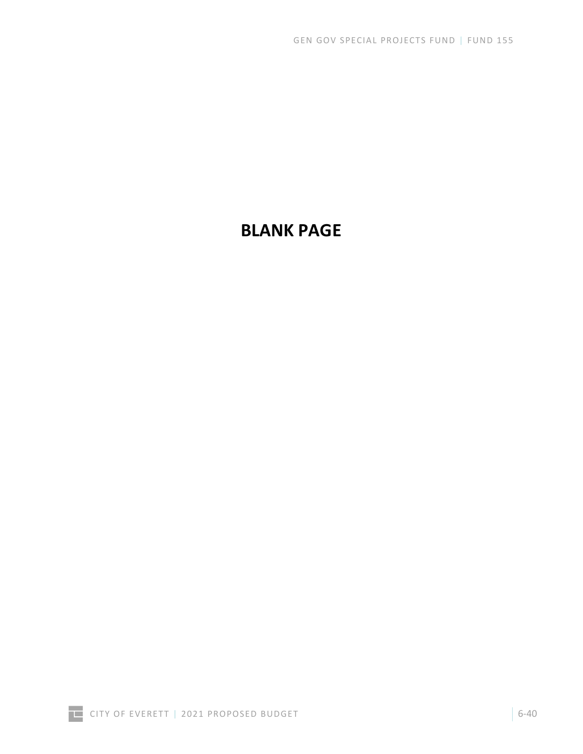# **BLANK PAGE**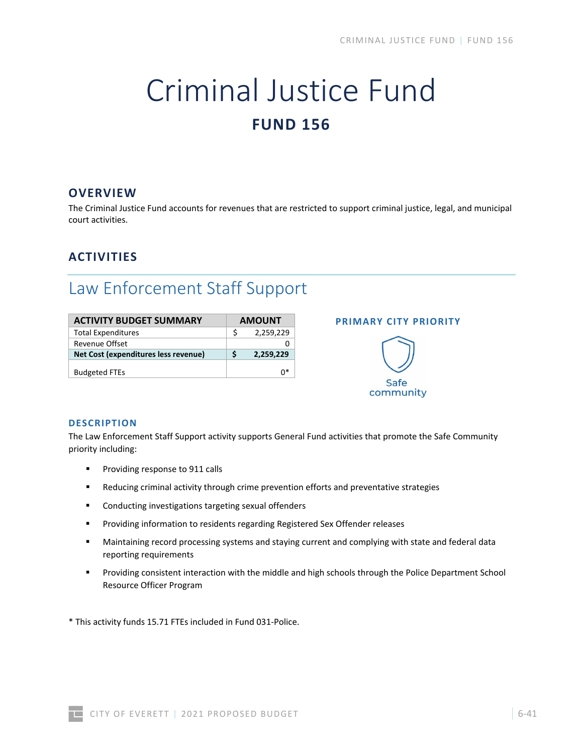# Criminal Justice Fund **FUND 156**

### **OVERVIEW**

The Criminal Justice Fund accounts for revenues that are restricted to support criminal justice, legal, and municipal court activities.

# **ACTIVITIES**

# Law Enforcement Staff Support

| <b>ACTIVITY BUDGET SUMMARY</b>       |   | <b>AMOUNT</b> |
|--------------------------------------|---|---------------|
| <b>Total Expenditures</b>            | Ś | 2,259,229     |
| Revenue Offset                       |   |               |
| Net Cost (expenditures less revenue) | s | 2,259,229     |
| <b>Budgeted FTEs</b>                 |   | n*            |

### **PRIMARY CITY PRIORITY**



### **DESCRIPTION**

The Law Enforcement Staff Support activity supports General Fund activities that promote the Safe Community priority including:

- **Providing response to 911 calls**
- **Reducing criminal activity through crime prevention efforts and preventative strategies**
- **EXECONDUCTING INVESTIGATIONS TATAGEMS IN A CONDUCT CONDUCTS**
- **Providing information to residents regarding Registered Sex Offender releases**
- **Maintaining record processing systems and staying current and complying with state and federal data** reporting requirements
- **Providing consistent interaction with the middle and high schools through the Police Department School** Resource Officer Program
- \* This activity funds 15.71 FTEs included in Fund 031-Police.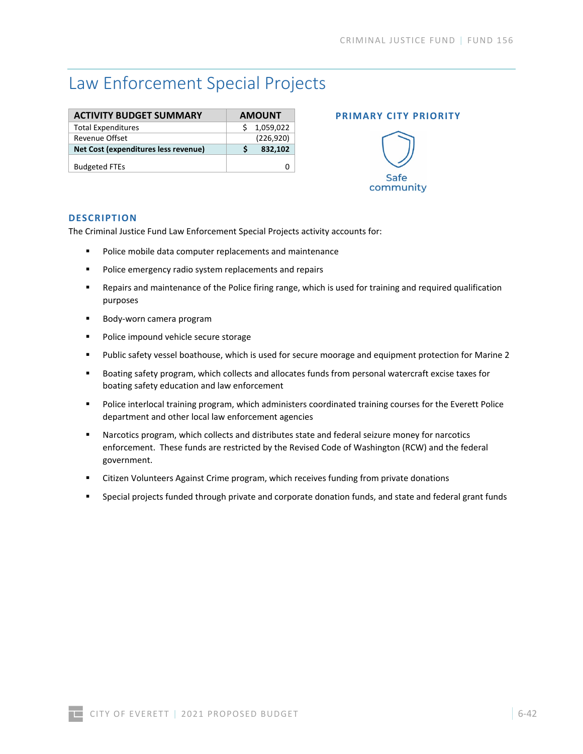# Law Enforcement Special Projects

| <b>ACTIVITY BUDGET SUMMARY</b>       |   | <b>AMOUNT</b> |
|--------------------------------------|---|---------------|
| <b>Total Expenditures</b>            | S | 1,059,022     |
| <b>Revenue Offset</b>                |   | (226, 920)    |
| Net Cost (expenditures less revenue) |   | 832,102       |
| <b>Budgeted FTEs</b>                 |   |               |

### **PRIMARY CITY PRIORITY**



#### **DESCRIPTION**

The Criminal Justice Fund Law Enforcement Special Projects activity accounts for:

- **Police mobile data computer replacements and maintenance**
- **Police emergency radio system replacements and repairs**
- **EXECT ADDET IT A** Repairs and maintenance of the Police firing range, which is used for training and required qualification purposes
- **Body-worn camera program**
- **Police impound vehicle secure storage**
- **Public safety vessel boathouse, which is used for secure moorage and equipment protection for Marine 2**
- **Boating safety program, which collects and allocates funds from personal watercraft excise taxes for** boating safety education and law enforcement
- Police interlocal training program, which administers coordinated training courses for the Everett Police department and other local law enforcement agencies
- Narcotics program, which collects and distributes state and federal seizure money for narcotics enforcement. These funds are restricted by the Revised Code of Washington (RCW) and the federal government.
- **EXP** Citizen Volunteers Against Crime program, which receives funding from private donations
- Special projects funded through private and corporate donation funds, and state and federal grant funds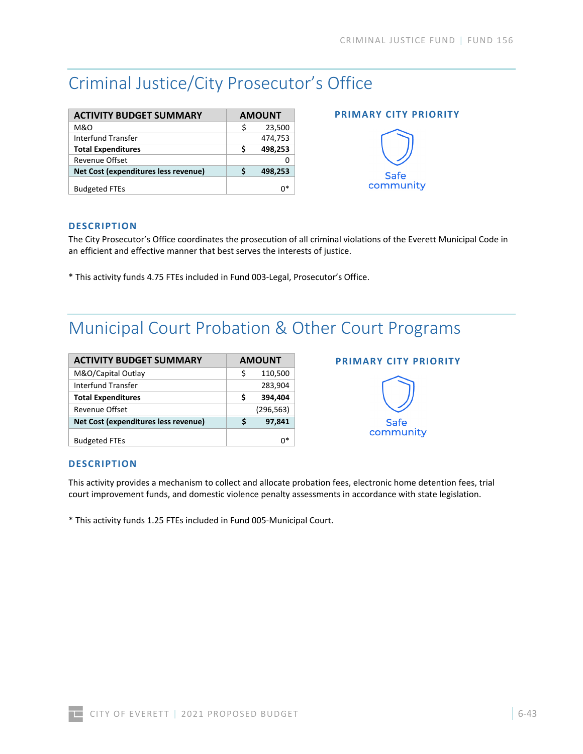# Criminal Justice/City Prosecutor's Office

| <b>ACTIVITY BUDGET SUMMARY</b>       | <b>AMOUNT</b> |         |  |  |  |  |
|--------------------------------------|---------------|---------|--|--|--|--|
| M&O                                  | .S            | 23,500  |  |  |  |  |
| Interfund Transfer                   |               | 474,753 |  |  |  |  |
| <b>Total Expenditures</b>            | S             | 498,253 |  |  |  |  |
| Revenue Offset                       |               |         |  |  |  |  |
| Net Cost (expenditures less revenue) |               | 498,253 |  |  |  |  |
| <b>Budgeted FTEs</b>                 |               | n*      |  |  |  |  |

### **PRIMARY CITY PRIORITY**



#### **DESCRIPTION**

The City Prosecutor's Office coordinates the prosecution of all criminal violations of the Everett Municipal Code in an efficient and effective manner that best serves the interests of justice.

\* This activity funds 4.75 FTEs included in Fund 003-Legal, Prosecutor's Office.

# Municipal Court Probation & Other Court Programs

| <b>ACTIVITY BUDGET SUMMARY</b>       |   | <b>AMOUNT</b> |
|--------------------------------------|---|---------------|
| M&O/Capital Outlay                   | Ś | 110,500       |
| Interfund Transfer                   |   | 283,904       |
| <b>Total Expenditures</b>            | S | 394.404       |
| <b>Revenue Offset</b>                |   | (296, 563)    |
| Net Cost (expenditures less revenue) | Ś | 97.841        |
| <b>Budgeted FTEs</b>                 |   | n*            |

### **PRIMARY CITY PRIORITY**



### **DESCRIPTION**

This activity provides a mechanism to collect and allocate probation fees, electronic home detention fees, trial court improvement funds, and domestic violence penalty assessments in accordance with state legislation.

\* This activity funds 1.25 FTEs included in Fund 005-Municipal Court.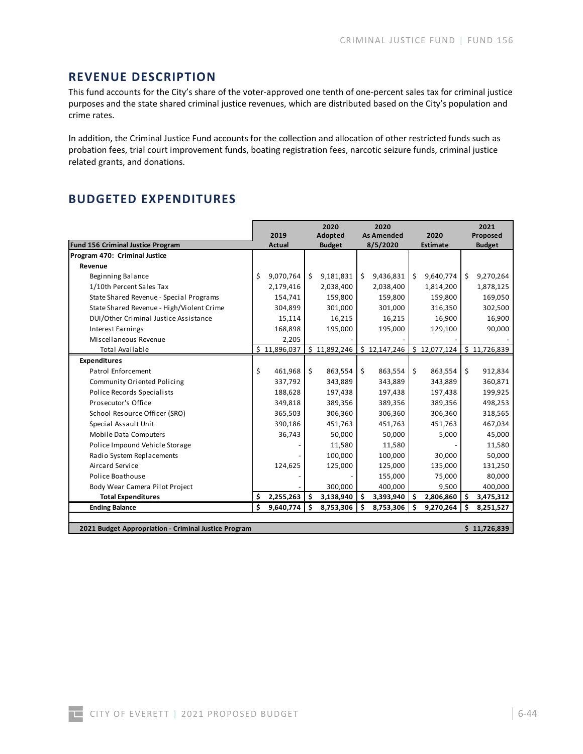### **REVENUE DESCRIPTION**

This fund accounts for the City's share of the voter-approved one tenth of one-percent sales tax for criminal justice purposes and the state shared criminal justice revenues, which are distributed based on the City's population and crime rates.

In addition, the Criminal Justice Fund accounts for the collection and allocation of other restricted funds such as probation fees, trial court improvement funds, boating registration fees, narcotic seizure funds, criminal justice related grants, and donations.

## **BUDGETED EXPENDITURES**

|                                                      |    |               |     | 2020          |          | 2020                                      |          |           |     | 2021          |
|------------------------------------------------------|----|---------------|-----|---------------|----------|-------------------------------------------|----------|-----------|-----|---------------|
|                                                      |    | 2019          |     | Adopted       |          | 2020<br><b>As Amended</b>                 |          |           |     | Proposed      |
| Fund 156 Criminal Justice Program                    |    | <b>Actual</b> |     | <b>Budget</b> | 8/5/2020 |                                           | Estimate |           |     | <b>Budget</b> |
| Program 470: Criminal Justice                        |    |               |     |               |          |                                           |          |           |     |               |
| Revenue                                              |    |               |     |               |          |                                           |          |           |     |               |
| Beginning Balance                                    | \$ | 9,070,764     | Ŝ.  | 9,181,831     | \$       | 9,436,831                                 | \$       | 9,640,774 | Ŝ.  | 9,270,264     |
| 1/10th Percent Sales Tax                             |    | 2,179,416     |     | 2,038,400     |          | 2,038,400                                 |          | 1,814,200 |     | 1,878,125     |
| State Shared Revenue - Special Programs              |    | 154,741       |     | 159,800       |          | 159,800                                   |          | 159,800   |     | 169,050       |
| State Shared Revenue - High/Violent Crime            |    | 304,899       |     | 301,000       |          | 301,000                                   |          | 316,350   |     | 302,500       |
| DUI/Other Criminal Justice Assistance                |    | 15,114        |     | 16,215        |          | 16,215                                    |          | 16,900    |     | 16,900        |
| Interest Earnings                                    |    | 168,898       |     | 195,000       |          | 195,000                                   |          | 129,100   |     | 90,000        |
| Miscellaneous Revenue                                |    | 2,205         |     |               |          |                                           |          |           |     |               |
| <b>Total Available</b>                               |    | \$11,896,037  |     |               |          | $$11,892,246$ $$12,147,246$ $$12,077,124$ |          |           |     | \$11,726,839  |
| <b>Expenditures</b>                                  |    |               |     |               |          |                                           |          |           |     |               |
| Patrol Enforcement                                   | \$ | 461.968       | Ŝ.  | 863,554       | \$       | 863.554                                   | $\zeta$  | 863.554   | Ŝ.  | 912,834       |
| Community Oriented Policing                          |    | 337,792       |     | 343,889       |          | 343,889                                   |          | 343,889   |     | 360,871       |
| Police Records Specialists                           |    | 188,628       |     | 197,438       |          | 197,438                                   |          | 197,438   |     | 199,925       |
| Prosecutor's Office                                  |    | 349,818       |     | 389,356       |          | 389,356                                   |          | 389,356   |     | 498,253       |
| School Resource Officer (SRO)                        |    | 365,503       |     | 306,360       |          | 306,360                                   |          | 306,360   |     | 318,565       |
| Special Assault Unit                                 |    | 390,186       |     | 451,763       |          | 451,763                                   |          | 451,763   |     | 467,034       |
| <b>Mobile Data Computers</b>                         |    | 36,743        |     | 50,000        |          | 50,000                                    |          | 5,000     |     | 45,000        |
| Police Impound Vehicle Storage                       |    |               |     | 11,580        |          | 11,580                                    |          |           |     | 11,580        |
| Radio System Replacements                            |    |               |     | 100,000       |          | 100,000                                   |          | 30,000    |     | 50,000        |
| Aircard Service                                      |    | 124,625       |     | 125,000       |          | 125,000                                   |          | 135,000   |     | 131,250       |
| Police Boathouse                                     |    |               |     |               |          | 155,000                                   |          | 75,000    |     | 80,000        |
| Body Wear Camera Pilot Project                       |    |               |     | 300,000       |          | 400,000                                   |          | 9,500     |     | 400,000       |
| <b>Total Expenditures</b>                            | \$ | 2,255,263     | -\$ | 3,138,940     | \$       | 3,393,940                                 | \$       | 2,806,860 | -\$ | 3,475,312     |
| <b>Ending Balance</b>                                | Ś  | 9,640,774     | ۱\$ | 8,753,306     | Ŝ.       | 8,753,306                                 | Ŝ.       | 9,270,264 | -Ś  | 8,251,527     |
|                                                      |    |               |     |               |          |                                           |          |           |     |               |
| 2021 Budget Appropriation - Criminal Justice Program |    |               |     |               |          |                                           |          |           |     | \$11,726,839  |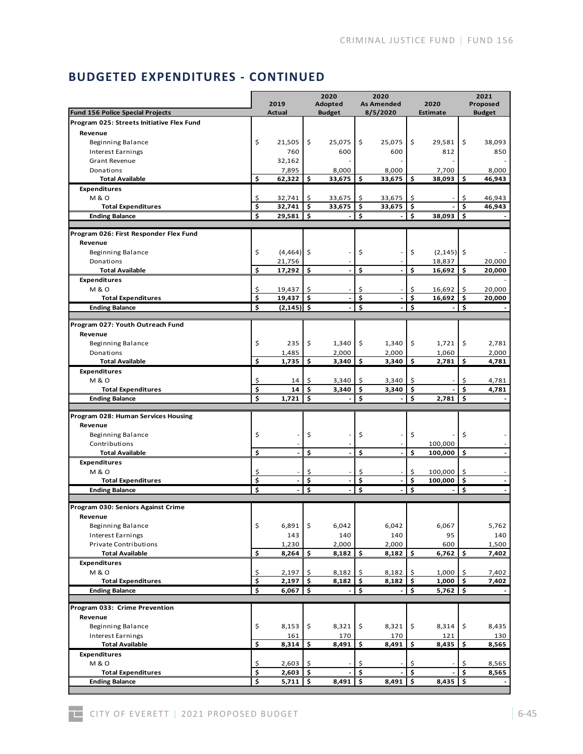|                                           |          |                  |      | 2020                     |                     | 2020                     |                    |                |                     | 2021           |
|-------------------------------------------|----------|------------------|------|--------------------------|---------------------|--------------------------|--------------------|----------------|---------------------|----------------|
|                                           |          | 2019             |      | Adopted                  |                     | <b>As Amended</b>        |                    | 2020           |                     | Proposed       |
| <b>Fund 156 Police Special Projects</b>   |          | <b>Actual</b>    |      | <b>Budget</b>            |                     | 8/5/2020                 |                    | Estimate       |                     | <b>Budget</b>  |
| Program 025: Streets Initiative Flex Fund |          |                  |      |                          |                     |                          |                    |                |                     |                |
| Revenue                                   |          |                  |      |                          |                     |                          |                    |                |                     |                |
| Beginning Balance                         | \$       | 21,505           | \$   | 25,075                   | \$                  | 25,075                   | \$                 | 29,581         | \$                  | 38,093         |
| <b>Interest Earnings</b>                  |          | 760              |      | 600                      |                     | 600                      |                    | 812            |                     | 850            |
| <b>Grant Revenue</b>                      |          | 32,162           |      |                          |                     |                          |                    |                |                     |                |
| Donations                                 |          | 7,895            |      | 8,000                    |                     | 8,000                    |                    | 7,700          |                     | 8,000          |
| <b>Total Available</b>                    | \$       | 62,322           | \$   | 33,675                   | \$                  | 33,675                   | \$                 | 38,093         | \$                  | 46,943         |
| <b>Expenditures</b><br><b>M&amp;O</b>     | \$       |                  | \$   | 33,675                   | \$                  |                          | \$                 |                | \$                  | 46,943         |
| <b>Total Expenditures</b>                 | \$       | 32,741<br>32,741 | -\$  | 33,675                   | \$.                 | 33,675<br>33,675         | \$                 |                | \$                  | 46,943         |
| <b>Ending Balance</b>                     | \$       | 29,581           | \$   |                          | \$                  | $\overline{\phantom{a}}$ | \$                 | 38,093         | \$                  |                |
|                                           |          |                  |      |                          |                     |                          |                    |                |                     |                |
| Program 026: First Responder Flex Fund    |          |                  |      |                          |                     |                          |                    |                |                     |                |
| Revenue                                   |          |                  |      |                          |                     |                          |                    |                |                     |                |
| <b>Beginning Balance</b>                  | \$       | $(4,464)$ \$     |      | $\overline{a}$           | \$                  |                          | \$                 | $(2, 145)$ \$  |                     |                |
| Donations                                 |          | 21,756           |      |                          |                     |                          |                    | 18,837         |                     | 20,000         |
| <b>Total Available</b>                    | \$       | 17,292           | \$ ا | $\overline{a}$           | \$                  | $\overline{\phantom{a}}$ | \$                 | 16,692         | \$                  | 20,000         |
| <b>Expenditures</b>                       |          |                  |      |                          |                     |                          |                    |                |                     |                |
| <b>M&amp;O</b>                            | \$       | 19,437           | \$   | $\overline{a}$           | \$                  | $\overline{\phantom{a}}$ | \$                 | 16,692         | \$                  | 20,000         |
| <b>Total Expenditures</b>                 | \$       | 19,437           | \$.  | $\overline{a}$           | \$                  | $\blacksquare$           | \$                 | 16,692         | \$                  | 20,000         |
| <b>Ending Balance</b>                     | \$       | $(2, 145)$ \$    |      |                          | \$                  |                          | \$                 | $\overline{a}$ | \$                  |                |
|                                           |          |                  |      |                          |                     |                          |                    |                |                     |                |
| Program 027: Youth Outreach Fund          |          |                  |      |                          |                     |                          |                    |                |                     |                |
| Revenue                                   |          | 235              | \$   |                          | \$                  |                          |                    |                | \$                  |                |
| <b>Beginning Balance</b><br>Donations     | \$       | 1,485            |      | 1,340<br>2,000           |                     | 1,340<br>2,000           | \$                 | 1,721<br>1,060 |                     | 2,781<br>2,000 |
| <b>Total Available</b>                    | \$       | 1,735            | \$   | 3,340                    | \$                  | 3,340                    | \$                 | 2,781          | \$                  | 4,781          |
| <b>Expenditures</b>                       |          |                  |      |                          |                     |                          |                    |                |                     |                |
| <b>M&amp;O</b>                            | \$       | 14               | \$   | 3,340                    | \$                  | 3,340                    | \$                 |                | \$                  | 4,781          |
| <b>Total Expenditures</b>                 | \$       | 14               | \$   | 3,340                    | \$                  | 3,340                    | \$                 |                | \$                  | 4,781          |
| <b>Ending Balance</b>                     | \$       | 1,721            | \$   |                          | \$                  | $\overline{\phantom{a}}$ | \$                 | 2,781          | \$                  |                |
|                                           |          |                  |      |                          |                     |                          |                    |                |                     |                |
| Program 028: Human Services Housing       |          |                  |      |                          |                     |                          |                    |                |                     |                |
| Revenue                                   |          |                  |      |                          |                     |                          |                    |                |                     |                |
| <b>Beginning Balance</b>                  | \$       |                  | \$   |                          | \$                  |                          | \$                 |                | \$                  |                |
| Contributions                             |          |                  |      |                          |                     |                          |                    | 100,000        |                     |                |
| <b>Total Available</b>                    | \$       |                  | \$   | $\overline{a}$           | \$                  | $\overline{\phantom{a}}$ | \$                 | 100,000        | \$                  |                |
| <b>Expenditures</b>                       |          |                  |      |                          |                     |                          |                    |                |                     |                |
| <b>M&amp;O</b>                            | \$       |                  | \$   |                          | \$                  |                          | \$                 | 100,000        | \$                  |                |
| <b>Total Expenditures</b>                 | \$       |                  | \$   | $\overline{a}$           | \$                  |                          | \$                 | 100,000        | ۱\$                 |                |
| <b>Ending Balance</b>                     | \$       |                  | \$   | $\overline{a}$           | \$                  |                          | \$                 | $\overline{a}$ | \$                  |                |
| Program 030: Seniors Against Crime        |          |                  |      |                          |                     |                          |                    |                |                     |                |
| Revenue                                   |          |                  |      |                          |                     |                          |                    |                |                     |                |
| <b>Beginning Balance</b>                  | \$       | 6,891            | \$   | 6,042                    |                     | 6,042                    |                    | 6,067          |                     | 5,762          |
| <b>Interest Earnings</b>                  |          | 143              |      | 140                      |                     | 140                      |                    | 95             |                     | 140            |
| <b>Private Contributions</b>              |          | 1,230            |      | 2,000                    |                     | 2,000                    |                    | 600            |                     | 1,500          |
| <b>Total Available</b>                    | \$       | 8,264            | \$   | 8,182                    | \$                  | 8,182                    | \$                 | 6,762          | \$                  | 7,402          |
| <b>Expenditures</b>                       |          |                  |      |                          |                     |                          |                    |                |                     |                |
| <b>M&amp;O</b>                            | \$       | 2,197            | \$   | 8,182                    | \$                  | 8,182                    | \$                 | 1,000          | \$                  | 7,402          |
| <b>Total Expenditures</b>                 | \$       | 2,197            | \$.  | 8,182                    | \$                  | 8,182                    | \$                 | 1,000          | \$.                 | 7,402          |
| <b>Ending Balance</b>                     | \$       | 6,067            | \$   | $\overline{\phantom{a}}$ | \$                  | $\overline{\phantom{a}}$ | \$                 | $5,762$ \$     |                     |                |
|                                           |          |                  |      |                          |                     |                          |                    |                |                     |                |
| Program 033: Crime Prevention             |          |                  |      |                          |                     |                          |                    |                |                     |                |
| Revenue                                   |          |                  |      |                          |                     |                          |                    |                |                     |                |
| <b>Beginning Balance</b>                  | \$       | 8,153            | \$   | 8,321                    | $\ddot{\mathsf{S}}$ | 8,321                    | \$                 | 8,314          | $\ddot{\mathsf{S}}$ | 8,435          |
| <b>Interest Earnings</b>                  | \$       | 161              |      | 170                      | \$.                 | 170                      |                    | 121            |                     | 130            |
| <b>Total Available</b>                    |          | 8,314            | \$   | 8,491                    |                     | 8,491                    | \$                 | 8,435          | \$                  | 8,565          |
| <b>Expenditures</b><br><b>M&amp;O</b>     |          |                  | \$   |                          | \$                  |                          | \$                 |                | \$                  |                |
| <b>Total Expenditures</b>                 | \$<br>\$ | 2,603<br>2,603   | \$   |                          | \$                  |                          | $\dot{\mathsf{s}}$ |                | Ś                   | 8,565<br>8,565 |
| <b>Ending Balance</b>                     | \$       | $5,711$ \$       |      | 8,491                    | \$                  | 8,491                    | \$                 | $8,435$ \$     |                     |                |
|                                           |          |                  |      |                          |                     |                          |                    |                |                     |                |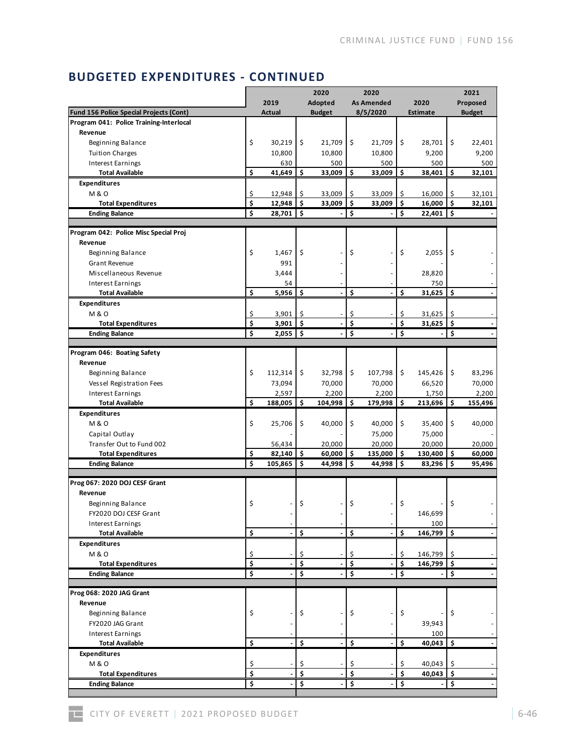|                                         |           |                       |                                 | 2020                     |                                      | 2020                     |     |                          |                                 | 2021                     |
|-----------------------------------------|-----------|-----------------------|---------------------------------|--------------------------|--------------------------------------|--------------------------|-----|--------------------------|---------------------------------|--------------------------|
|                                         |           | 2019                  |                                 | Adopted                  |                                      | <b>As Amended</b>        |     | 2020                     |                                 | Proposed                 |
| Fund 156 Police Special Projects (Cont) |           | <b>Actual</b>         |                                 | <b>Budget</b>            |                                      | 8/5/2020                 |     | <b>Estimate</b>          |                                 | <b>Budget</b>            |
| Program 041: Police Training-Interlocal |           |                       |                                 |                          |                                      |                          |     |                          |                                 |                          |
| Revenue                                 |           |                       |                                 |                          |                                      |                          |     |                          |                                 |                          |
| Beginning Balance                       | \$        | 30,219                | \$                              | 21,709                   | \$                                   | 21,709                   | \$  | 28,701                   | \$                              | 22,401                   |
| <b>Tuition Charges</b>                  |           | 10,800                |                                 | 10,800                   |                                      | 10,800                   |     | 9,200                    |                                 | 9,200                    |
| <b>Interest Earnings</b>                |           | 630                   |                                 | 500                      |                                      | 500                      |     | 500                      |                                 | 500                      |
| <b>Total Available</b>                  | \$        | 41,649                | \$                              | 33,009                   | \$                                   | 33,009                   | \$  | 38,401                   | \$                              | 32,101                   |
| <b>Expenditures</b>                     |           |                       |                                 |                          |                                      |                          |     |                          |                                 |                          |
| <b>M&amp;O</b>                          | \$        | 12,948                | \$                              | 33,009                   | \$                                   | 33,009                   | \$  | 16,000                   | \$                              | 32,101                   |
| <b>Total Expenditures</b>               | \$        | 12,948                | \$                              | 33,009                   | \$                                   | 33,009                   | \$  | 16,000                   | \$                              | 32,101                   |
| <b>Ending Balance</b>                   | \$        | 28,701                | l\$                             | $\blacksquare$           | \$                                   | $\blacksquare$           | \$  | 22,401                   | \$                              |                          |
| Program 042: Police Misc Special Proj   |           |                       |                                 |                          |                                      |                          |     |                          |                                 |                          |
| Revenue                                 |           |                       |                                 |                          |                                      |                          |     |                          |                                 |                          |
| Beginning Balance                       | \$        | 1,467                 | \$                              |                          | \$                                   | ÷,                       | \$  | 2,055                    | \$                              |                          |
| <b>Grant Revenue</b>                    |           | 991                   |                                 |                          |                                      |                          |     |                          |                                 |                          |
| Miscellaneous Revenue                   |           | 3,444                 |                                 |                          |                                      |                          |     |                          |                                 | $\blacksquare$           |
| <b>Interest Earnings</b>                |           | 54                    |                                 |                          |                                      |                          |     | 28,820<br>750            |                                 | $\overline{\phantom{a}}$ |
| <b>Total Available</b>                  | \$        | 5,956                 | .\$                             | $\overline{a}$           | \$                                   | $\blacksquare$           | \$  | 31,625                   | \$                              | $\overline{a}$           |
| <b>Expenditures</b>                     |           |                       |                                 |                          |                                      |                          |     |                          |                                 |                          |
| <b>M&amp;O</b>                          |           |                       | \$                              |                          |                                      |                          | \$  |                          | \$                              |                          |
| <b>Total Expenditures</b>               | \$<br>\$  | 3,901<br>3,901        | \$                              | $\blacksquare$           | \$<br>\$                             | $\overline{\phantom{a}}$ | \$  | 31,625<br>31,625         | \$                              | $\blacksquare$           |
| <b>Ending Balance</b>                   | \$        | $2,055$ $\frac{1}{5}$ |                                 | $\blacksquare$           | \$                                   | $\blacksquare$           | ۱\$ | $\blacksquare$           | \$                              | $\blacksquare$           |
|                                         |           |                       |                                 |                          |                                      |                          |     |                          |                                 |                          |
| Program 046: Boating Safety             |           |                       |                                 |                          |                                      |                          |     |                          |                                 |                          |
| Revenue                                 |           |                       |                                 |                          |                                      |                          |     |                          |                                 |                          |
| Beginning Balance                       | \$        | 112,314               | \$                              | 32,798                   | \$                                   | 107,798                  | \$  | 145,426                  | \$                              | 83,296                   |
| Vessel Registration Fees                |           | 73,094                |                                 | 70,000                   |                                      | 70,000                   |     | 66,520                   |                                 | 70,000                   |
| Interest Earnings                       |           | 2,597                 |                                 | 2,200                    |                                      | 2,200                    |     | 1,750                    |                                 | 2,200                    |
| <b>Total Available</b>                  | \$        | 188,005               | \$                              | 104,998                  | \$.                                  | 179,998                  | \$  | 213,696                  | \$                              | 155,496                  |
| <b>Expenditures</b>                     |           |                       |                                 |                          |                                      |                          |     |                          |                                 |                          |
| <b>M&amp;O</b>                          | \$        | 25,706                | \$                              | 40,000                   | \$                                   | 40,000                   | \$  | 35,400                   | \$                              | 40,000                   |
| Capital Outlay                          |           |                       |                                 |                          |                                      | 75,000                   |     | 75,000                   |                                 |                          |
| Transfer Out to Fund 002                |           | 56,434                |                                 | 20,000                   |                                      | 20,000                   |     | 20,000                   |                                 | 20,000                   |
| <b>Total Expenditures</b>               | \$        | 82,140                | \$                              | 60,000                   | \$                                   | 135,000                  | \$. | 130,400                  | \$                              | 60,000                   |
| <b>Ending Balance</b>                   | \$        | 105,865               | \$                              | 44,998                   | \$                                   | 44,998                   | \$  | 83,296                   | \$                              | 95,496                   |
|                                         |           |                       |                                 |                          |                                      |                          |     |                          |                                 |                          |
| Prog 067: 2020 DOJ CESF Grant           |           |                       |                                 |                          |                                      |                          |     |                          |                                 |                          |
| Revenue                                 |           |                       |                                 |                          |                                      |                          |     |                          |                                 |                          |
| Beginning Balance                       | \$        |                       | \$                              |                          | \$                                   |                          | \$  |                          | \$                              |                          |
| FY2020 DOJ CESF Grant                   |           |                       |                                 |                          |                                      |                          |     | 146,699                  |                                 |                          |
| <b>Interest Earnings</b>                |           |                       |                                 |                          |                                      |                          |     | 100                      |                                 |                          |
| <b>Total Available</b>                  | \$        |                       | \$                              | $\overline{\phantom{a}}$ | \$                                   | $\blacksquare$           | \$  | 146,799                  | \$.                             |                          |
| <b>Expenditures</b>                     |           |                       |                                 |                          |                                      |                          |     |                          |                                 |                          |
| <b>M&amp;O</b>                          | \$        |                       | \$                              |                          | \$                                   |                          | \$  | 146,799                  | \$                              |                          |
| <b>Total Expenditures</b>               | \$        |                       | $\overline{\boldsymbol{\zeta}}$ |                          | $\overline{\boldsymbol{\zeta}}$      | $\overline{\phantom{a}}$ | \$  | 146,799                  | \$                              |                          |
| <b>Ending Balance</b>                   | \$        |                       | \$                              | $\blacksquare$           | \$                                   | $\blacksquare$           | \$  | $\blacksquare$           | \$                              | $\blacksquare$           |
|                                         |           |                       |                                 |                          |                                      |                          |     |                          |                                 |                          |
| Prog 068: 2020 JAG Grant                |           |                       |                                 |                          |                                      |                          |     |                          |                                 |                          |
| Revenue                                 |           |                       |                                 |                          |                                      |                          |     |                          |                                 |                          |
| <b>Beginning Balance</b>                | \$        |                       | \$                              |                          | \$                                   |                          | \$  |                          | \$                              |                          |
| FY2020 JAG Grant                        |           |                       |                                 |                          |                                      |                          |     | 39,943                   |                                 |                          |
| <b>Interest Earnings</b>                |           |                       |                                 |                          |                                      |                          |     | 100                      |                                 |                          |
| <b>Total Available</b>                  | \$        |                       | \$                              | $\blacksquare$           | \$                                   |                          | \$  | 40,043                   | \$                              | $\overline{\phantom{a}}$ |
| <b>Expenditures</b>                     |           |                       |                                 |                          |                                      |                          |     |                          |                                 |                          |
| <b>M&amp;O</b>                          | <u>\$</u> |                       | \$                              |                          | \$                                   |                          | \$  | 40,043                   | \$                              |                          |
| <b>Total Expenditures</b>               | \$        |                       | $\overline{\boldsymbol{\zeta}}$ |                          | \$                                   |                          | \$  | 40,043                   | \$                              |                          |
| <b>Ending Balance</b>                   | \$        |                       | \$                              | $\overline{\phantom{a}}$ | $\overline{\boldsymbol{\mathsf{s}}}$ |                          | \$  | $\overline{\phantom{a}}$ | $\overline{\boldsymbol{\zeta}}$ |                          |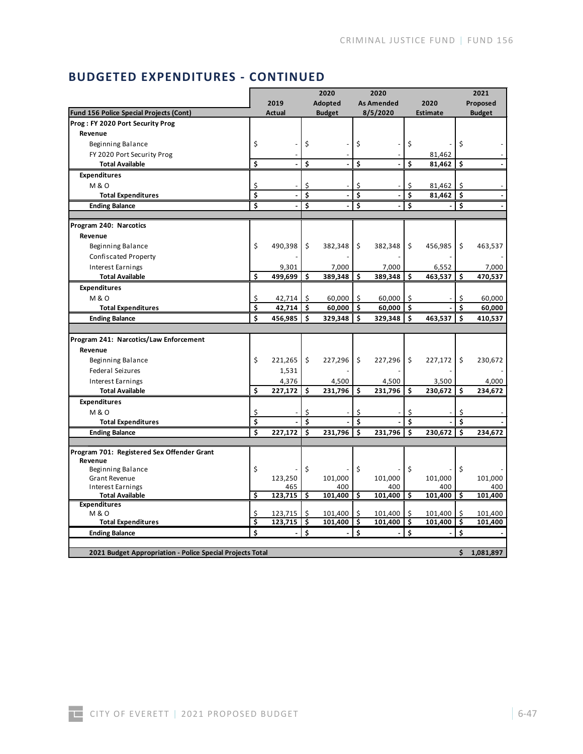|                                                           |          |                    |          | 2020               | 2020     |                    |          |                    | 2021    |                    |
|-----------------------------------------------------------|----------|--------------------|----------|--------------------|----------|--------------------|----------|--------------------|---------|--------------------|
|                                                           |          | 2019               |          | Adopted            |          | <b>As Amended</b>  |          | 2020               |         | Proposed           |
| Fund 156 Police Special Projects (Cont)                   |          | <b>Actual</b>      |          | <b>Budget</b>      |          | 8/5/2020           |          | Estimate           |         | <b>Budget</b>      |
| Prog: FY 2020 Port Security Prog                          |          |                    |          |                    |          |                    |          |                    |         |                    |
| Revenue                                                   |          |                    |          |                    |          |                    |          |                    |         |                    |
| Beginning Balance                                         | \$       |                    | \$       |                    | \$       |                    | \$       |                    | \$      |                    |
| FY 2020 Port Security Prog                                |          |                    |          |                    |          |                    |          | 81,462             |         |                    |
| <b>Total Available</b>                                    | Ś        | $\blacksquare$     | \$       | $\overline{a}$     | Ś        | $\blacksquare$     | \$       | 81,462             | Ś       |                    |
| <b>Expenditures</b>                                       |          |                    |          |                    |          |                    |          |                    |         |                    |
| <b>M&amp;O</b>                                            | \$       |                    | \$       | L                  | \$       |                    | \$       | 81,462             | \$      |                    |
| <b>Total Expenditures</b>                                 | \$       |                    | \$       |                    | \$       |                    | \$       | 81,462             | \$      |                    |
| <b>Ending Balance</b>                                     | \$       |                    | \$       |                    | \$       |                    | \$       |                    | \$      |                    |
|                                                           |          |                    |          |                    |          |                    |          |                    |         |                    |
| Program 240: Narcotics                                    |          |                    |          |                    |          |                    |          |                    |         |                    |
| Revenue                                                   |          |                    |          |                    |          |                    |          |                    |         |                    |
|                                                           |          |                    |          |                    |          |                    |          |                    |         |                    |
| <b>Beginning Balance</b>                                  | \$       | 490,398            | \$       | 382,348            | \$       | 382,348            | \$       | 456,985            | \$      | 463,537            |
| Confiscated Property                                      |          |                    |          |                    |          |                    |          |                    |         |                    |
| Interest Earnings                                         |          | 9,301              |          | 7,000              |          | 7,000              |          | 6,552              |         | 7,000              |
| <b>Total Available</b>                                    | \$       | 499,699            | \$       | 389,348            | \$       | 389,348            | \$       | 463,537            | \$      | 470,537            |
| <b>Expenditures</b>                                       |          |                    |          |                    |          |                    |          |                    |         |                    |
| <b>M&amp;O</b>                                            | \$       | 42,714             | \$       | 60,000             | \$       | 60,000             | \$       |                    | \$      | 60,000             |
| <b>Total Expenditures</b>                                 | Ś        | 42,714             | Ŝ.       | 60,000             | Ś.       | 60,000             | \$       |                    | Ś       | 60,000             |
| <b>Ending Balance</b>                                     | \$       | 456,985            | Ŝ.       | 329,348            | Ŝ.       | 329,348            | \$       | 463,537            | \$      | 410,537            |
|                                                           |          |                    |          |                    |          |                    |          |                    |         |                    |
| Program 241: Narcotics/Law Enforcement                    |          |                    |          |                    |          |                    |          |                    |         |                    |
| Revenue                                                   |          |                    |          |                    |          |                    |          |                    |         |                    |
| <b>Beginning Balance</b>                                  | \$       | 221,265            | \$       | 227,296            | \$       | 227,296            | \$       | 227,172            | \$      | 230,672            |
| Federal Seizures                                          |          | 1,531              |          |                    |          |                    |          |                    |         |                    |
| <b>Interest Earnings</b>                                  |          | 4,376              |          | 4,500              |          | 4,500              |          | 3,500              |         | 4,000              |
| <b>Total Available</b>                                    | \$       | 227,172            | \$       | 231,796            | \$       | 231,796            | \$       | 230,672            | \$      | 234,672            |
| <b>Expenditures</b>                                       |          |                    |          |                    |          |                    |          |                    |         |                    |
| <b>M&amp;O</b>                                            | \$       |                    | Ś        |                    | \$       |                    | \$       |                    | Ś       |                    |
| <b>Total Expenditures</b>                                 | \$       |                    | \$       |                    | \$       |                    | \$       |                    | \$      |                    |
| <b>Ending Balance</b>                                     | Ś        | 227,172            | Ś.       | 231,796            | Ŝ.       | 231,796            | \$       | 230,672            | Ś.      | 234,672            |
|                                                           |          |                    |          |                    |          |                    |          |                    |         |                    |
| Program 701: Registered Sex Offender Grant                |          |                    |          |                    |          |                    |          |                    |         |                    |
| Revenue                                                   |          |                    |          |                    |          |                    |          |                    |         |                    |
| Beginning Balance                                         | \$       |                    | \$       |                    | \$       |                    | \$       |                    | \$      |                    |
| <b>Grant Revenue</b>                                      |          | 123,250            |          | 101,000            |          | 101,000            |          | 101,000            |         | 101,000            |
| <b>Interest Earnings</b>                                  |          | 465                |          | 400                |          | 400                |          | 400                |         | 400                |
| <b>Total Available</b>                                    | \$       | 123,715            | \$       | 101,400            | \$       | 101,400            | \$       | 101,400            | \$      | 101,400            |
| <b>Expenditures</b>                                       |          |                    |          |                    |          |                    |          |                    |         |                    |
| <b>M&amp;O</b><br><b>Total Expenditures</b>               | \$<br>\$ | 123,715<br>123,715 | \$<br>\$ | 101,400<br>101,400 | \$<br>\$ | 101,400<br>101,400 | \$<br>\$ | 101,400<br>101,400 | Ś<br>\$ | 101,400<br>101,400 |
|                                                           | Ś        |                    |          |                    |          |                    |          |                    | Ś       |                    |
| <b>Ending Balance</b>                                     |          |                    | Ś        |                    | Ś        |                    | Ś        |                    |         |                    |
|                                                           |          |                    |          |                    |          |                    |          |                    |         |                    |
| 2021 Budget Appropriation - Police Special Projects Total |          |                    |          |                    |          |                    |          |                    | \$      | 1,081,897          |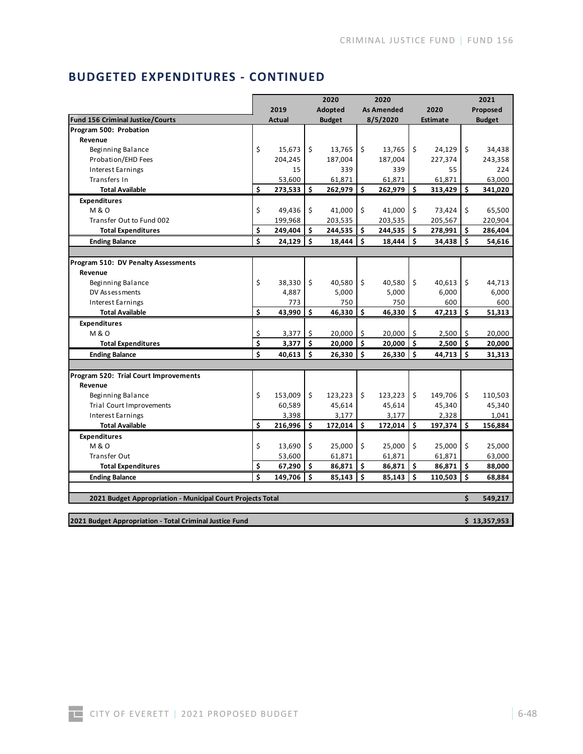|                                                            |                               |         |     | 2020          |    | 2020              |                      |                 | 2021                |               |
|------------------------------------------------------------|-------------------------------|---------|-----|---------------|----|-------------------|----------------------|-----------------|---------------------|---------------|
|                                                            |                               | 2019    |     | Adopted       |    | <b>As Amended</b> |                      | 2020            |                     | Proposed      |
| <b>Fund 156 Criminal Justice/Courts</b>                    |                               | Actual  |     | <b>Budget</b> |    | 8/5/2020          |                      | <b>Estimate</b> |                     | <b>Budget</b> |
| Program 500: Probation                                     |                               |         |     |               |    |                   |                      |                 |                     |               |
| Revenue                                                    |                               |         |     |               |    |                   |                      |                 |                     |               |
| Beginning Balance                                          | \$                            | 15,673  | Ś.  | 13,765        | \$ | 13,765            | $\mathsf{S}$         | 24,129          | -Ś                  | 34,438        |
| Probation/EHD Fees                                         |                               | 204,245 |     | 187,004       |    | 187,004           |                      | 227,374         |                     | 243,358       |
| Interest Earnings                                          |                               | 15      |     | 339           |    | 339               |                      | 55              |                     | 224           |
| Transfers In                                               |                               | 53,600  |     | 61,871        |    | 61,871            |                      | 61,871          |                     | 63,000        |
| <b>Total Available</b>                                     | \$                            | 273,533 | \$  | 262,979       | \$ | 262,979           | \$                   | 313,429         | $\ddot{\bm{\zeta}}$ | 341,020       |
| <b>Expenditures</b>                                        |                               |         |     |               |    |                   |                      |                 |                     |               |
| <b>M&amp;O</b>                                             | \$                            | 49,436  | \$  | 41,000        | \$ | 41,000            | \$                   | 73,424          | \$                  | 65,500        |
| Transfer Out to Fund 002                                   |                               | 199,968 |     | 203,535       |    | 203,535           |                      | 205,567         |                     | 220,904       |
| <b>Total Expenditures</b>                                  | Ś                             | 249,404 | \$  | 244,535       | Ś  | 244,535           | $\dot{\mathsf{s}}$   | 278,991         | Ś                   | 286,404       |
| <b>Ending Balance</b>                                      | \$                            | 24,129  | \$  | 18,444        | \$ | 18,444            | \$                   | 34,438          | 5                   | 54,616        |
|                                                            |                               |         |     |               |    |                   |                      |                 |                     |               |
| Program 510: DV Penalty Assessments                        |                               |         |     |               |    |                   |                      |                 |                     |               |
| Revenue                                                    |                               |         |     |               |    |                   |                      |                 |                     |               |
| Beginning Balance                                          | \$                            | 38,330  | \$  | 40,580        | \$ | 40,580            | \$                   | 40,613          | Ś                   | 44,713        |
| DV Assessments                                             |                               | 4,887   |     | 5,000         |    | 5,000             |                      | 6,000           |                     | 6,000         |
| <b>Interest Earnings</b>                                   |                               | 773     |     | 750           |    | 750               |                      | 600             |                     | 600           |
| <b>Total Available</b>                                     | \$                            | 43,990  | \$  | 46,330        | Ś  | 46,330            | \$                   | 47,213          | \$                  | 51,313        |
| <b>Expenditures</b>                                        |                               |         |     |               |    |                   |                      |                 |                     |               |
| <b>M&amp;O</b>                                             | \$                            | 3,377   | \$  | 20,000        | \$ | 20,000            | \$                   | 2,500           | \$                  | 20,000        |
| <b>Total Expenditures</b>                                  | $\overline{\boldsymbol{\xi}}$ | 3,377   | \$  | 20,000        | Ś  | 20,000            | $\ddot{\bm{\zeta}}$  | 2,500           | 5                   | 20,000        |
| <b>Ending Balance</b>                                      | Ś                             | 40,613  | l s | 26,330        | Ś. | 26,330            | $\mathsf{\hat{S}}$   | 44,713          | ۱Ś                  | 31,313        |
|                                                            |                               |         |     |               |    |                   |                      |                 |                     |               |
| Program 520: Trial Court Improvements                      |                               |         |     |               |    |                   |                      |                 |                     |               |
| Revenue                                                    |                               |         |     |               |    |                   |                      |                 |                     |               |
| Beginning Balance                                          | \$                            | 153,009 | Ś.  | 123,223       | \$ | 123,223           | \$                   | 149,706         | \$                  | 110,503       |
| <b>Trial Court Improvements</b>                            |                               | 60,589  |     | 45,614        |    | 45,614            |                      | 45,340          |                     | 45,340        |
| Interest Earnings                                          |                               | 3,398   |     | 3,177         |    | 3,177             |                      | 2,328           |                     | 1,041         |
| <b>Total Available</b>                                     | \$                            | 216,996 | \$  | 172,014       | \$ | 172,014           | \$                   | 197,374         | \$                  | 156,884       |
| <b>Expenditures</b>                                        |                               |         |     |               |    |                   |                      |                 |                     |               |
| <b>M&amp;O</b>                                             | \$                            | 13,690  | Ś.  | 25,000        | \$ | 25,000            | $\boldsymbol{\zeta}$ | 25,000          | Ś                   | 25,000        |
| Transfer Out                                               |                               | 53,600  |     | 61,871        |    | 61,871            |                      | 61,871          |                     | 63,000        |
| <b>Total Expenditures</b>                                  | \$                            | 67,290  | \$. | 86,871        | \$ | 86,871            | \$                   | 86,871          | <b>S</b>            | 88,000        |
| <b>Ending Balance</b>                                      | \$                            | 149,706 | \$  | 85,143        | \$ | 85,143            | \$                   | 110,503         | \$                  | 68,884        |
|                                                            |                               |         |     |               |    |                   |                      |                 |                     |               |
| 2021 Budget Appropriation - Municipal Court Projects Total |                               |         |     |               |    |                   |                      |                 | \$                  | 549,217       |
|                                                            |                               |         |     |               |    |                   |                      |                 |                     |               |
|                                                            |                               |         |     |               |    |                   |                      |                 |                     |               |
| 2021 Budget Appropriation - Total Criminal Justice Fund    |                               |         |     |               |    |                   |                      |                 |                     | \$13,357,953  |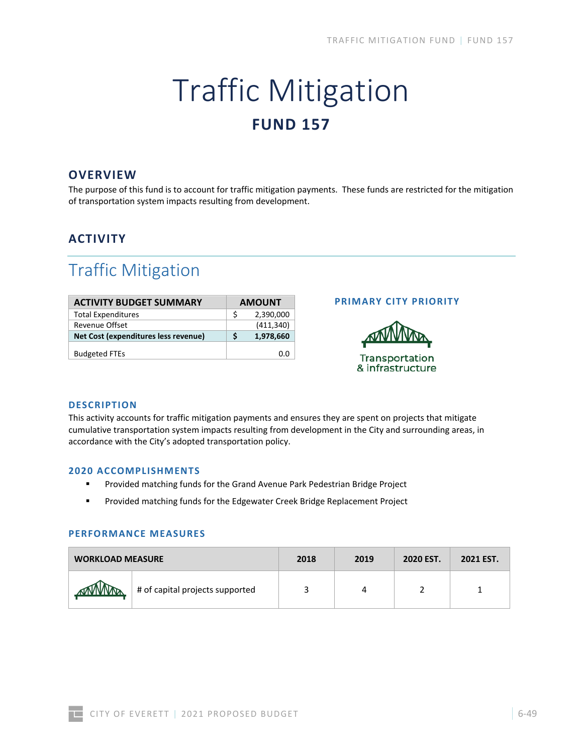# Traffic Mitigation **FUND 157**

### **OVERVIEW**

The purpose of this fund is to account for traffic mitigation payments. These funds are restricted for the mitigation of transportation system impacts resulting from development.

# **ACTIVITY**

# Traffic Mitigation

| <b>ACTIVITY BUDGET SUMMARY</b>       |    | <b>AMOUNT</b> |
|--------------------------------------|----|---------------|
| <b>Total Expenditures</b>            | Ŝ. | 2,390,000     |
| <b>Revenue Offset</b>                |    | (411, 340)    |
| Net Cost (expenditures less revenue) | S  | 1,978,660     |
| <b>Budgeted FTEs</b>                 |    | 0.0           |

### **PRIMARY CITY PRIORITY**



& infrastructure

### **DESCRIPTION**

This activity accounts for traffic mitigation payments and ensures they are spent on projects that mitigate cumulative transportation system impacts resulting from development in the City and surrounding areas, in accordance with the City's adopted transportation policy.

### **2020 ACCOMPLISHMENTS**

- **Provided matching funds for the Grand Avenue Park Pedestrian Bridge Project**
- Provided matching funds for the Edgewater Creek Bridge Replacement Project

### **PERFORMANCE MEASURES**

| <b>WORKLOAD MEASURE</b> |                                 | 2018 | 2019 | 2020 EST. | 2021 EST. |
|-------------------------|---------------------------------|------|------|-----------|-----------|
|                         | # of capital projects supported |      |      |           |           |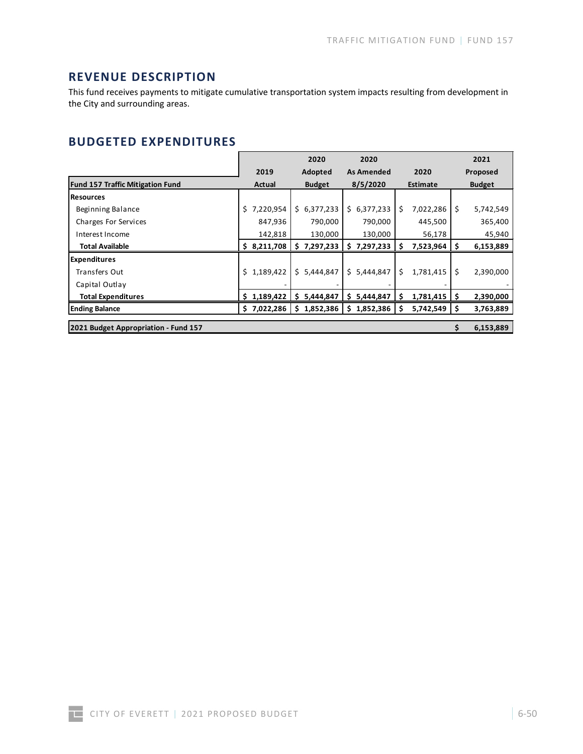### **REVENUE DESCRIPTION**

This fund receives payments to mitigate cumulative transportation system impacts resulting from development in the City and surrounding areas.

# **BUDGETED EXPENDITURES**

|                                         |                | 2020            | 2020              |                 | 2021            |
|-----------------------------------------|----------------|-----------------|-------------------|-----------------|-----------------|
|                                         | 2019           | Adopted         | <b>As Amended</b> | 2020            | Proposed        |
| <b>Fund 157 Traffic Mitigation Fund</b> | Actual         | <b>Budget</b>   | 8/5/2020          | <b>Estimate</b> | <b>Budget</b>   |
| Resources                               |                |                 |                   |                 |                 |
| Beginning Balance                       | \$7,220,954    | \$6,377,233     | \$6,377,233       | Ŝ.<br>7,022,286 | \$<br>5,742,549 |
| Charges For Services                    | 847,936        | 790,000         | 790,000           | 445,500         | 365,400         |
| Interest Income                         | 142,818        | 130,000         | 130,000           | 56,178          | 45,940          |
| <b>Total Available</b>                  | \$3,211,708    | \$7,297,233     | 7,297,233<br>\$.  | Ŝ.<br>7,523,964 | 6,153,889<br>s  |
| Expenditures                            |                |                 |                   |                 |                 |
| Transfers Out                           | \$1,189,422    | \$5,444,847     | \$5,444,847       | \$<br>1,781,415 | \$<br>2,390,000 |
| Capital Outlay                          |                |                 |                   |                 |                 |
| <b>Total Expenditures</b>               | 1,189,422<br>s | 5,444,847<br>\$ | 5,444,847<br>S.   | 1,781,415<br>s  | 2,390,000<br>S  |
| <b>Ending Balance</b>                   | 7,022,286<br>s | 1,852,386<br>S  | 1,852,386<br>S.   | 5,742,549<br>Ŝ. | Ś<br>3,763,889  |
|                                         |                |                 |                   |                 |                 |
| 2021 Budget Appropriation - Fund 157    |                |                 |                   |                 | 6,153,889       |

CITY OF EVERETT | 2021 PROPOSED BUDGET | 6-50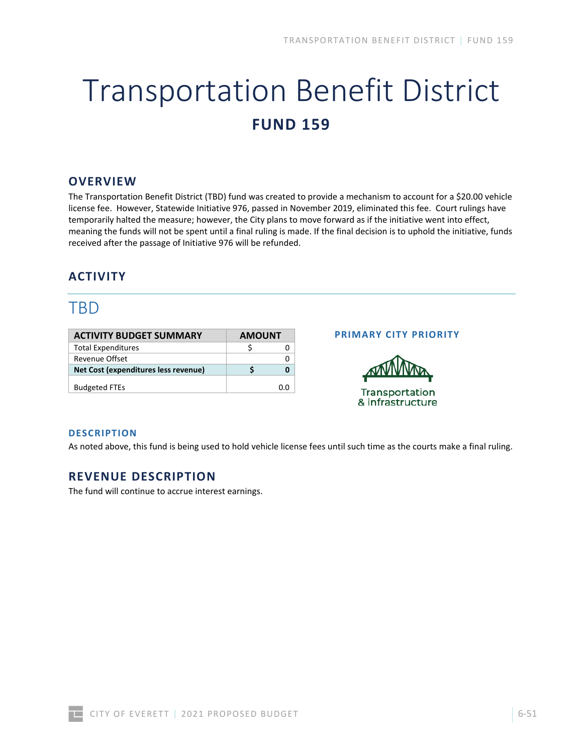# Transportation Benefit District **FUND 159**

### **OVERVIEW**

The Transportation Benefit District (TBD) fund was created to provide a mechanism to account for a \$20.00 vehicle license fee. However, Statewide Initiative 976, passed in November 2019, eliminated this fee. Court rulings have temporarily halted the measure; however, the City plans to move forward as if the initiative went into effect, meaning the funds will not be spent until a final ruling is made. If the final decision is to uphold the initiative, funds received after the passage of Initiative 976 will be refunded.

## **ACTIVITY**

# **TRD**

| <b>ACTIVITY BUDGET SUMMARY</b>       | <b>AMOUNT</b> |  |
|--------------------------------------|---------------|--|
| <b>Total Expenditures</b>            |               |  |
| <b>Revenue Offset</b>                |               |  |
| Net Cost (expenditures less revenue) |               |  |
| <b>Budgeted FTEs</b>                 |               |  |

### **PRIMARY CITY PRIORITY**



#### **DESCRIPTION**

As noted above, this fund is being used to hold vehicle license fees until such time as the courts make a final ruling.

### **REVENUE DESCRIPTION**

The fund will continue to accrue interest earnings.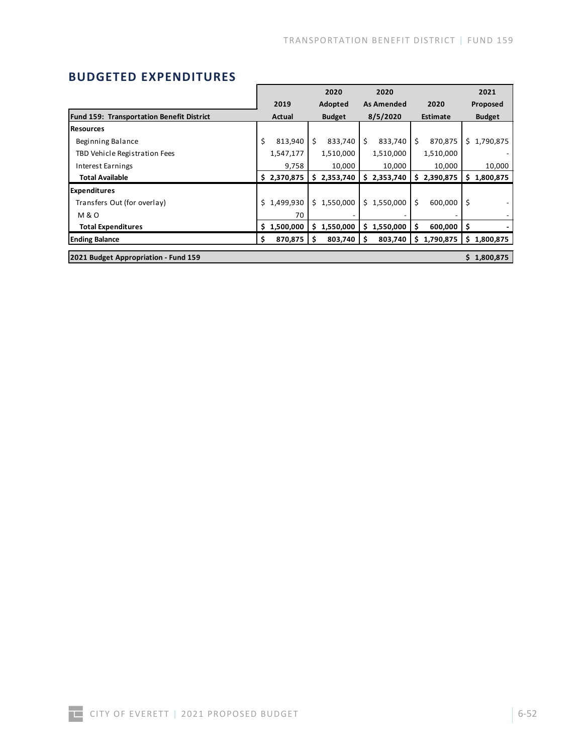|                                                  |               |    | 2020          |    | 2020        |     |              |     | 2021          |
|--------------------------------------------------|---------------|----|---------------|----|-------------|-----|--------------|-----|---------------|
|                                                  | 2019          |    | Adopted       |    | As Amended  |     | 2020         |     | Proposed      |
| <b>Fund 159: Transportation Benefit District</b> | Actual        |    | <b>Budget</b> |    | 8/5/2020    |     | Estimate     |     | <b>Budget</b> |
| <b>Resources</b>                                 |               |    |               |    |             |     |              |     |               |
| Beginning Balance                                | \$<br>813,940 | Ś  | 833,740       | \$ | 833,740     | Ś.  | 870,875      |     | \$1,790,875   |
| TBD Vehicle Registration Fees                    | 1,547,177     |    | 1,510,000     |    | 1,510,000   |     | 1,510,000    |     |               |
| <b>Interest Earnings</b>                         | 9,758         |    | 10,000        |    | 10,000      |     | 10,000       |     | 10,000        |
| <b>Total Available</b>                           | \$2,370,875   | S. | 2,353,740     |    | \$2,353,740 |     | \$2,390,875  | S.  | 1,800,875     |
| <b>Expenditures</b>                              |               |    |               |    |             |     |              |     |               |
| Transfers Out (for overlay)                      | 1,499,930     |    | \$1,550,000   |    | \$1,550,000 | \$  | 600,000      | -\$ |               |
| <b>M&amp;O</b>                                   | 70            |    |               |    |             |     |              |     |               |
| <b>Total Expenditures</b>                        | 1,500,000     | \$ | 1,550,000     | Ś. | 1,550,000   | \$  | 600,000      | -S  |               |
| <b>Ending Balance</b>                            | \$<br>870,875 | Ŝ  | 803,740       | Ŝ. | 803,740     | \$. | 1,790,875 \$ |     | 1,800,875     |
| 2021 Budget Appropriation - Fund 159             |               |    |               |    |             |     |              |     | 1,800,875     |

# **BUDGETED EXPENDITURES**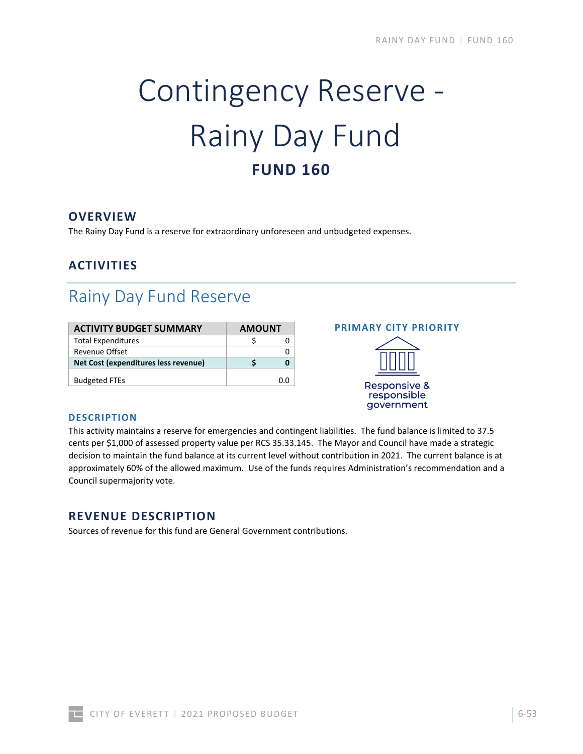# Contingency Reserve - Rainy Day Fund **FUND 160**

### **OVERVIEW**

The Rainy Day Fund is a reserve for extraordinary unforeseen and unbudgeted expenses.

# **ACTIVITIES**

# Rainy Day Fund Reserve

| <b>ACTIVITY BUDGET SUMMARY</b>       | <b>AMOUNT</b> |  |  |  |
|--------------------------------------|---------------|--|--|--|
| <b>Total Expenditures</b>            |               |  |  |  |
| Revenue Offset                       |               |  |  |  |
| Net Cost (expenditures less revenue) |               |  |  |  |
| <b>Budgeted FTEs</b>                 |               |  |  |  |

# **PRIMARY CITY PRIORITYResponsive &**

responsible government

### **DESCRIPTION**

This activity maintains a reserve for emergencies and contingent liabilities. The fund balance is limited to 37.5 cents per \$1,000 of assessed property value per RCS 35.33.145. The Mayor and Council have made a strategic decision to maintain the fund balance at its current level without contribution in 2021. The current balance is at approximately 60% of the allowed maximum. Use of the funds requires Administration's recommendation and a Council supermajority vote.

### **REVENUE DESCRIPTION**

Sources of revenue for this fund are General Government contributions.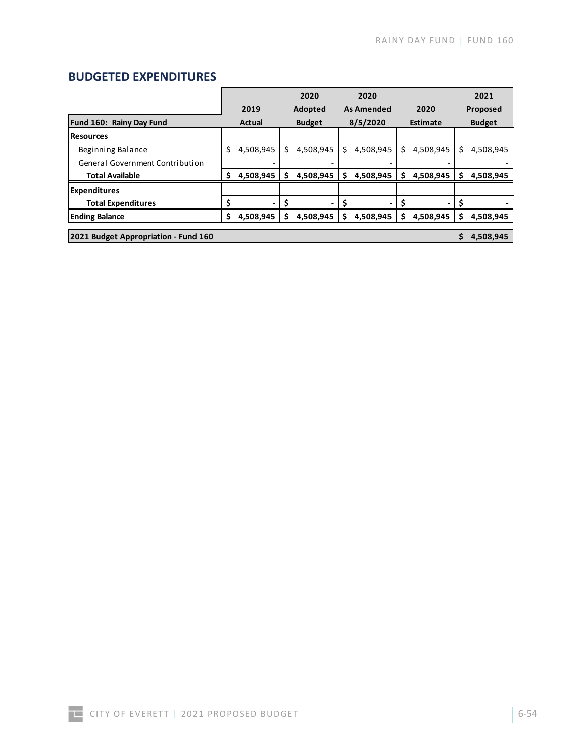# **BUDGETED EXPENDITURES**

|                                        |    |               |   | 2020          |     | 2020              |    |                 |    | 2021          |
|----------------------------------------|----|---------------|---|---------------|-----|-------------------|----|-----------------|----|---------------|
|                                        |    | 2019          |   | Adopted       |     | <b>As Amended</b> |    | 2020            |    | Proposed      |
| <b>Fund 160: Rainy Day Fund</b>        |    | <b>Actual</b> |   | <b>Budget</b> |     | 8/5/2020          |    | <b>Estimate</b> |    | <b>Budget</b> |
| <b>IResources</b>                      |    |               |   |               |     |                   |    |                 |    |               |
| Beginning Balance                      |    | 4,508,945     | S | 4,508,945     | \$  | 4,508,945         | Ś. | 4,508,945       | Ś. | 4,508,945     |
| <b>General Government Contribution</b> |    |               |   |               |     |                   |    |                 |    |               |
| <b>Total Available</b>                 | Ś  | 4,508,945     | S | 4,508,945     | \$  | 4,508,945         | Ś  | 4,508,945       | Ś  | 4,508,945     |
| <b>Expenditures</b>                    |    |               |   |               |     |                   |    |                 |    |               |
| <b>Total Expenditures</b>              |    |               |   |               |     |                   |    |                 |    |               |
| <b>Ending Balance</b>                  | \$ | 4,508,945     | S | 4,508,945     | \$. | 4,508,945         | S  | 4,508,945       | Ŝ  | 4,508,945     |
|                                        |    |               |   |               |     |                   |    |                 |    |               |
| 2021 Budget Appropriation - Fund 160   |    |               |   |               |     |                   |    |                 |    | 4,508,945     |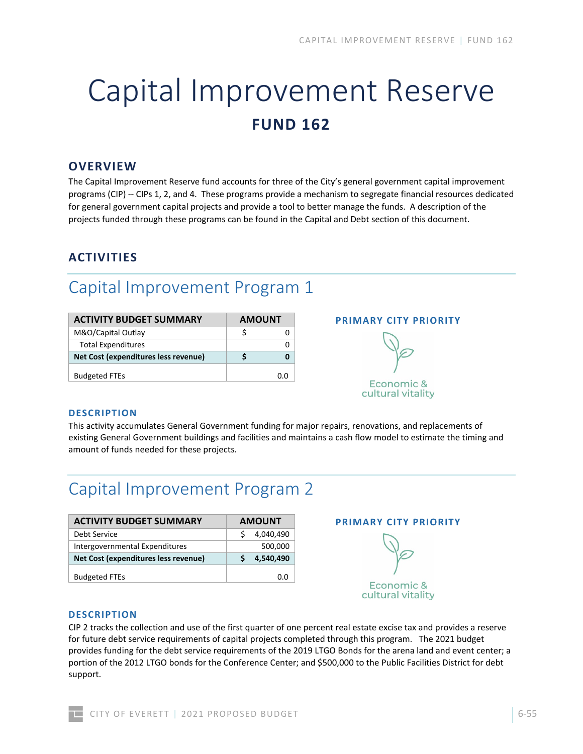# Capital Improvement Reserve **FUND 162**

### **OVERVIEW**

The Capital Improvement Reserve fund accounts for three of the City's general government capital improvement programs (CIP) -- CIPs 1, 2, and 4. These programs provide a mechanism to segregate financial resources dedicated for general government capital projects and provide a tool to better manage the funds. A description of the projects funded through these programs can be found in the Capital and Debt section of this document.

## **ACTIVITIES**

# Capital Improvement Program 1

| <b>ACTIVITY BUDGET SUMMARY</b>       | <b>AMOUNT</b> |  |
|--------------------------------------|---------------|--|
| M&O/Capital Outlay                   |               |  |
| <b>Total Expenditures</b>            |               |  |
| Net Cost (expenditures less revenue) |               |  |
| <b>Budgeted FTEs</b>                 |               |  |

#### **PRIMARY CITY PRIORITY**



### **DESCRIPTION**

This activity accumulates General Government funding for major repairs, renovations, and replacements of existing General Government buildings and facilities and maintains a cash flow model to estimate the timing and amount of funds needed for these projects.

# Capital Improvement Program 2

| <b>ACTIVITY BUDGET SUMMARY</b>       |   | <b>AMOUNT</b> |
|--------------------------------------|---|---------------|
| Debt Service                         | S | 4,040,490     |
| Intergovernmental Expenditures       |   | 500,000       |
| Net Cost (expenditures less revenue) |   | 4,540,490     |
| <b>Budgeted FTEs</b>                 |   |               |

|  |            | <b>PRIMARY CITY PRIORITY</b> |  |
|--|------------|------------------------------|--|
|  |            |                              |  |
|  | Economic & | cultural vitality            |  |

#### **DESCRIPTION**

CIP 2 tracks the collection and use of the first quarter of one percent real estate excise tax and provides a reserve for future debt service requirements of capital projects completed through this program. The 2021 budget provides funding for the debt service requirements of the 2019 LTGO Bonds for the arena land and event center; a portion of the 2012 LTGO bonds for the Conference Center; and \$500,000 to the Public Facilities District for debt support.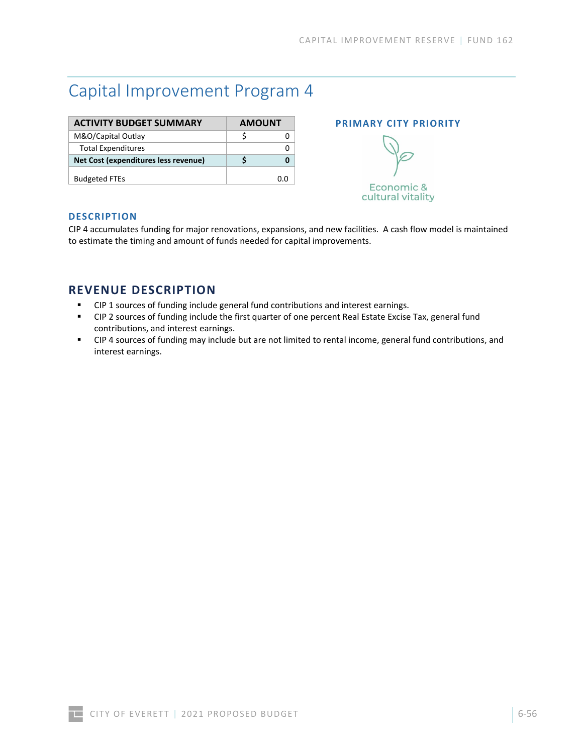# Capital Improvement Program 4

| <b>ACTIVITY BUDGET SUMMARY</b>       | <b>AMOUNT</b> |  |
|--------------------------------------|---------------|--|
| M&O/Capital Outlay                   |               |  |
| <b>Total Expenditures</b>            |               |  |
| Net Cost (expenditures less revenue) |               |  |
| <b>Budgeted FTEs</b>                 |               |  |

| <b>PRIMARY CITY PRIORITY</b>    |  |
|---------------------------------|--|
|                                 |  |
| Economic &<br>cultural vitality |  |

### **DESCRIPTION**

CIP 4 accumulates funding for major renovations, expansions, and new facilities. A cash flow model is maintained to estimate the timing and amount of funds needed for capital improvements.

### **REVENUE DESCRIPTION**

- CIP 1 sources of funding include general fund contributions and interest earnings.
- CIP 2 sources of funding include the first quarter of one percent Real Estate Excise Tax, general fund contributions, and interest earnings.
- CIP 4 sources of funding may include but are not limited to rental income, general fund contributions, and interest earnings.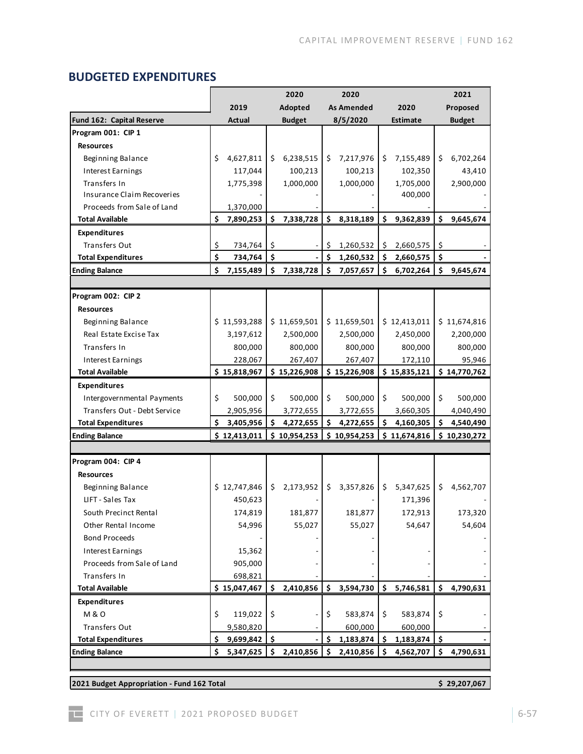### **BUDGETED EXPENDITURES**

|                              |                 |     | 2020          | 2020              |                     |              | 2021            |
|------------------------------|-----------------|-----|---------------|-------------------|---------------------|--------------|-----------------|
|                              | 2019            |     | Adopted       | <b>As Amended</b> |                     | 2020         | Proposed        |
| Fund 162: Capital Reserve    | Actual          |     | <b>Budget</b> | 8/5/2020          |                     | Estimate     | <b>Budget</b>   |
| Program 001: CIP 1           |                 |     |               |                   |                     |              |                 |
| <b>Resources</b>             |                 |     |               |                   |                     |              |                 |
| Beginning Balance            | \$<br>4,627,811 | \$. | 6,238,515     | \$<br>7,217,976   | \$                  | 7,155,489    | \$<br>6,702,264 |
| <b>Interest Earnings</b>     | 117,044         |     | 100,213       | 100,213           |                     | 102,350      | 43,410          |
| Transfers In                 | 1,775,398       |     | 1,000,000     | 1,000,000         |                     | 1,705,000    | 2,900,000       |
| Insurance Claim Recoveries   |                 |     |               |                   |                     | 400,000      |                 |
| Proceeds from Sale of Land   | 1,370,000       |     |               |                   |                     |              |                 |
| <b>Total Available</b>       | \$<br>7,890,253 | \$  | 7,338,728     | \$<br>8,318,189   | \$                  | 9,362,839    | \$<br>9,645,674 |
| <b>Expenditures</b>          |                 |     |               |                   |                     |              |                 |
| Transfers Out                | \$<br>734,764   | \$  |               | \$<br>1,260,532   | \$                  | 2,660,575    | \$              |
| <b>Total Expenditures</b>    | \$<br>734,764   | \$  |               | \$<br>1,260,532   | \$                  | 2,660,575    | \$              |
| <b>Ending Balance</b>        | \$<br>7,155,489 | \$  | 7,338,728     | \$<br>7,057,657   | \$                  | 6,702,264    | \$<br>9,645,674 |
|                              |                 |     |               |                   |                     |              |                 |
| Program 002: CIP 2           |                 |     |               |                   |                     |              |                 |
| <b>Resources</b>             |                 |     |               |                   |                     |              |                 |
| Beginning Balance            | \$11,593,288    |     | \$11,659,501  | \$11,659,501      |                     | \$12,413,011 | \$11,674,816    |
| Real Estate Excise Tax       | 3,197,612       |     | 2,500,000     | 2,500,000         |                     | 2,450,000    | 2,200,000       |
| Transfers In                 | 800,000         |     | 800,000       | 800,000           |                     | 800,000      | 800,000         |
| <b>Interest Earnings</b>     | 228,067         |     | 267,407       | 267,407           |                     | 172,110      | 95,946          |
| <b>Total Available</b>       | \$15,818,967    |     | \$15,226,908  | \$15,226,908      |                     | \$15,835,121 | \$14,770,762    |
| <b>Expenditures</b>          |                 |     |               |                   |                     |              |                 |
| Intergovernmental Payments   | \$<br>500,000   | \$  | 500,000       | \$<br>500,000     | \$                  | 500,000      | \$<br>500,000   |
| Transfers Out - Debt Service | 2,905,956       |     | 3,772,655     | 3,772,655         |                     | 3,660,305    | 4,040,490       |
| <b>Total Expenditures</b>    | \$<br>3,405,956 | \$  | 4,272,655     | \$<br>4,272,655   | \$                  | 4,160,305    | \$<br>4,540,490 |
| <b>Ending Balance</b>        | \$12,413,011    |     | \$10,954,253  | \$10,954,253      |                     | \$11,674,816 | \$10,230,272    |
|                              |                 |     |               |                   |                     |              |                 |
| Program 004: CIP 4           |                 |     |               |                   |                     |              |                 |
| <b>Resources</b>             |                 |     |               |                   |                     |              |                 |
| Beginning Balance            | \$12,747,846    | \$  | 2,173,952     | \$<br>3,357,826   | \$                  | 5,347,625    | \$<br>4,562,707 |
| <b>LIFT - Sales Tax</b>      | 450,623         |     |               |                   |                     | 171,396      |                 |
| South Precinct Rental        | 174,819         |     | 181,877       | 181,877           |                     | 172.913      | 173,320         |
| Other Rental Income          | 54,996          |     | 55,027        | 55,027            |                     | 54,647       | 54,604          |
| <b>Bond Proceeds</b>         |                 |     |               |                   |                     |              |                 |
| <b>Interest Earnings</b>     | 15,362          |     |               |                   |                     |              |                 |
| Proceeds from Sale of Land   | 905,000         |     |               |                   |                     |              |                 |
| Transfers In                 | 698,821         |     |               |                   |                     |              |                 |
| <b>Total Available</b>       | \$15,047,467    | \$  | 2,410,856     | \$<br>3,594,730   | $\ddot{\bm{\zeta}}$ | 5,746,581    | \$<br>4,790,631 |
| <b>Expenditures</b>          |                 |     |               |                   |                     |              |                 |
| <b>M&amp;O</b>               | \$<br>119,022   | \$  |               | \$<br>583,874     | \$                  | 583,874      | \$              |
| Transfers Out                | 9,580,820       |     |               | 600,000           |                     | 600,000      |                 |
| <b>Total Expenditures</b>    | \$<br>9,699,842 | \$  |               | \$<br>1,183,874   | \$.                 | 1,183,874    | \$              |
| <b>Ending Balance</b>        | \$<br>5,347,625 | \$  | 2,410,856     | \$<br>2,410,856   | \$                  | 4,562,707    | \$<br>4,790,631 |
|                              |                 |     |               |                   |                     |              |                 |

**2021 Budget Appropriation - Fund 162 Total <b>2021 Budget Appropriation - Fund 162 Total \$ 29,207,067**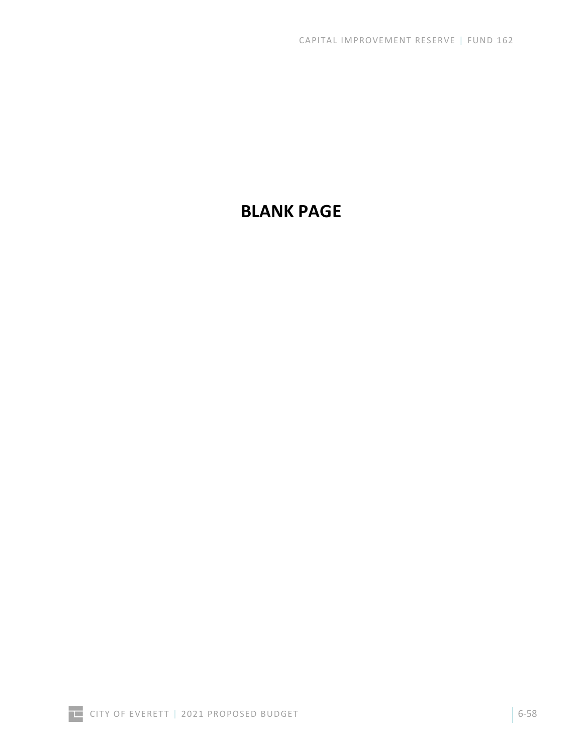# **BLANK PAGE**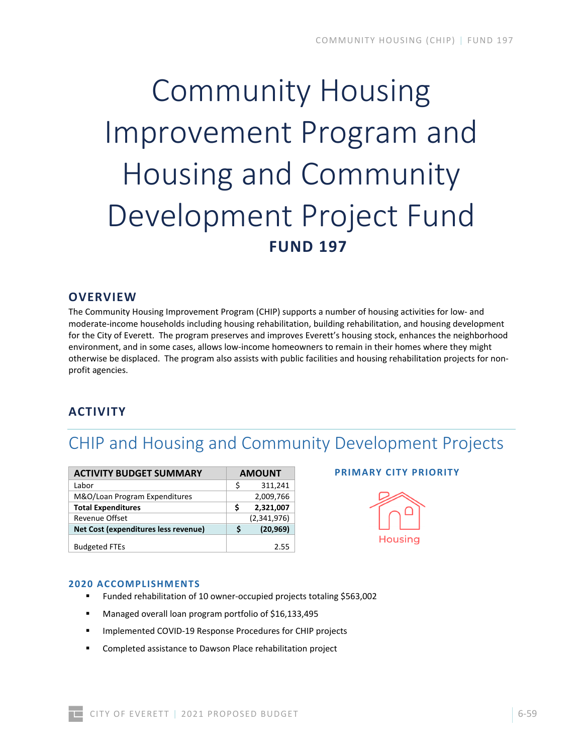# Community Housing Improvement Program and Housing and Community Development Project Fund **FUND 197**

### **OVERVIEW**

The Community Housing Improvement Program (CHIP) supports a number of housing activities for low- and moderate-income households including housing rehabilitation, building rehabilitation, and housing development for the City of Everett. The program preserves and improves Everett's housing stock, enhances the neighborhood environment, and in some cases, allows low-income homeowners to remain in their homes where they might otherwise be displaced. The program also assists with public facilities and housing rehabilitation projects for nonprofit agencies.

# **ACTIVITY**

# CHIP and Housing and Community Development Projects

| <b>ACTIVITY BUDGET SUMMARY</b>       |   | <b>AMOUNT</b> |
|--------------------------------------|---|---------------|
| Labor                                | Ś | 311,241       |
| M&O/Loan Program Expenditures        |   | 2,009,766     |
| <b>Total Expenditures</b>            | S | 2,321,007     |
| <b>Revenue Offset</b>                |   | (2,341,976)   |
| Net Cost (expenditures less revenue) | S | (20, 969)     |
|                                      |   |               |
| <b>Budgeted FTEs</b>                 |   | 2.55          |

### **PRIMARY CITY PRIORITY**



### **2020 ACCOMPLISHMENTS**

- Funded rehabilitation of 10 owner-occupied projects totaling \$563,002
- **Managed overall loan program portfolio of \$16,133,495**
- **IMPLEMENTED COVID-19 Response Procedures for CHIP projects**
- Completed assistance to Dawson Place rehabilitation project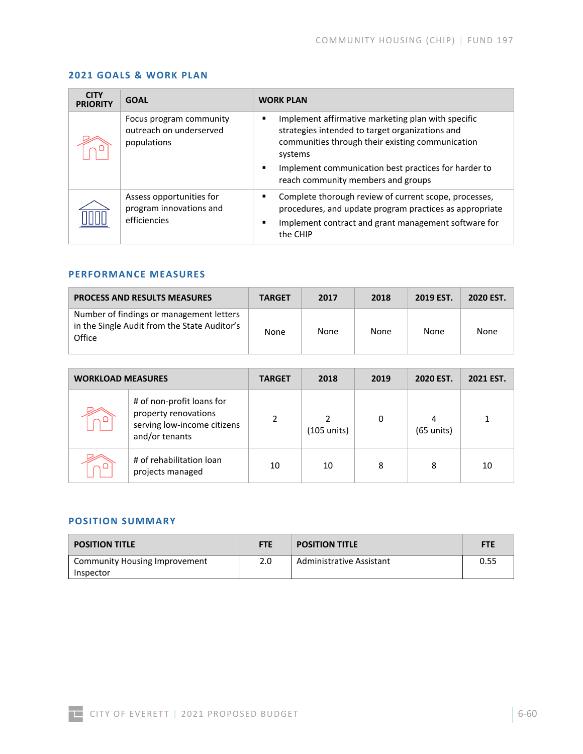### **2021 GOALS & WORK PLAN**

| <b>CITY</b><br><b>PRIORITY</b> | <b>GOAL</b>                                                         | <b>WORK PLAN</b>                                                                                                                                                                                                                                                   |
|--------------------------------|---------------------------------------------------------------------|--------------------------------------------------------------------------------------------------------------------------------------------------------------------------------------------------------------------------------------------------------------------|
|                                | Focus program community<br>outreach on underserved<br>populations   | Implement affirmative marketing plan with specific<br>strategies intended to target organizations and<br>communities through their existing communication<br>systems<br>Implement communication best practices for harder to<br>reach community members and groups |
|                                | Assess opportunities for<br>program innovations and<br>efficiencies | Complete thorough review of current scope, processes,<br>procedures, and update program practices as appropriate<br>Implement contract and grant management software for<br>the CHIP                                                                               |

### **PERFORMANCE MEASURES**

| <b>PROCESS AND RESULTS MEASURES</b>                                                                | <b>TARGET</b> | 2017 | 2018 | 2019 EST. | 2020 EST. |
|----------------------------------------------------------------------------------------------------|---------------|------|------|-----------|-----------|
| Number of findings or management letters<br>in the Single Audit from the State Auditor's<br>Office | None          | None | None | None      | None      |

| <b>WORKLOAD MEASURES</b> |                                                                                                    | <b>TARGET</b> | 2018          | 2019 | 2020 EST.    | 2021 EST. |
|--------------------------|----------------------------------------------------------------------------------------------------|---------------|---------------|------|--------------|-----------|
|                          | # of non-profit loans for<br>property renovations<br>serving low-income citizens<br>and/or tenants | $\mathfrak z$ | $(105$ units) | 0    | $(65$ units) |           |
|                          | # of rehabilitation loan<br>projects managed                                                       | 10            | 10            | 8    | 8            | 10        |

### **POSITION SUMMARY**

| <b>POSITION TITLE</b>         | <b>FTE</b> | <b>POSITION TITLE</b>    | <b>FTE</b> |
|-------------------------------|------------|--------------------------|------------|
| Community Housing Improvement | 2.0        | Administrative Assistant | 0.55       |
| Inspector                     |            |                          |            |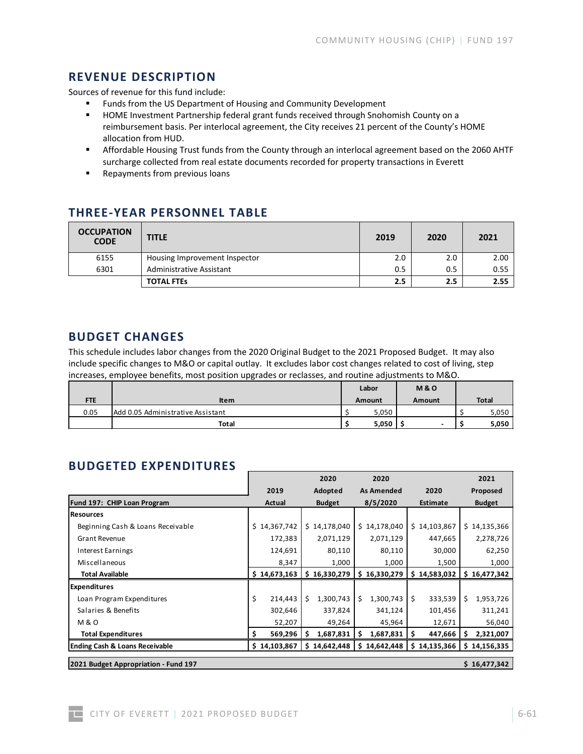### **REVENUE DESCRIPTION**

Sources of revenue for this fund include:

- **Funds from the US Department of Housing and Community Development**
- **HOME Investment Partnership federal grant funds received through Snohomish County on a** reimbursement basis. Per interlocal agreement, the City receives 21 percent of the County's HOME allocation from HUD.
- Affordable Housing Trust funds from the County through an interlocal agreement based on the 2060 AHTF surcharge collected from real estate documents recorded for property transactions in Everett
- **Repayments from previous loans**

# **THREE-YEAR PERSONNEL TABLE**

| <b>OCCUPATION</b><br><b>CODE</b> | <b>TITLE</b>                  | 2019 | 2020          | 2021 |
|----------------------------------|-------------------------------|------|---------------|------|
| 6155                             | Housing Improvement Inspector | 2.0  | $2.0^{\circ}$ | 2.00 |
| 6301                             | Administrative Assistant      | 0.5  | 0.5           | 0.55 |
|                                  | <b>TOTAL FTES</b>             | 2.5  | 2.5           | 2.55 |

## **BUDGET CHANGES**

This schedule includes labor changes from the 2020 Original Budget to the 2021 Proposed Budget. It may also include specific changes to M&O or capital outlay. It excludes labor cost changes related to cost of living, step increases, employee benefits, most position upgrades or reclasses, and routine adjustments to M&O.

|            |                                   |  | Labor  |  |                          |              | <b>M&amp;O</b> |  |
|------------|-----------------------------------|--|--------|--|--------------------------|--------------|----------------|--|
| <b>FTE</b> | Item                              |  | Amount |  | Amount                   | <b>Total</b> |                |  |
| 0.05       | Add 0.05 Administrative Assistant |  | 5,050  |  |                          | 5,050        |                |  |
|            | <b>Total</b>                      |  | 5,050  |  | $\overline{\phantom{a}}$ | 5,050        |                |  |

## **BUDGETED EXPENDITURES**

|                                           |               |    | 2020          |    | 2020              |     |                 |    | 2021          |
|-------------------------------------------|---------------|----|---------------|----|-------------------|-----|-----------------|----|---------------|
|                                           | 2019          |    | Adopted       |    | <b>As Amended</b> |     | 2020            |    | Proposed      |
| Fund 197: CHIP Loan Program               | Actual        |    | <b>Budget</b> |    | 8/5/2020          |     | <b>Estimate</b> |    | <b>Budget</b> |
| <b>Resources</b>                          |               |    |               |    |                   |     |                 |    |               |
| Beginning Cash & Loans Receivable         | \$14,367,742  |    | \$14,178,040  |    | \$14,178,040      |     | \$14,103,867    |    | \$14,135,366  |
| <b>Grant Revenue</b>                      | 172,383       |    | 2,071,129     |    | 2,071,129         |     | 447,665         |    | 2,278,726     |
| Interest Earnings                         | 124,691       |    | 80,110        |    | 80,110            |     | 30,000          |    | 62,250        |
| Miscellaneous                             | 8,347         |    | 1,000         |    | 1,000             |     | 1,500           |    | 1,000         |
| <b>Total Available</b>                    | \$14,673,163  |    | \$16,330,279  |    | \$16,330,279      |     | \$14,583,032    |    | \$16,477,342  |
| <b>Expenditures</b>                       |               |    |               |    |                   |     |                 |    |               |
| Loan Program Expenditures                 | \$<br>214,443 | Ś. | 1,300,743     | Ś. | 1,300,743         | Ŝ.  | 333,539         | Ś. | 1,953,726     |
| Salaries & Benefits                       | 302,646       |    | 337,824       |    | 341,124           |     | 101,456         |    | 311,241       |
| <b>M&amp;O</b>                            | 52,207        |    | 49,264        |    | 45,964            |     | 12,671          |    | 56,040        |
| <b>Total Expenditures</b>                 | \$<br>569,296 | s  | 1,687,831     | S  | 1,687,831         | \$. | 447,666         | s  | 2,321,007     |
| <b>Ending Cash &amp; Loans Receivable</b> | \$14,103,867  |    | \$14,642,448  |    | \$14,642,448      |     | \$14,135,366    |    | \$14,156,335  |
|                                           |               |    |               |    |                   |     |                 |    |               |
| 2021 Budget Appropriation - Fund 197      |               |    |               |    |                   |     |                 |    | \$16,477,342  |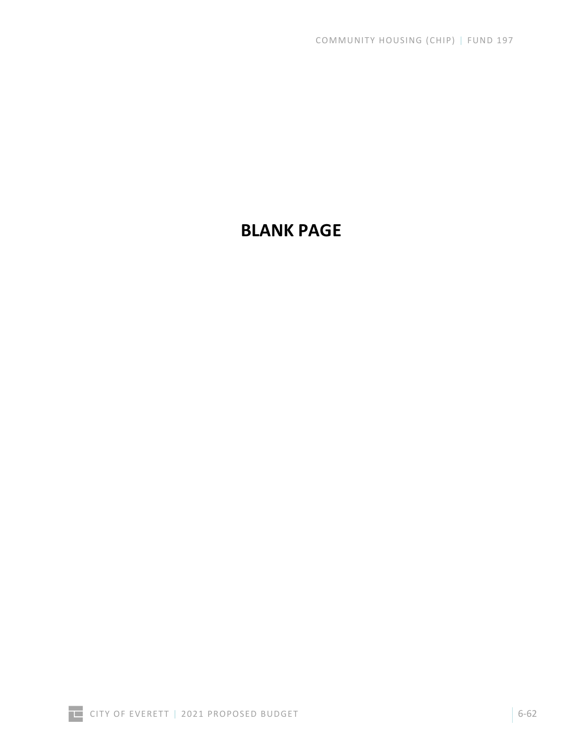# **BLANK PAGE**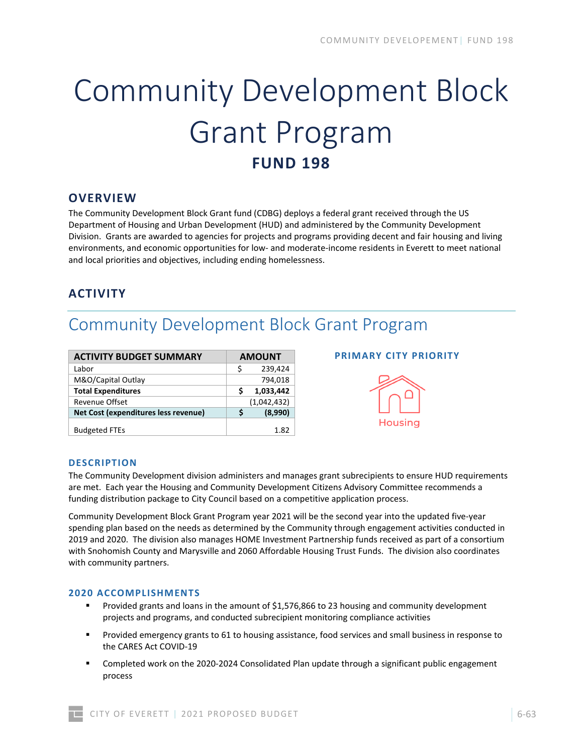# Community Development Block Grant Program **FUND 198**

### **OVERVIEW**

The Community Development Block Grant fund (CDBG) deploys a federal grant received through the US Department of Housing and Urban Development (HUD) and administered by the Community Development Division. Grants are awarded to agencies for projects and programs providing decent and fair housing and living environments, and economic opportunities for low- and moderate-income residents in Everett to meet national and local priorities and objectives, including ending homelessness.

## **ACTIVITY**

# Community Development Block Grant Program

| <b>ACTIVITY BUDGET SUMMARY</b>       |   | <b>AMOUNT</b> |
|--------------------------------------|---|---------------|
| Labor                                | Ś | 239,424       |
| M&O/Capital Outlay                   |   | 794,018       |
| <b>Total Expenditures</b>            |   | 1,033,442     |
| <b>Revenue Offset</b>                |   | (1,042,432)   |
| Net Cost (expenditures less revenue) | S | (8,990)       |
| <b>Budgeted FTEs</b>                 |   | 1.82          |

### **PRIMARY CITY PRIORITY**



### **DESCRIPTION**

The Community Development division administers and manages grant subrecipients to ensure HUD requirements are met. Each year the Housing and Community Development Citizens Advisory Committee recommends a funding distribution package to City Council based on a competitive application process.

Community Development Block Grant Program year 2021 will be the second year into the updated five-year spending plan based on the needs as determined by the Community through engagement activities conducted in 2019 and 2020. The division also manages HOME Investment Partnership funds received as part of a consortium with Snohomish County and Marysville and 2060 Affordable Housing Trust Funds. The division also coordinates with community partners.

#### **2020 ACCOMPLISHMENTS**

- Provided grants and loans in the amount of \$1,576,866 to 23 housing and community development projects and programs, and conducted subrecipient monitoring compliance activities
- **Provided emergency grants to 61 to housing assistance, food services and small business in response to response to** the CARES Act COVID-19
- Completed work on the 2020-2024 Consolidated Plan update through a significant public engagement process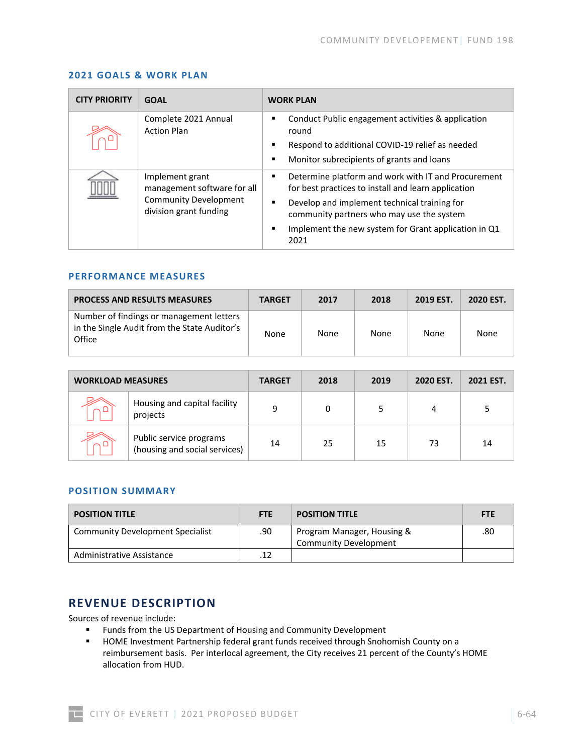### **2021 GOALS & WORK PLAN**

| <b>CITY PRIORITY</b> | <b>GOAL</b>                                                                                              | <b>WORK PLAN</b>                                                                                                                                                                                                                                                                       |
|----------------------|----------------------------------------------------------------------------------------------------------|----------------------------------------------------------------------------------------------------------------------------------------------------------------------------------------------------------------------------------------------------------------------------------------|
|                      | Complete 2021 Annual<br><b>Action Plan</b>                                                               | Conduct Public engagement activities & application<br>٠<br>round<br>Respond to additional COVID-19 relief as needed<br>п<br>Monitor subrecipients of grants and loans<br>٠                                                                                                             |
|                      | Implement grant<br>management software for all<br><b>Community Development</b><br>division grant funding | Determine platform and work with IT and Procurement<br>٠<br>for best practices to install and learn application<br>Develop and implement technical training for<br>٠<br>community partners who may use the system<br>Implement the new system for Grant application in Q1<br>п<br>2021 |

### **PERFORMANCE MEASURES**

| <b>PROCESS AND RESULTS MEASURES</b>                                                                | <b>TARGET</b> | 2017 | 2018 | 2019 EST.   | 2020 EST. |
|----------------------------------------------------------------------------------------------------|---------------|------|------|-------------|-----------|
| Number of findings or management letters<br>in the Single Audit from the State Auditor's<br>Office | None          | None | None | <b>None</b> | None      |

| <b>WORKLOAD MEASURES</b> |                                                          | <b>TARGET</b> | 2018 | 2019 | 2020 EST. | 2021 EST. |
|--------------------------|----------------------------------------------------------|---------------|------|------|-----------|-----------|
|                          | Housing and capital facility<br>projects                 | 9             |      |      |           |           |
|                          | Public service programs<br>(housing and social services) | 14            | 25   | 15   | 73        | 14        |

### **POSITION SUMMARY**

| <b>POSITION TITLE</b>                   | <b>FTE</b> | <b>POSITION TITLE</b>                                      | <b>FTE</b> |
|-----------------------------------------|------------|------------------------------------------------------------|------------|
| <b>Community Development Specialist</b> | .90        | Program Manager, Housing &<br><b>Community Development</b> | .80        |
| Administrative Assistance               |            |                                                            |            |

# **REVENUE DESCRIPTION**

Sources of revenue include:

- **Funds from the US Department of Housing and Community Development**
- **HOME Investment Partnership federal grant funds received through Snohomish County on a** reimbursement basis. Per interlocal agreement, the City receives 21 percent of the County's HOME allocation from HUD.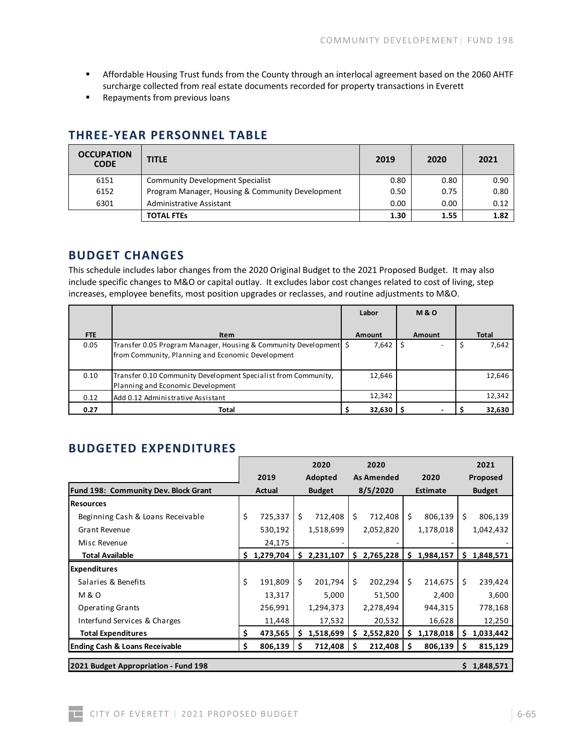- Affordable Housing Trust funds from the County through an interlocal agreement based on the 2060 AHTF surcharge collected from real estate documents recorded for property transactions in Everett
- **Repayments from previous loans**

### **THREE-YEAR PERSONNEL TABLE**

| <b>OCCUPATION</b><br><b>CODE</b> | <b>TITLE</b>                                     | 2019 | 2020 | 2021 |
|----------------------------------|--------------------------------------------------|------|------|------|
| 6151                             | <b>Community Development Specialist</b>          | 0.80 | 0.80 | 0.90 |
| 6152                             | Program Manager, Housing & Community Development | 0.50 | 0.75 | 0.80 |
| 6301                             | Administrative Assistant                         | 0.00 | 0.00 | 0.12 |
|                                  | <b>TOTAL FTES</b>                                | 1.30 | 1.55 | 1.82 |

## **BUDGET CHANGES**

This schedule includes labor changes from the 2020 Original Budget to the 2021 Proposed Budget. It may also include specific changes to M&O or capital outlay. It excludes labor cost changes related to cost of living, step increases, employee benefits, most position upgrades or reclasses, and routine adjustments to M&O.

|      |                                                                                                                        | Labor  | <b>M&amp;O</b>           |        |
|------|------------------------------------------------------------------------------------------------------------------------|--------|--------------------------|--------|
| FTE  | Item                                                                                                                   | Amount | Amount                   | Total  |
| 0.05 | Transfer 0.05 Program Manager, Housing & Community Development \$<br>from Community, Planning and Economic Development | 7,642  | $\overline{\phantom{0}}$ | 7,642  |
| 0.10 | Transfer 0.10 Community Development Specialist from Community,<br>Planning and Economic Development                    | 12,646 |                          | 12.646 |
| 0.12 | Add 0.12 Administrative Assistant                                                                                      | 12,342 |                          | 12,342 |
| 0.27 | Total                                                                                                                  | 32,630 |                          | 32,630 |

### **BUDGETED EXPENDITURES**

|                                             |      |           |     | 2020          |    | 2020       |    |           |    | 2021          |  |
|---------------------------------------------|------|-----------|-----|---------------|----|------------|----|-----------|----|---------------|--|
|                                             | 2019 |           |     | Adopted       |    | As Amended |    | 2020      |    | Proposed      |  |
| <b>Fund 198: Community Dev. Block Grant</b> |      | Actual    |     | <b>Budget</b> |    | 8/5/2020   |    | Estimate  |    | <b>Budget</b> |  |
| <b>Resources</b>                            |      |           |     |               |    |            |    |           |    |               |  |
| Beginning Cash & Loans Receivable           | \$   | 725,337   | Ś.  | 712,408       | \$ | 712,408    | Ś  | 806,139   | \$ | 806,139       |  |
| <b>Grant Revenue</b>                        |      | 530,192   |     | 1,518,699     |    | 2,052,820  |    | 1,178,018 |    | 1,042,432     |  |
| Misc Revenue                                |      | 24,175    |     |               |    |            |    |           |    |               |  |
| <b>Total Available</b>                      | S.   | 1,279,704 | S.  | 2,231,107     | S. | 2,765,228  | \$ | 1,984,157 | S  | 1,848,571     |  |
| <b>Expenditures</b>                         |      |           |     |               |    |            |    |           |    |               |  |
| Salaries & Benefits                         | \$   | 191.809   | Ś.  | 201,794       | \$ | 202,294    | Ś. | 214,675   | Ś. | 239,424       |  |
| <b>M&amp;O</b>                              |      | 13,317    |     | 5,000         |    | 51,500     |    | 2,400     |    | 3,600         |  |
| <b>Operating Grants</b>                     |      | 256,991   |     | 1,294,373     |    | 2,278,494  |    | 944,315   |    | 778,168       |  |
| Interfund Services & Charges                |      | 11,448    |     | 17,532        |    | 20,532     |    | 16,628    |    | 12,250        |  |
| <b>Total Expenditures</b>                   | \$   | 473,565   | S.  | 1,518,699     | s  | 2,552,820  | S  | 1,178,018 | \$ | 1,033,442     |  |
| <b>Ending Cash &amp; Loans Receivable</b>   | \$   | 806,139   | -\$ | 712,408       | s  | 212,408    | \$ | 806,139   | \$ | 815,129       |  |
| 2021 Budget Appropriation - Fund 198        |      |           |     |               |    |            |    |           |    | \$1,848,571   |  |